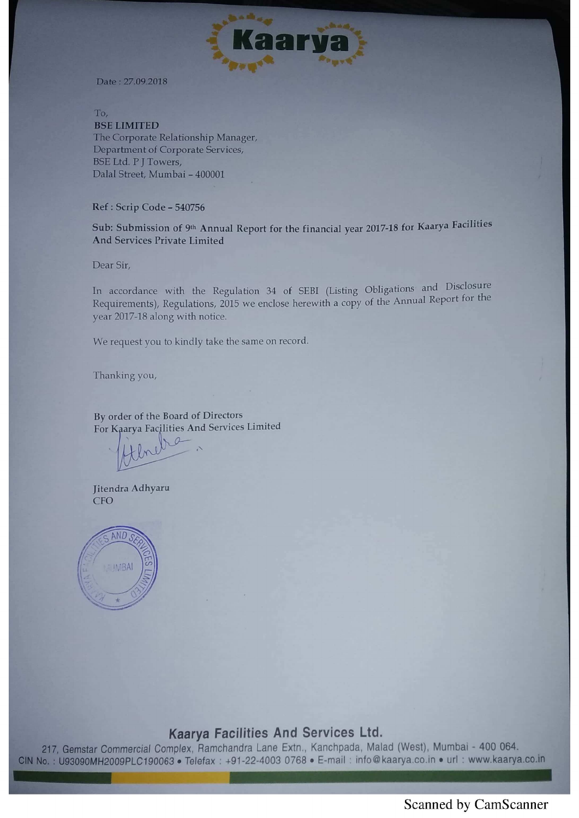

Date: 27.09.2018

To. **BSE LIMITED** The Corporate Relationship Manager, Department of Corporate Services, **BSE Ltd. P J Towers,** Dalal Street, Mumbai - 400001

# Ref : Scrip Code - 540756

Sub: Submission of 9th Annual Report for the financial year 2017-18 for Kaarya Facilities And Services Private Limited

Dear Sir,

In accordance with the Regulation <sup>34</sup> of SEBI (Listing Obligations and Disclosure Requirements), Regulations, 2015 we enclose herewith a copy of the Annual Report for the year 2017-18 along with notice.

We request you to kindly take the same on record.

Thanking you,

By order of the Board of Directors For Kaarya Facilities And Services Limited

Jitendra Adhyaru **CFO** 



# Kaarya Facilities And Services Ltd.

r Commercial Complex, Ramchandra Lane Extn.. Kanchpada, Malad (West). Mumbai - 400 064. CIN No.: U93090MH2009PLC190063 · Telefax: +91-22-4003 0768 · E-mail: info@kaarya.co.in • url: www.kaarya.co.in

Scanned by CamScanner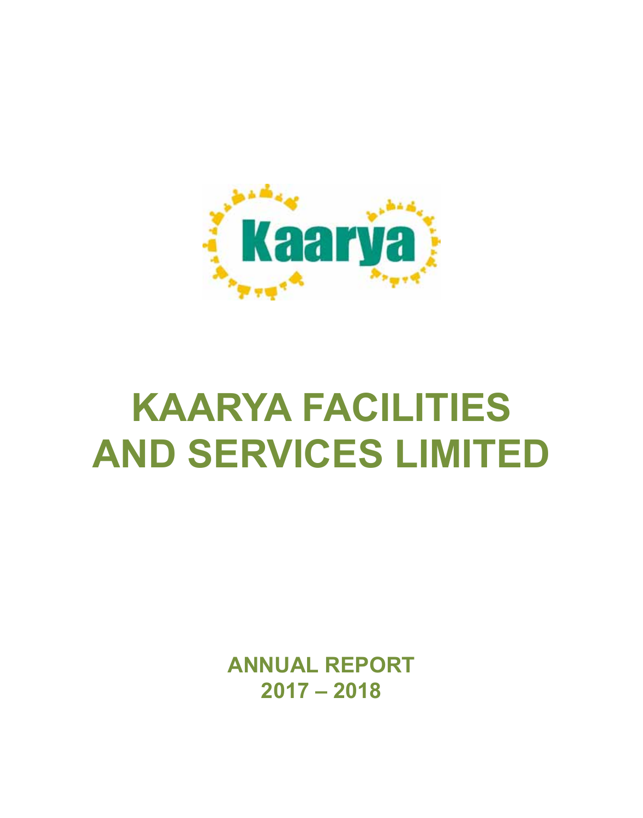

**ANNUAL REPORT 2017 – 2018**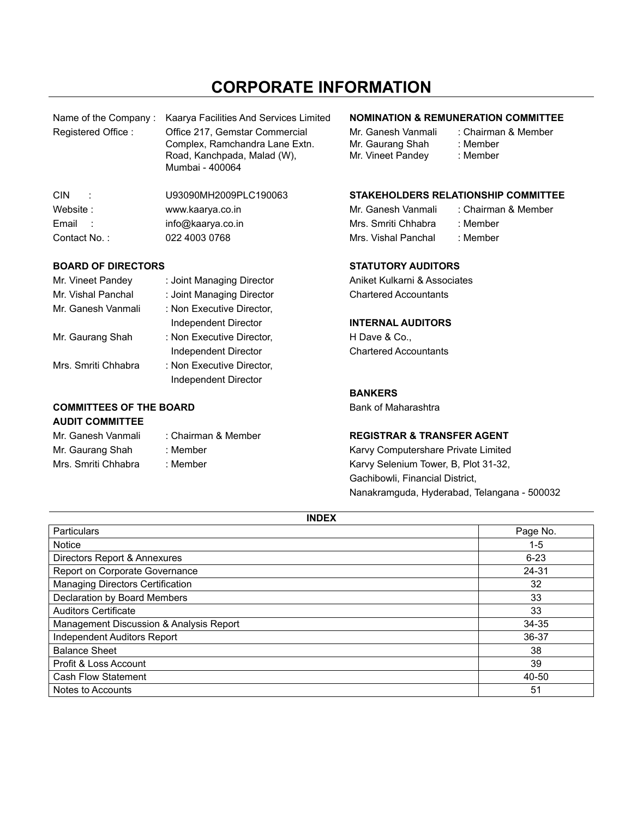# **CORPORATE INFORMATION**

| Name of the Company: | Kaarya Facilities And Services Limited                                                                             | <b>NOMINATION &amp; REMUNERATION</b>                        |                                   |  |  |
|----------------------|--------------------------------------------------------------------------------------------------------------------|-------------------------------------------------------------|-----------------------------------|--|--|
| Registered Office:   | Office 217. Gemstar Commercial<br>Complex, Ramchandra Lane Extn.<br>Road, Kanchpada, Malad (W).<br>Mumbai - 400064 | Mr. Ganesh Vanmali<br>Mr. Gaurang Shah<br>Mr. Vineet Pandey | : Chairma<br>: Member<br>: Member |  |  |
| CIN.<br>$\cdot$ :    | U93090MH2009PLC190063                                                                                              | <b>STAKEHOLDERS RELATIONSHIP</b>                            |                                   |  |  |
| Website:             | www.kaarya.co.in                                                                                                   | Mr. Ganesh Vanmali                                          | : Chairma                         |  |  |
| Email<br>- 1         | info@kaarya.co.in                                                                                                  | Mrs. Smriti Chhabra                                         | : Member                          |  |  |
| Contact No.:         | 022 4003 0768                                                                                                      | Mrs. Vishal Panchal                                         | : Member                          |  |  |

#### **BOARD OF DIRECTORS STATUTORY AUDITORS**

| Mr. Vineet Pandey   | : Joint Managing Director |
|---------------------|---------------------------|
| Mr. Vishal Panchal  | : Joint Managing Director |
| Mr. Ganesh Vanmali  | : Non Executive Director, |
|                     | Independent Director      |
| Mr. Gaurang Shah    | : Non Executive Director, |
|                     | Independent Director      |
| Mrs. Smriti Chhabra | : Non Executive Director, |
|                     | Independent Director      |

#### **COMMITTEES OF THE BOARD** Bank of Maharashtra **AUDIT COMMITTEE**

| AUDII GUMMII IEE    |                     |
|---------------------|---------------------|
| Mr. Ganesh Vanmali  | : Chairman & Member |
| Mr. Gaurang Shah    | : Member            |
| Mrs. Smriti Chhabra | : Member            |

#### **NOMINATION & REMUNERATION COMMITTEE**

: Chairman & Member : Member : Member

#### STAKEHOLDERS RELATIONSHIP COMMITTEE

Mr. Ganesh Vanmali : Chairman & Member Mrs. Smriti Chhabra : Member

Aniket Kulkarni & Associates **Chartered Accountants** 

#### **INTERNAL AUDITORS**

H Dave & Co., **Chartered Accountants** 

#### **BANKERS**

#### **REGISTRAR & TRANSFER AGENT**

Karvy Computershare Private Limited Karvy Selenium Tower, B, Plot 31-32, Gachibowli, Financial District, Nanakramguda, Hyderabad, Telangana - 500032

| <b>INDEX</b>                            |          |
|-----------------------------------------|----------|
| Particulars                             | Page No. |
| <b>Notice</b>                           | $1 - 5$  |
| Directors Report & Annexures            | $6 - 23$ |
| Report on Corporate Governance          | 24-31    |
| Managing Directors Certification        | 32       |
| Declaration by Board Members            | 33       |
| <b>Auditors Certificate</b>             | 33       |
| Management Discussion & Analysis Report | 34-35    |
| Independent Auditors Report             | 36-37    |
| <b>Balance Sheet</b>                    | 38       |
| Profit & Loss Account                   | 39       |
| Cash Flow Statement                     | 40-50    |
| Notes to Accounts                       | 51       |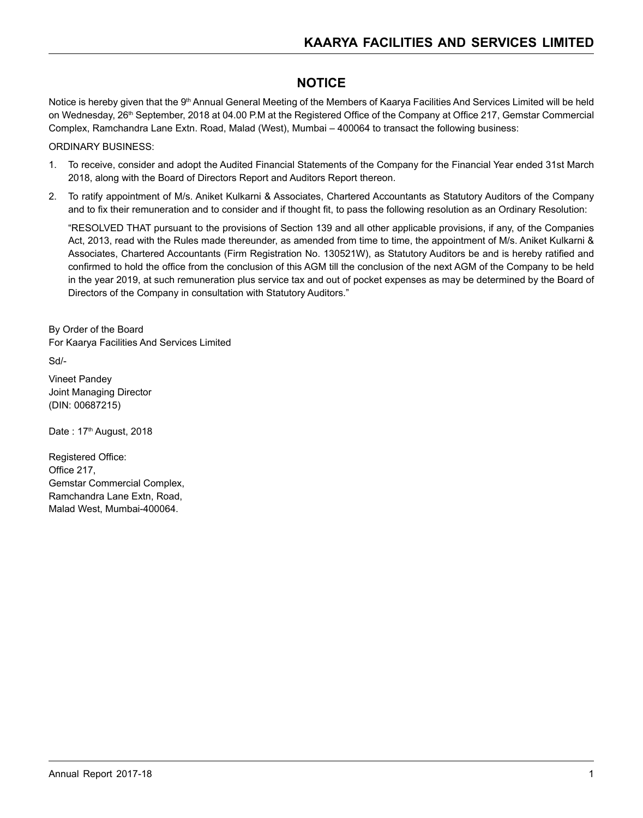# **NOTICE**

Notice is hereby given that the 9<sup>th</sup> Annual General Meeting of the Members of Kaarya Facilities And Services Limited will be held on Wednesday, 26<sup>th</sup> September, 2018 at 04.00 P.M at the Registered Office of the Company at Office 217, Gemstar Commercial Complex, Ramchandra Lane Extn. Road, Malad (West), Mumbai – 400064 to transact the following business:

#### ORDINARY BUSINESS:

- 1. To receive, consider and adopt the Audited Financial Statements of the Company for the Financial Year ended 31st March 2018, along with the Board of Directors Report and Auditors Report thereon.
- 2. To ratify appointment of M/s. Aniket Kulkarni & Associates, Chartered Accountants as Statutory Auditors of the Company and to fix their remuneration and to consider and if thought fit, to pass the following resolution as an Ordinary Resolution:

"RESOLVED THAT pursuant to the provisions of Section 139 and all other applicable provisions, if any, of the Companies Act, 2013, read with the Rules made thereunder, as amended from time to time, the appointment of M/s. Aniket Kulkarni & Associates, Chartered Accountants (Firm Registration No. 130521W), as Statutory Auditors be and is hereby ratified and confirmed to hold the office from the conclusion of this AGM till the conclusion of the next AGM of the Company to be held in the year 2019, at such remuneration plus service tax and out of pocket expenses as may be determined by the Board of Directors of the Company in consultation with Statutory Auditors."

By Order of the Board For Kaarya Facilities And Services Limited

Sd/-

Vineet Pandey Joint Managing Director (DIN: 00687215)

Date: 17<sup>th</sup> August, 2018

Registered Office: Office 217, Gemstar Commercial Complex, Ramchandra Lane Extn, Road, Malad West, Mumbai-400064.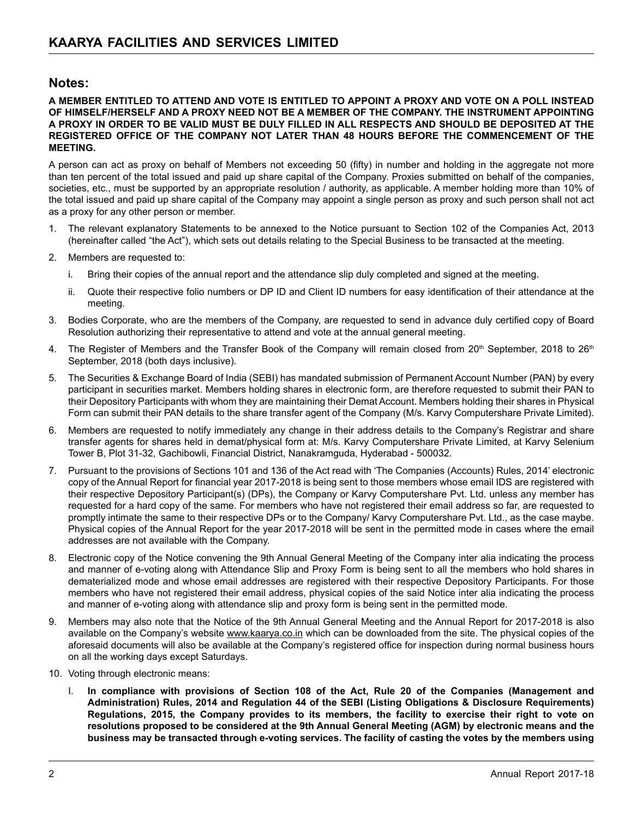# **Notes:**

#### **A MEMBER ENTITLED TO ATTEND AND VOTE IS ENTITLED TO APPOINT A PROXY AND VOTE ON A POLL INSTEAD OF HIMSELF/HERSELF AND A PROXY NEED NOT BE A MEMBER OF THE COMPANY. THE INSTRUMENT APPOINTING A PROXY IN ORDER TO BE VALID MUST BE DULY FILLED IN ALL RESPECTS AND SHOULD BE DEPOSITED AT THE REGISTERED OFFICE OF THE COMPANY NOT LATER THAN 48 HOURS BEFORE THE COMMENCEMENT OF THE MEETING.**

A person can act as proxy on behalf of Members not exceeding 50 (fifty) in number and holding in the aggregate not more than ten percent of the total issued and paid up share capital of the Company. Proxies submitted on behalf of the companies, societies, etc., must be supported by an appropriate resolution / authority, as applicable. A member holding more than 10% of the total issued and paid up share capital of the Company may appoint a single person as proxy and such person shall not act as a proxy for any other person or member.

- 1. The relevant explanatory Statements to be annexed to the Notice pursuant to Section 102 of the Companies Act, 2013 (hereinafter called "the Act"), which sets out details relating to the Special Business to be transacted at the meeting.
- 2. Members are requested to:
	- i. Bring their copies of the annual report and the attendance slip duly completed and signed at the meeting.
	- ii. Quote their respective folio numbers or DP ID and Client ID numbers for easy identification of their attendance at the meeting.
- 3. Bodies Corporate, who are the members of the Company, are requested to send in advance duly certified copy of Board Resolution authorizing their representative to attend and vote at the annual general meeting.
- 4. The Register of Members and the Transfer Book of the Company will remain closed from 20<sup>th</sup> September, 2018 to 26<sup>th</sup> September, 2018 (both days inclusive).
- 5. The Securities & Exchange Board of India (SEBI) has mandated submission of Permanent Account Number (PAN) by every participant in securities market. Members holding shares in electronic form, are therefore requested to submit their PAN to their Depository Participants with whom they are maintaining their Demat Account. Members holding their shares in Physical Form can submit their PAN details to the share transfer agent of the Company (M/s. Karvy Computershare Private Limited).
- 6. Members are requested to notify immediately any change in their address details to the Company's Registrar and share transfer agents for shares held in demat/physical form at: M/s. Karvy Computershare Private Limited, at Karvy Selenium Tower B, Plot 31-32, Gachibowli, Financial District, Nanakramguda, Hyderabad - 500032.
- 7. Pursuant to the provisions of Sections 101 and 136 of the Act read with 'The Companies (Accounts) Rules, 2014' electronic copy of the Annual Report for financial year 2017-2018 is being sent to those members whose email IDS are registered with their respective Depository Participant(s) (DPs), the Company or Karvy Computershare Pvt. Ltd. unless any member has requested for a hard copy of the same. For members who have not registered their email address so far, are requested to promptly intimate the same to their respective DPs or to the Company/ Karvy Computershare Pvt. Ltd., as the case maybe. Physical copies of the Annual Report for the year 2017-2018 will be sent in the permitted mode in cases where the email addresses are not available with the Company.
- 8. Electronic copy of the Notice convening the 9th Annual General Meeting of the Company inter alia indicating the process and manner of e-voting along with Attendance Slip and Proxy Form is being sent to all the members who hold shares in dematerialized mode and whose email addresses are registered with their respective Depository Participants. For those members who have not registered their email address, physical copies of the said Notice inter alia indicating the process and manner of e-voting along with attendance slip and proxy form is being sent in the permitted mode.
- 9. Members may also note that the Notice of the 9th Annual General Meeting and the Annual Report for 2017-2018 is also available on the Company's website www.kaarya.co.in which can be downloaded from the site. The physical copies of the aforesaid documents will also be available at the Company's registered office for inspection during normal business hours on all the working days except Saturdays.
- 10. Voting through electronic means:
	- I. **In compliance with provisions of Section 108 of the Act, Rule 20 of the Companies (Management and Administration) Rules, 2014 and Regulation 44 of the SEBI (Listing Obligations & Disclosure Requirements) Regulations, 2015, the Company provides to its members, the facility to exercise their right to vote on resolutions proposed to be considered at the 9th Annual General Meeting (AGM) by electronic means and the business may be transacted through e-voting services. The facility of casting the votes by the members using**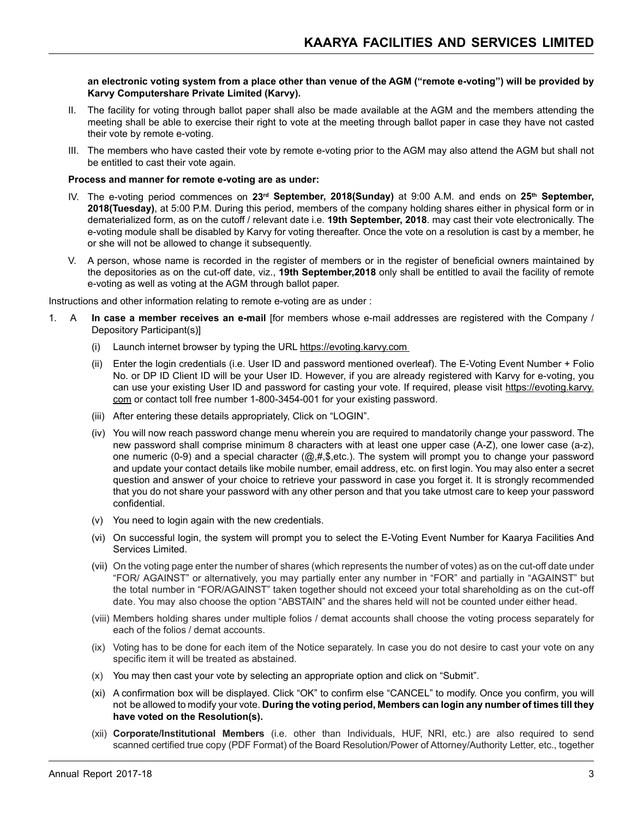**an electronic voting system from a place other than venue of the AGM ("remote e-voting") will be provided by Karvy Computershare Private Limited (Karvy).**

- II. The facility for voting through ballot paper shall also be made available at the AGM and the members attending the meeting shall be able to exercise their right to vote at the meeting through ballot paper in case they have not casted their vote by remote e-voting.
- III. The members who have casted their vote by remote e-voting prior to the AGM may also attend the AGM but shall not be entitled to cast their vote again.

#### **Process and manner for remote e-voting are as under:**

- IV. The e-voting period commences on 23<sup>rd</sup> September, 2018(Sunday) at 9:00 A.M. and ends on 25<sup>th</sup> September, **2018(Tuesday)**, at 5:00 P.M. During this period, members of the company holding shares either in physical form or in dematerialized form, as on the cutoff / relevant date i.e. **19th September, 2018**. may cast their vote electronically. The e-voting module shall be disabled by Karvy for voting thereafter. Once the vote on a resolution is cast by a member, he or she will not be allowed to change it subsequently.
- V. A person, whose name is recorded in the register of members or in the register of beneficial owners maintained by the depositories as on the cut-off date, viz., **19th September,2018** only shall be entitled to avail the facility of remote e-voting as well as voting at the AGM through ballot paper.

Instructions and other information relating to remote e-voting are as under :

- 1. A **In case a member receives an e-mail** [for members whose e-mail addresses are registered with the Company / Depository Participant(s)]
	- (i) Launch internet browser by typing the URL https://evoting.karvy.com
	- (ii) Enter the login credentials (i.e. User ID and password mentioned overleaf). The E-Voting Event Number + Folio No. or DP ID Client ID will be your User ID. However, if you are already registered with Karvy for e-voting, you can use your existing User ID and password for casting your vote. If required, please visit https://evoting.karvy. com or contact toll free number 1-800-3454-001 for your existing password.
	- (iii) After entering these details appropriately, Click on "LOGIN".
	- (iv) You will now reach password change menu wherein you are required to mandatorily change your password. The new password shall comprise minimum 8 characters with at least one upper case (A-Z), one lower case (a-z), one numeric (0-9) and a special character (@,#,\$,etc.). The system will prompt you to change your password and update your contact details like mobile number, email address, etc. on first login. You may also enter a secret question and answer of your choice to retrieve your password in case you forget it. It is strongly recommended that you do not share your password with any other person and that you take utmost care to keep your password confidential.
	- (v) You need to login again with the new credentials.
	- (vi) On successful login, the system will prompt you to select the E-Voting Event Number for Kaarya Facilities And Services Limited.
	- (vii) On the voting page enter the number of shares (which represents the number of votes) as on the cut-off date under "FOR/ AGAINST" or alternatively, you may partially enter any number in "FOR" and partially in "AGAINST" but the total number in "FOR/AGAINST" taken together should not exceed your total shareholding as on the cut-off date. You may also choose the option "ABSTAIN" and the shares held will not be counted under either head.
	- (viii) Members holding shares under multiple folios / demat accounts shall choose the voting process separately for each of the folios / demat accounts.
	- (ix) Voting has to be done for each item of the Notice separately. In case you do not desire to cast your vote on any specific item it will be treated as abstained.
	- (x) You may then cast your vote by selecting an appropriate option and click on "Submit".
	- (xi) A confirmation box will be displayed. Click "OK" to confirm else "CANCEL" to modify. Once you confirm, you will not be allowed to modify your vote. **During the voting period, Members can login any number of times till they have voted on the Resolution(s).**
	- (xii) **Corporate/Institutional Members** (i.e. other than Individuals, HUF, NRI, etc.) are also required to send scanned certified true copy (PDF Format) of the Board Resolution/Power of Attorney/Authority Letter, etc., together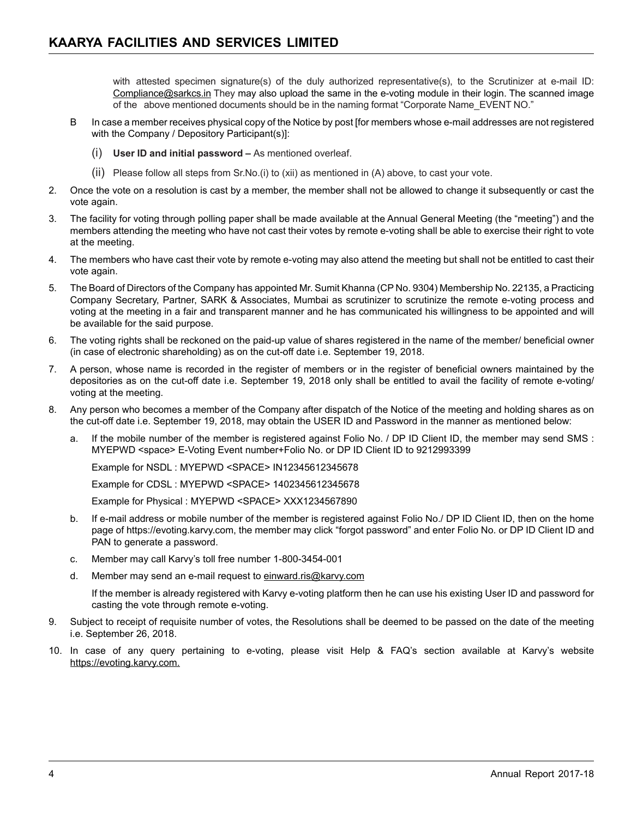with attested specimen signature(s) of the duly authorized representative(s), to the Scrutinizer at e-mail ID: Compliance@sarkcs.in They may also upload the same in the e-voting module in their login. The scanned image of the above mentioned documents should be in the naming format "Corporate Name EVENT NO."

- B In case a member receives physical copy of the Notice by post [for members whose e-mail addresses are not registered with the Company / Depository Participant(s)]:
	- (i) **User ID and initial password** As mentioned overleaf.
	- (ii) Please follow all steps from Sr.No.(i) to (xii) as mentioned in (A) above, to cast your vote.
- 2. Once the vote on a resolution is cast by a member, the member shall not be allowed to change it subsequently or cast the vote again.
- 3. The facility for voting through polling paper shall be made available at the Annual General Meeting (the "meeting") and the members attending the meeting who have not cast their votes by remote e-voting shall be able to exercise their right to vote at the meeting.
- 4. The members who have cast their vote by remote e-voting may also attend the meeting but shall not be entitled to cast their vote again.
- 5. The Board of Directors of the Company has appointed Mr. Sumit Khanna (CP No. 9304) Membership No. 22135, a Practicing Company Secretary, Partner, SARK & Associates, Mumbai as scrutinizer to scrutinize the remote e-voting process and voting at the meeting in a fair and transparent manner and he has communicated his willingness to be appointed and will be available for the said purpose.
- 6. The voting rights shall be reckoned on the paid-up value of shares registered in the name of the member/ beneficial owner (in case of electronic shareholding) as on the cut-off date i.e. September 19, 2018.
- 7. A person, whose name is recorded in the register of members or in the register of beneficial owners maintained by the depositories as on the cut-off date i.e. September 19, 2018 only shall be entitled to avail the facility of remote e-voting/ voting at the meeting.
- 8. Any person who becomes a member of the Company after dispatch of the Notice of the meeting and holding shares as on the cut-off date i.e. September 19, 2018, may obtain the USER ID and Password in the manner as mentioned below:
	- a. If the mobile number of the member is registered against Folio No. / DP ID Client ID, the member may send SMS : MYEPWD <space> E-Voting Event number+Folio No. or DP ID Client ID to 9212993399

Example for NSDL : MYEPWD <SPACE> IN12345612345678

Example for CDSL : MYEPWD <SPACE> 1402345612345678

Example for Physical : MYEPWD <SPACE> XXX1234567890

- b. If e-mail address or mobile number of the member is registered against Folio No./ DP ID Client ID, then on the home page of https://evoting.karvy.com, the member may click "forgot password" and enter Folio No. or DP ID Client ID and PAN to generate a password.
- c. Member may call Karvy's toll free number 1-800-3454-001
- d. Member may send an e-mail request to einward.ris@karvy.com

If the member is already registered with Karvy e-voting platform then he can use his existing User ID and password for casting the vote through remote e-voting.

- 9. Subject to receipt of requisite number of votes, the Resolutions shall be deemed to be passed on the date of the meeting i.e. September 26, 2018.
- 10. In case of any query pertaining to e-voting, please visit Help & FAQ's section available at Karvy's website https://evoting.karvy.com.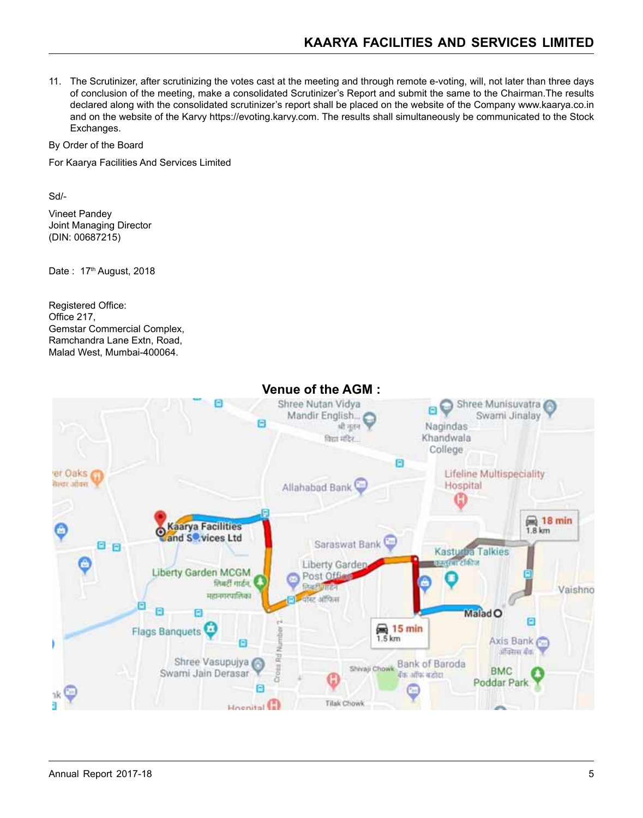11. The Scrutinizer, after scrutinizing the votes cast at the meeting and through remote e-voting, will, not later than three days of conclusion of the meeting, make a consolidated Scrutinizer's Report and submit the same to the Chairman.The results declared along with the consolidated scrutinizer's report shall be placed on the website of the Company www.kaarya.co.in and on the website of the Karvy https://evoting.karvy.com. The results shall simultaneously be communicated to the Stock Exchanges.

By Order of the Board

For Kaarya Facilities And Services Limited

Sd/-

Vineet Pandey Joint Managing Director (DIN: 00687215)

Date: 17<sup>th</sup> August, 2018

Registered Office: Office 217, Gemstar Commercial Complex, Ramchandra Lane Extn, Road, Malad West, Mumbai-400064.



# **Venue of the AGM :**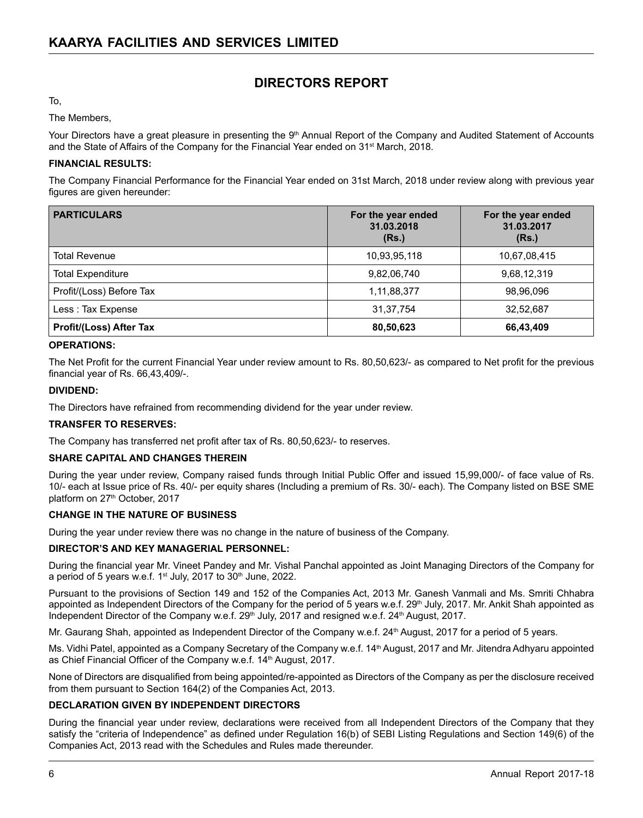# **DIRECTORS REPORT**

To,

The Members,

Your Directors have a great pleasure in presenting the 9th Annual Report of the Company and Audited Statement of Accounts and the State of Affairs of the Company for the Financial Year ended on 31st March, 2018.

#### **FINANCIAL RESULTS:**

The Company Financial Performance for the Financial Year ended on 31st March, 2018 under review along with previous year figures are given hereunder:

| <b>PARTICULARS</b>       | For the year ended<br>31.03.2018<br>(Rs.) | For the year ended<br>31.03.2017<br>(Rs.) |
|--------------------------|-------------------------------------------|-------------------------------------------|
| <b>Total Revenue</b>     | 10,93,95,118                              | 10,67,08,415                              |
| <b>Total Expenditure</b> | 9,82,06,740                               | 9,68,12,319                               |
| Profit/(Loss) Before Tax | 1,11,88,377                               | 98,96,096                                 |
| Less: Tax Expense        | 31.37.754                                 | 32,52,687                                 |
| Profit/(Loss) After Tax  | 80,50,623                                 | 66,43,409                                 |

#### **OPERATIONS:**

The Net Profit for the current Financial Year under review amount to Rs. 80,50,623/- as compared to Net profit for the previous financial year of Rs. 66,43,409/-.

#### **DIVIDEND:**

The Directors have refrained from recommending dividend for the year under review.

#### **TRANSFER TO RESERVES:**

The Company has transferred net profit after tax of Rs. 80,50,623/- to reserves.

#### **SHARE CAPITAL AND CHANGES THEREIN**

During the year under review, Company raised funds through Initial Public Offer and issued 15,99,000/- of face value of Rs. 10/- each at Issue price of Rs. 40/- per equity shares (Including a premium of Rs. 30/- each). The Company listed on BSE SME platform on 27<sup>th</sup> October, 2017

#### **CHANGE IN THE NATURE OF BUSINESS**

During the year under review there was no change in the nature of business of the Company.

#### **DIRECTOR'S AND KEY MANAGERIAL PERSONNEL:**

During the financial year Mr. Vineet Pandey and Mr. Vishal Panchal appointed as Joint Managing Directors of the Company for a period of 5 years w.e.f. 1<sup>st</sup> July, 2017 to 30<sup>th</sup> June, 2022.

Pursuant to the provisions of Section 149 and 152 of the Companies Act, 2013 Mr. Ganesh Vanmali and Ms. Smriti Chhabra appointed as Independent Directors of the Company for the period of 5 years w.e.f. 29<sup>th</sup> July, 2017. Mr. Ankit Shah appointed as Independent Director of the Company w.e.f. 29<sup>th</sup> July, 2017 and resigned w.e.f. 24<sup>th</sup> August, 2017.

Mr. Gaurang Shah, appointed as Independent Director of the Company w.e.f. 24th August, 2017 for a period of 5 years.

Ms. Vidhi Patel, appointed as a Company Secretary of the Company w.e.f. 14<sup>th</sup> August, 2017 and Mr. Jitendra Adhyaru appointed as Chief Financial Officer of the Company w.e.f. 14<sup>th</sup> August, 2017.

None of Directors are disqualified from being appointed/re-appointed as Directors of the Company as per the disclosure received from them pursuant to Section 164(2) of the Companies Act, 2013.

#### **DECLARATION GIVEN BY INDEPENDENT DIRECTORS**

During the financial year under review, declarations were received from all Independent Directors of the Company that they satisfy the "criteria of Independence" as defined under Regulation 16(b) of SEBI Listing Regulations and Section 149(6) of the Companies Act, 2013 read with the Schedules and Rules made thereunder.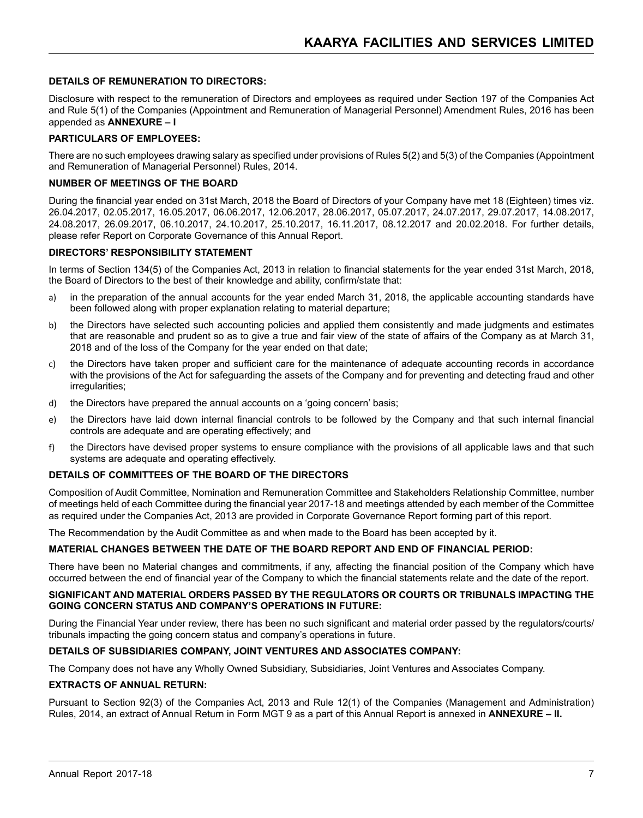#### **DETAILS OF REMUNERATION TO DIRECTORS:**

Disclosure with respect to the remuneration of Directors and employees as required under Section 197 of the Companies Act and Rule 5(1) of the Companies (Appointment and Remuneration of Managerial Personnel) Amendment Rules, 2016 has been appended as **ANNEXURE – I**

#### **PARTICULARS OF EMPLOYEES:**

There are no such employees drawing salary as specified under provisions of Rules 5(2) and 5(3) of the Companies (Appointment and Remuneration of Managerial Personnel) Rules, 2014.

#### **NUMBER OF MEETINGS OF THE BOARD**

During the financial year ended on 31st March, 2018 the Board of Directors of your Company have met 18 (Eighteen) times viz. 26.04.2017, 02.05.2017, 16.05.2017, 06.06.2017, 12.06.2017, 28.06.2017, 05.07.2017, 24.07.2017, 29.07.2017, 14.08.2017, 24.08.2017, 26.09.2017, 06.10.2017, 24.10.2017, 25.10.2017, 16.11.2017, 08.12.2017 and 20.02.2018. For further details, please refer Report on Corporate Governance of this Annual Report.

#### **DIRECTORS' RESPONSIBILITY STATEMENT**

In terms of Section 134(5) of the Companies Act, 2013 in relation to financial statements for the year ended 31st March, 2018, the Board of Directors to the best of their knowledge and ability, confirm/state that:

- a) in the preparation of the annual accounts for the year ended March 31, 2018, the applicable accounting standards have been followed along with proper explanation relating to material departure;
- b) the Directors have selected such accounting policies and applied them consistently and made judgments and estimates that are reasonable and prudent so as to give a true and fair view of the state of affairs of the Company as at March 31, 2018 and of the loss of the Company for the year ended on that date;
- c) the Directors have taken proper and sufficient care for the maintenance of adequate accounting records in accordance with the provisions of the Act for safeguarding the assets of the Company and for preventing and detecting fraud and other irregularities;
- d) the Directors have prepared the annual accounts on a 'going concern' basis;
- e) the Directors have laid down internal financial controls to be followed by the Company and that such internal financial controls are adequate and are operating effectively; and
- f) the Directors have devised proper systems to ensure compliance with the provisions of all applicable laws and that such systems are adequate and operating effectively.

#### **DETAILS OF COMMITTEES OF THE BOARD OF THE DIRECTORS**

Composition of Audit Committee, Nomination and Remuneration Committee and Stakeholders Relationship Committee, number of meetings held of each Committee during the financial year 2017-18 and meetings attended by each member of the Committee as required under the Companies Act, 2013 are provided in Corporate Governance Report forming part of this report.

The Recommendation by the Audit Committee as and when made to the Board has been accepted by it.

#### **MATERIAL CHANGES BETWEEN THE DATE OF THE BOARD REPORT AND END OF FINANCIAL PERIOD:**

There have been no Material changes and commitments, if any, affecting the financial position of the Company which have occurred between the end of financial year of the Company to which the financial statements relate and the date of the report.

#### **SIGNIFICANT AND MATERIAL ORDERS PASSED BY THE REGULATORS OR COURTS OR TRIBUNALS IMPACTING THE GOING CONCERN STATUS AND COMPANY'S OPERATIONS IN FUTURE:**

During the Financial Year under review, there has been no such significant and material order passed by the regulators/courts/ tribunals impacting the going concern status and company's operations in future.

#### **DETAILS OF SUBSIDIARIES COMPANY, JOINT VENTURES AND ASSOCIATES COMPANY:**

The Company does not have any Wholly Owned Subsidiary, Subsidiaries, Joint Ventures and Associates Company.

#### **EXTRACTS OF ANNUAL RETURN:**

Pursuant to Section 92(3) of the Companies Act, 2013 and Rule 12(1) of the Companies (Management and Administration) Rules, 2014, an extract of Annual Return in Form MGT 9 as a part of this Annual Report is annexed in **ANNEXURE – II.**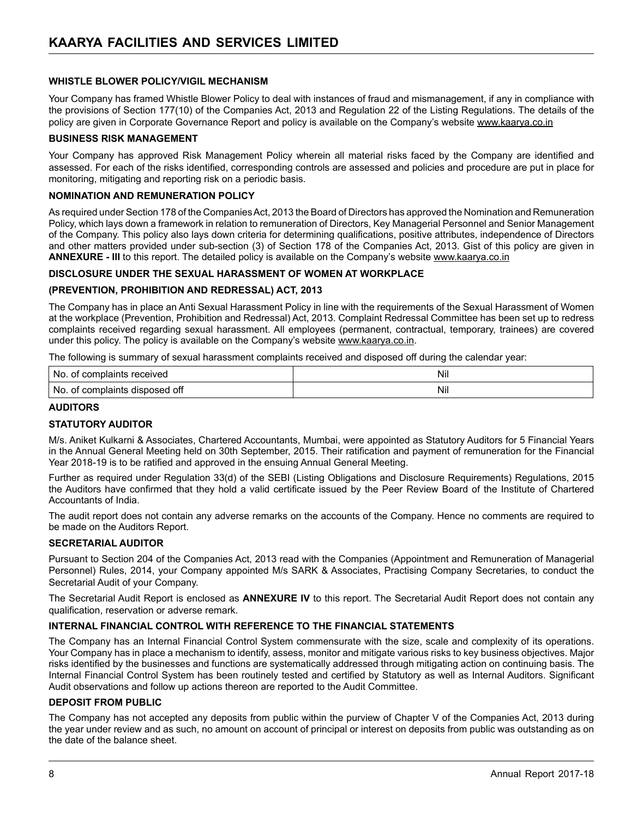#### **WHISTLE BLOWER POLICY/VIGIL MECHANISM**

Your Company has framed Whistle Blower Policy to deal with instances of fraud and mismanagement, if any in compliance with the provisions of Section 177(10) of the Companies Act, 2013 and Regulation 22 of the Listing Regulations. The details of the policy are given in Corporate Governance Report and policy is available on the Company's website www.kaarya.co.in

#### **BUSINESS RISK MANAGEMENT**

Your Company has approved Risk Management Policy wherein all material risks faced by the Company are identified and assessed. For each of the risks identified, corresponding controls are assessed and policies and procedure are put in place for monitoring, mitigating and reporting risk on a periodic basis.

#### **NOMINATION AND REMUNERATION POLICY**

As required under Section 178 of the Companies Act, 2013 the Board of Directors has approved the Nomination and Remuneration Policy, which lays down a framework in relation to remuneration of Directors, Key Managerial Personnel and Senior Management of the Company. This policy also lays down criteria for determining qualifications, positive attributes, independence of Directors and other matters provided under sub-section (3) of Section 178 of the Companies Act, 2013. Gist of this policy are given in **ANNEXURE - III** to this report. The detailed policy is available on the Company's website www.kaarya.co.in

#### **DISCLOSURE UNDER THE SEXUAL HARASSMENT OF WOMEN AT WORKPLACE**

#### **(PREVENTION, PROHIBITION AND REDRESSAL) ACT, 2013**

The Company has in place an Anti Sexual Harassment Policy in line with the requirements of the Sexual Harassment of Women at the workplace (Prevention, Prohibition and Redressal) Act, 2013. Complaint Redressal Committee has been set up to redress complaints received regarding sexual harassment. All employees (permanent, contractual, temporary, trainees) are covered under this policy. The policy is available on the Company's website www.kaarya.co.in.

The following is summary of sexual harassment complaints received and disposed off during the calendar year:

| received<br>N0<br>cor<br>aplaints <sup>r</sup>                   | Nil |
|------------------------------------------------------------------|-----|
| .<br>-No<br><b>COL</b><br>disposed off<br>'ঝn৷ে<br>$\sim$ $\sim$ | Nil |

#### **AUDITORS**

#### **STATUTORY AUDITOR**

M/s. Aniket Kulkarni & Associates, Chartered Accountants, Mumbai, were appointed as Statutory Auditors for 5 Financial Years in the Annual General Meeting held on 30th September, 2015. Their ratification and payment of remuneration for the Financial Year 2018-19 is to be ratified and approved in the ensuing Annual General Meeting.

Further as required under Regulation 33(d) of the SEBI (Listing Obligations and Disclosure Requirements) Regulations, 2015 the Auditors have confirmed that they hold a valid certificate issued by the Peer Review Board of the Institute of Chartered Accountants of India.

The audit report does not contain any adverse remarks on the accounts of the Company. Hence no comments are required to be made on the Auditors Report.

#### **SECRETARIAL AUDITOR**

Pursuant to Section 204 of the Companies Act, 2013 read with the Companies (Appointment and Remuneration of Managerial Personnel) Rules, 2014, your Company appointed M/s SARK & Associates, Practising Company Secretaries, to conduct the Secretarial Audit of your Company.

The Secretarial Audit Report is enclosed as **ANNEXURE IV** to this report. The Secretarial Audit Report does not contain any qualification, reservation or adverse remark.

#### **INTERNAL FINANCIAL CONTROL WITH REFERENCE TO THE FINANCIAL STATEMENTS**

The Company has an Internal Financial Control System commensurate with the size, scale and complexity of its operations. Your Company has in place a mechanism to identify, assess, monitor and mitigate various risks to key business objectives. Major risks identified by the businesses and functions are systematically addressed through mitigating action on continuing basis. The Internal Financial Control System has been routinely tested and certified by Statutory as well as Internal Auditors. Significant Audit observations and follow up actions thereon are reported to the Audit Committee.

#### **DEPOSIT FROM PUBLIC**

The Company has not accepted any deposits from public within the purview of Chapter V of the Companies Act, 2013 during the year under review and as such, no amount on account of principal or interest on deposits from public was outstanding as on the date of the balance sheet.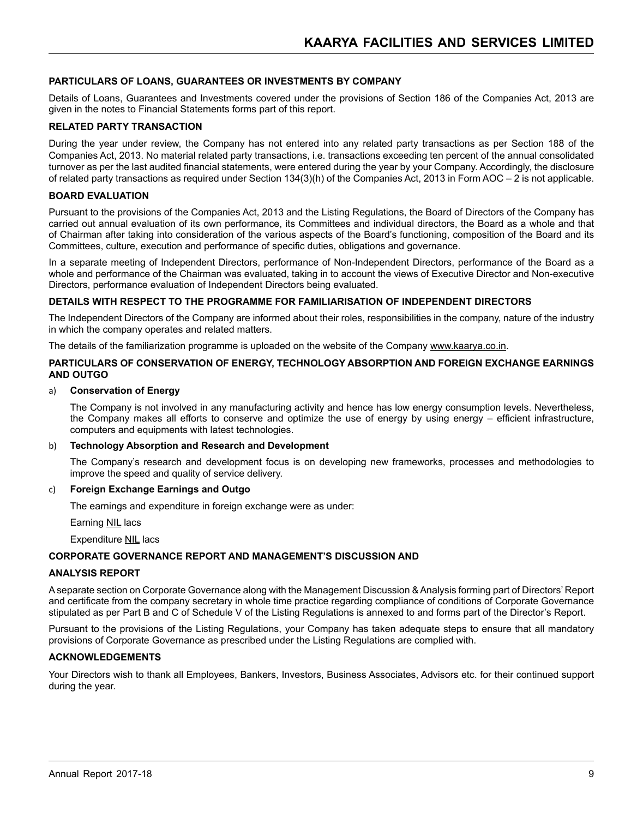#### **PARTICULARS OF LOANS, GUARANTEES OR INVESTMENTS BY COMPANY**

Details of Loans, Guarantees and Investments covered under the provisions of Section 186 of the Companies Act, 2013 are given in the notes to Financial Statements forms part of this report.

#### **RELATED PARTY TRANSACTION**

During the year under review, the Company has not entered into any related party transactions as per Section 188 of the Companies Act, 2013. No material related party transactions, i.e. transactions exceeding ten percent of the annual consolidated turnover as per the last audited financial statements, were entered during the year by your Company. Accordingly, the disclosure of related party transactions as required under Section 134(3)(h) of the Companies Act, 2013 in Form AOC – 2 is not applicable.

#### **BOARD EVALUATION**

Pursuant to the provisions of the Companies Act, 2013 and the Listing Regulations, the Board of Directors of the Company has carried out annual evaluation of its own performance, its Committees and individual directors, the Board as a whole and that of Chairman after taking into consideration of the various aspects of the Board's functioning, composition of the Board and its Committees, culture, execution and performance of specific duties, obligations and governance.

In a separate meeting of Independent Directors, performance of Non-Independent Directors, performance of the Board as a whole and performance of the Chairman was evaluated, taking in to account the views of Executive Director and Non-executive Directors, performance evaluation of Independent Directors being evaluated.

#### **DETAILS WITH RESPECT TO THE PROGRAMME FOR FAMILIARISATION OF INDEPENDENT DIRECTORS**

The Independent Directors of the Company are informed about their roles, responsibilities in the company, nature of the industry in which the company operates and related matters.

The details of the familiarization programme is uploaded on the website of the Company www.kaarya.co.in.

#### **PARTICULARS OF CONSERVATION OF ENERGY, TECHNOLOGY ABSORPTION AND FOREIGN EXCHANGE EARNINGS AND OUTGO**

#### a) **Conservation of Energy**

The Company is not involved in any manufacturing activity and hence has low energy consumption levels. Nevertheless, the Company makes all efforts to conserve and optimize the use of energy by using energy – efficient infrastructure, computers and equipments with latest technologies.

#### b) **Technology Absorption and Research and Development**

The Company's research and development focus is on developing new frameworks, processes and methodologies to improve the speed and quality of service delivery.

#### c) **Foreign Exchange Earnings and Outgo**

The earnings and expenditure in foreign exchange were as under:

Earning **NIL** lacs

Expenditure NIL lacs

#### **CORPORATE GOVERNANCE REPORT AND MANAGEMENT'S DISCUSSION AND**

#### **ANALYSIS REPORT**

A separate section on Corporate Governance along with the Management Discussion & Analysis forming part of Directors' Report and certificate from the company secretary in whole time practice regarding compliance of conditions of Corporate Governance stipulated as per Part B and C of Schedule V of the Listing Regulations is annexed to and forms part of the Director's Report.

Pursuant to the provisions of the Listing Regulations, your Company has taken adequate steps to ensure that all mandatory provisions of Corporate Governance as prescribed under the Listing Regulations are complied with.

#### **ACKNOWLEDGEMENTS**

Your Directors wish to thank all Employees, Bankers, Investors, Business Associates, Advisors etc. for their continued support during the year.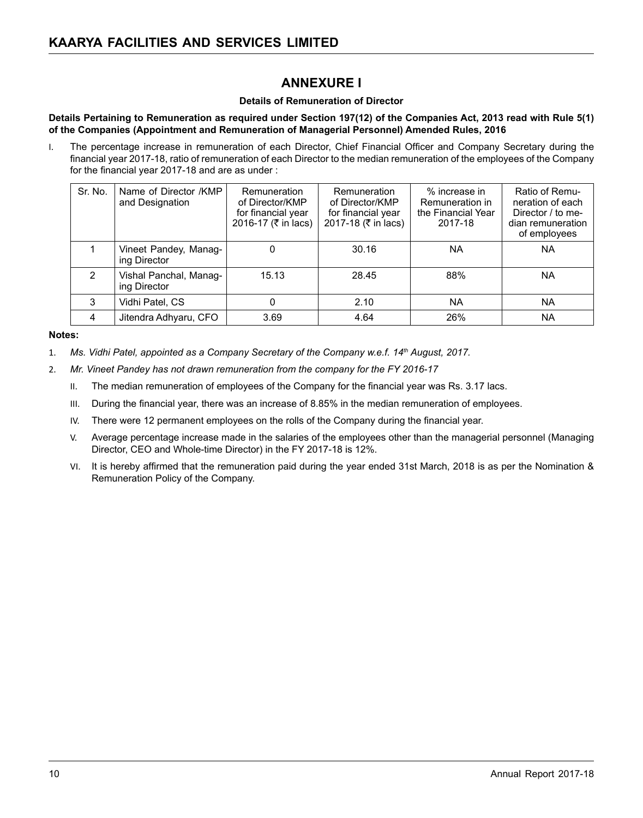# **ANNEXURE I**

#### **Details of Remuneration of Director**

#### **Details Pertaining to Remuneration as required under Section 197(12) of the Companies Act, 2013 read with Rule 5(1) of the Companies (Appointment and Remuneration of Managerial Personnel) Amended Rules, 2016**

I. The percentage increase in remuneration of each Director, Chief Financial Officer and Company Secretary during the financial year 2017-18, ratio of remuneration of each Director to the median remuneration of the employees of the Company for the financial year 2017-18 and are as under :

| Sr. No.       | Name of Director /KMP<br>and Designation | Remuneration<br>of Director/KMP<br>for financial year<br>2016-17 (₹ in lacs) | Remuneration<br>of Director/KMP<br>for financial year<br>2017-18 (₹ in lacs) | % increase in<br>Remuneration in<br>the Financial Year<br>2017-18 | Ratio of Remu-<br>neration of each<br>Director / to me-<br>dian remuneration<br>of employees |
|---------------|------------------------------------------|------------------------------------------------------------------------------|------------------------------------------------------------------------------|-------------------------------------------------------------------|----------------------------------------------------------------------------------------------|
|               | Vineet Pandey, Manag-<br>ing Director    | 0                                                                            | 30.16                                                                        | <b>NA</b>                                                         | <b>NA</b>                                                                                    |
| $\mathcal{P}$ | Vishal Panchal, Manag-<br>ing Director   | 15.13                                                                        | 28.45                                                                        | 88%                                                               | <b>NA</b>                                                                                    |
| 3             | Vidhi Patel, CS                          | 0                                                                            | 2.10                                                                         | <b>NA</b>                                                         | ΝA                                                                                           |
| 4             | Jitendra Adhyaru, CFO                    | 3.69                                                                         | 4.64                                                                         | 26%                                                               | <b>NA</b>                                                                                    |

#### **Notes:**

- 1. *Ms. Vidhi Patel, appointed as a Company Secretary of the Company w.e.f. 14th August, 2017.*
- 2. *Mr. Vineet Pandey has not drawn remuneration from the company for the FY 2016-17*
	- II. The median remuneration of employees of the Company for the financial year was Rs. 3.17 lacs.
	- III. During the financial year, there was an increase of 8.85% in the median remuneration of employees.
	- IV. There were 12 permanent employees on the rolls of the Company during the financial year.
	- V. Average percentage increase made in the salaries of the employees other than the managerial personnel (Managing Director, CEO and Whole-time Director) in the FY 2017-18 is 12%.
	- VI. It is hereby affirmed that the remuneration paid during the year ended 31st March, 2018 is as per the Nomination & Remuneration Policy of the Company.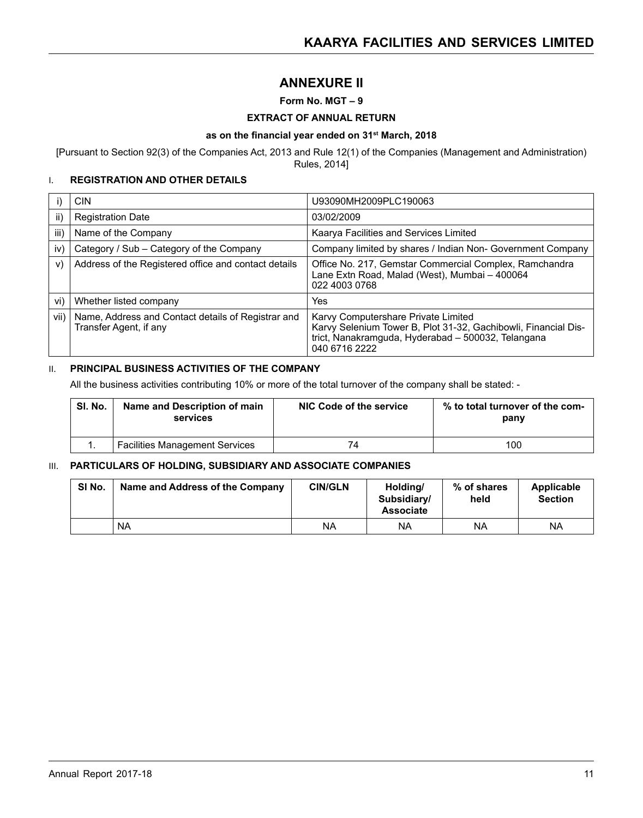# **Annexure II**

#### **Form No. MGT – 9**

#### **EXTRACT OF ANNUAL RETURN**

#### **as on the financial year ended on 31st March, 2018**

[Pursuant to Section 92(3) of the Companies Act, 2013 and Rule 12(1) of the Companies (Management and Administration) Rules, 2014]

#### I. **REGISTRATION AND OTHER DETAILS**

|      | <b>CIN</b>                                                                   | U93090MH2009PLC190063                                                                                                                                                        |
|------|------------------------------------------------------------------------------|------------------------------------------------------------------------------------------------------------------------------------------------------------------------------|
| ii)  | <b>Registration Date</b>                                                     | 03/02/2009                                                                                                                                                                   |
| iii) | Name of the Company                                                          | Kaarya Facilities and Services Limited                                                                                                                                       |
| iv)  | Category / Sub – Category of the Company                                     | Company limited by shares / Indian Non- Government Company                                                                                                                   |
| V)   | Address of the Registered office and contact details                         | Office No. 217, Gemstar Commercial Complex, Ramchandra<br>Lane Extn Road, Malad (West), Mumbai – 400064<br>022 4003 0768                                                     |
| vi)  | Whether listed company                                                       | Yes                                                                                                                                                                          |
| vii) | Name, Address and Contact details of Registrar and<br>Transfer Agent, if any | Karvy Computershare Private Limited<br>Karvy Selenium Tower B, Plot 31-32, Gachibowli, Financial Dis-<br>trict, Nanakramguda, Hyderabad - 500032, Telangana<br>040 6716 2222 |

#### **II. PRINCIPAL BUSINESS ACTIVITIES OF THE COMPANY**

All the business activities contributing 10% or more of the total turnover of the company shall be stated: -

| SI. No. | Name and Description of main<br>services | NIC Code of the service | % to total turnover of the com-<br>pany |
|---------|------------------------------------------|-------------------------|-----------------------------------------|
|         | <b>Facilities Management Services</b>    | 74                      | 100                                     |

#### III. **PARTICULARS OF HOLDING, SUBSIDIARY AND ASSOCIATE COMPANIES**

| SI No. | Name and Address of the Company | <b>CIN/GLN</b> | Holding/<br>Subsidiary/<br><b>Associate</b> | % of shares<br>held | Applicable<br><b>Section</b> |
|--------|---------------------------------|----------------|---------------------------------------------|---------------------|------------------------------|
|        | <b>NA</b>                       | ΝA             | <b>NA</b>                                   | ΝA                  | NA                           |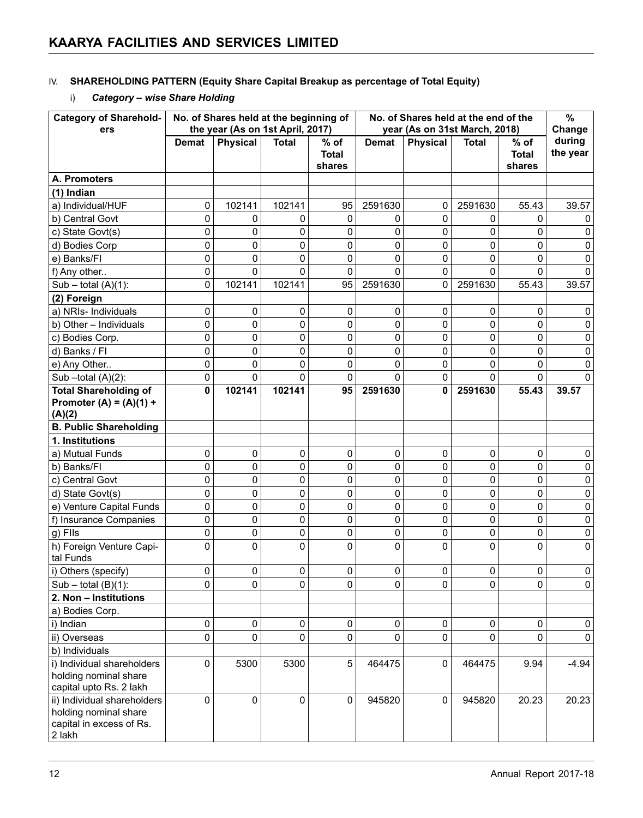#### IV. **SHAREHOLDING PATTERN (Equity Share Capital Breakup as percentage of Total Equity)**

# i) *Category – wise Share Holding*

| <b>Category of Sharehold-</b>                                                              | No. of Shares held at the beginning of<br>the year (As on 1st April, 2017) |                 | No. of Shares held at the end of the<br>year (As on 31st March, 2018) |                                  |              |                 | $\%$         |                                  |                              |
|--------------------------------------------------------------------------------------------|----------------------------------------------------------------------------|-----------------|-----------------------------------------------------------------------|----------------------------------|--------------|-----------------|--------------|----------------------------------|------------------------------|
| ers                                                                                        | <b>Demat</b>                                                               | <b>Physical</b> | <b>Total</b>                                                          | $%$ of<br><b>Total</b><br>shares | <b>Demat</b> | <b>Physical</b> | <b>Total</b> | $%$ of<br><b>Total</b><br>shares | Change<br>during<br>the year |
| A. Promoters                                                                               |                                                                            |                 |                                                                       |                                  |              |                 |              |                                  |                              |
| (1) Indian                                                                                 |                                                                            |                 |                                                                       |                                  |              |                 |              |                                  |                              |
| a) Individual/HUF                                                                          | 0                                                                          | 102141          | 102141                                                                | 95                               | 2591630      | 0               | 2591630      | 55.43                            | 39.57                        |
| b) Central Govt                                                                            | 0                                                                          | 0               | 0                                                                     | 0                                | 0            | 0               | 0            | 0                                | 0                            |
| c) State Govt(s)                                                                           | 0                                                                          | 0               | 0                                                                     | 0                                | 0            | 0               | 0            | 0                                | 0                            |
| d) Bodies Corp                                                                             | 0                                                                          | 0               | 0                                                                     | 0                                | 0            | 0               | $\mathbf 0$  | 0                                | 0                            |
| e) Banks/Fl                                                                                | 0                                                                          | $\mathbf 0$     | 0                                                                     | 0                                | 0            | $\mathbf 0$     | 0            | 0                                | 0                            |
| f) Any other                                                                               | 0                                                                          | 0               | 0                                                                     | 0                                | $\Omega$     | $\mathbf 0$     | 0            | 0                                | 0                            |
| $Sub - total (A)(1)$ :                                                                     | 0                                                                          | 102141          | 102141                                                                | 95                               | 2591630      | 0               | 2591630      | 55.43                            | 39.57                        |
| (2) Foreign                                                                                |                                                                            |                 |                                                                       |                                  |              |                 |              |                                  |                              |
| a) NRIs- Individuals                                                                       | 0                                                                          | 0               | 0                                                                     | 0                                | 0            | $\mathbf 0$     | 0            | 0                                | 0                            |
| b) Other - Individuals                                                                     | 0                                                                          | 0               | 0                                                                     | 0                                | 0            | $\mathbf 0$     | 0            | 0                                | 0                            |
| c) Bodies Corp.                                                                            | 0                                                                          | 0               | 0                                                                     | 0                                | 0            | 0               | 0            | 0                                | 0                            |
| d) Banks / Fl                                                                              | 0                                                                          | 0               | 0                                                                     | 0                                | 0            | 0               | 0            | 0                                | 0                            |
| e) Any Other                                                                               | 0                                                                          | 0               | 0                                                                     | 0                                | 0            | 0               | 0            | 0                                | 0                            |
| Sub-total $(A)(2)$ :                                                                       | 0                                                                          | 0               | 0                                                                     | 0                                | $\Omega$     | 0               | 0            | 0                                | 0                            |
| <b>Total Shareholding of</b>                                                               | 0                                                                          | 102141          | 102141                                                                | 95                               | 2591630      | 0               | 2591630      | 55.43                            | 39.57                        |
| Promoter (A) = $(A)(1) +$<br>(A)(2)                                                        |                                                                            |                 |                                                                       |                                  |              |                 |              |                                  |                              |
| <b>B. Public Shareholding</b>                                                              |                                                                            |                 |                                                                       |                                  |              |                 |              |                                  |                              |
| 1. Institutions                                                                            |                                                                            |                 |                                                                       |                                  |              |                 |              |                                  |                              |
| a) Mutual Funds                                                                            | 0                                                                          | 0               | 0                                                                     | 0                                | 0            | 0               | 0            | 0                                | 0                            |
| b) Banks/FI                                                                                | 0                                                                          | 0               | $\pmb{0}$                                                             | 0                                | 0            | 0               | 0            | 0                                | 0                            |
| c) Central Govt                                                                            | 0                                                                          | 0               | 0                                                                     | 0                                | 0            | 0               | 0            | 0                                | 0                            |
| d) State Govt(s)                                                                           | 0                                                                          | 0               | 0                                                                     | 0                                | 0            | 0               | 0            | 0                                | 0                            |
| e) Venture Capital Funds                                                                   | 0                                                                          | 0               | 0                                                                     | 0                                | 0            | 0               | 0            | 0                                | 0                            |
| f) Insurance Companies                                                                     | 0                                                                          | 0               | 0                                                                     | 0                                | 0            | 0               | 0            | 0                                | 0                            |
| g) Fils                                                                                    | 0                                                                          | 0               | 0                                                                     | 0                                | 0            | 0               | 0            | 0                                | 0                            |
| h) Foreign Venture Capi-<br>tal Funds                                                      | 0                                                                          | 0               | 0                                                                     | 0                                | 0            | 0               | $\mathbf{0}$ | 0                                | 0                            |
| i) Others (specify)                                                                        | 0                                                                          | 0               | 0                                                                     | 0                                | 0            | 0               | 0            | 0                                | 0                            |
| $Sub - total (B)(1)$ :                                                                     | 0                                                                          | 0               | 0                                                                     | 0                                | 0            | 0               | 0            | 0                                | 0                            |
| 2. Non – Institutions                                                                      |                                                                            |                 |                                                                       |                                  |              |                 |              |                                  |                              |
| a) Bodies Corp.                                                                            |                                                                            |                 |                                                                       |                                  |              |                 |              |                                  |                              |
| i) Indian                                                                                  | 0                                                                          | 0               | 0                                                                     | 0                                | 0            | 0               | 0            | 0                                | 0                            |
| ii) Overseas                                                                               | 0                                                                          | 0               | 0                                                                     | 0                                | 0            | 0               | 0            | 0                                | 0                            |
| b) Individuals                                                                             |                                                                            |                 |                                                                       |                                  |              |                 |              |                                  |                              |
| i) Individual shareholders<br>holding nominal share<br>capital upto Rs. 2 lakh             | 0                                                                          | 5300            | 5300                                                                  | 5                                | 464475       | 0               | 464475       | 9.94                             | $-4.94$                      |
| ii) Individual shareholders<br>holding nominal share<br>capital in excess of Rs.<br>2 lakh | 0                                                                          | 0               | 0                                                                     | $\pmb{0}$                        | 945820       | 0               | 945820       | 20.23                            | 20.23                        |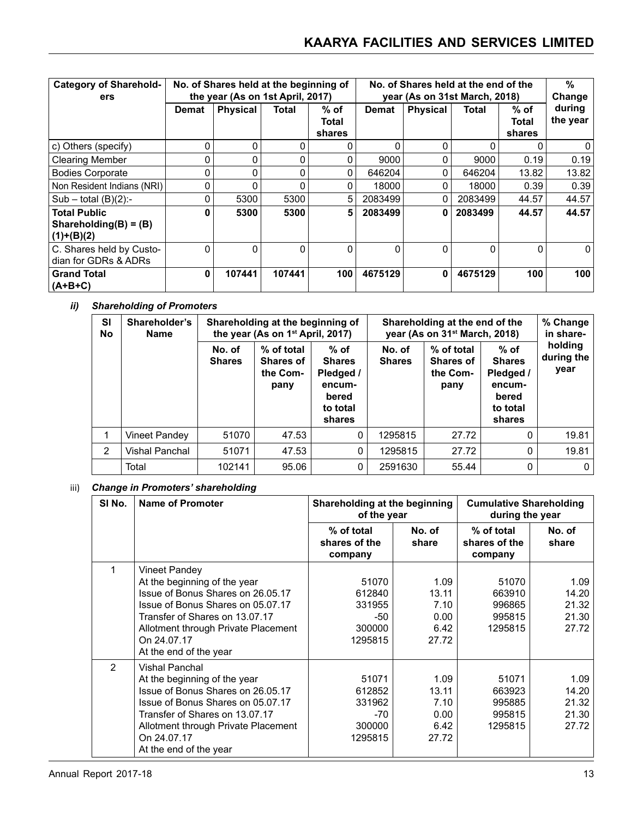| <b>Category of Sharehold-</b><br>ers                            | No. of Shares held at the beginning of<br>the year (As on 1st April, 2017) |                 |          | No. of Shares held at the end of the<br>year (As on 31st March, 2018) |          |                 |          | %<br>Change             |                    |
|-----------------------------------------------------------------|----------------------------------------------------------------------------|-----------------|----------|-----------------------------------------------------------------------|----------|-----------------|----------|-------------------------|--------------------|
|                                                                 | Demat                                                                      | <b>Physical</b> | Total    | % of<br>Total<br>shares                                               | Demat    | <b>Physical</b> | Total    | % of<br>Total<br>shares | during<br>the year |
| c) Others (specify)                                             | 0                                                                          | $\Omega$        | $\Omega$ | O                                                                     | O        | $\Omega$        | O        | O                       | $\Omega$           |
| <b>Clearing Member</b>                                          | 0                                                                          | $\mathbf 0$     | $\Omega$ | 0                                                                     | 9000     | 0               | 9000     | 0.19                    | 0.19               |
| <b>Bodies Corporate</b>                                         | 0                                                                          | 0               | $\Omega$ | O                                                                     | 646204   | 0               | 646204   | 13.82                   | 13.82              |
| Non Resident Indians (NRI)                                      | 0                                                                          | $\mathbf 0$     | $\Omega$ | 0                                                                     | 18000    | 0               | 18000    | 0.39                    | 0.39               |
| $Sub - total (B)(2)$ :-                                         | 0                                                                          | 5300            | 5300     | 5                                                                     | 2083499  | 0               | 2083499  | 44.57                   | 44.57              |
| <b>Total Public</b><br>Shareholding $(B) = (B)$<br>$(1)+(B)(2)$ | ŋ                                                                          | 5300            | 5300     | 5                                                                     | 2083499  | 0               | 2083499  | 44.57                   | 44.57              |
| C. Shares held by Custo-<br>dian for GDRs & ADRs                | $\Omega$                                                                   | $\mathbf 0$     | $\Omega$ | $\Omega$                                                              | $\Omega$ | $\Omega$        | $\Omega$ | 0                       | $\Omega$           |
| <b>Grand Total</b><br>$(A+B+C)$                                 | 0                                                                          | 107441          | 107441   | 100                                                                   | 4675129  | 0               | 4675129  | 100                     | 100                |

# *ii) Shareholding of Promoters*

| <b>SI</b><br>No | Shareholder's<br><b>Name</b> |                         | Shareholding at the beginning of<br>the year (As on 1 <sup>st</sup> April, 2017) |                                                                               | Shareholding at the end of the<br>year (As on 31 <sup>st</sup> March, 2018) |                                                    |                                                                               | % Change<br>in share-         |
|-----------------|------------------------------|-------------------------|----------------------------------------------------------------------------------|-------------------------------------------------------------------------------|-----------------------------------------------------------------------------|----------------------------------------------------|-------------------------------------------------------------------------------|-------------------------------|
|                 |                              | No. of<br><b>Shares</b> | % of total<br><b>Shares of</b><br>the Com-<br>pany                               | $%$ of<br><b>Shares</b><br>Pledged /<br>encum-<br>bered<br>to total<br>shares | No. of<br><b>Shares</b>                                                     | % of total<br><b>Shares of</b><br>the Com-<br>pany | $%$ of<br><b>Shares</b><br>Pledged /<br>encum-<br>bered<br>to total<br>shares | holding<br>during the<br>year |
|                 | Vineet Pandey                | 51070                   | 47.53                                                                            | 0                                                                             | 1295815                                                                     | 27.72                                              | 0                                                                             | 19.81                         |
| 2               | <b>Vishal Panchal</b>        | 51071                   | 47.53                                                                            | $\Omega$                                                                      | 1295815                                                                     | 27.72                                              | 0                                                                             | 19.81                         |
|                 | Total                        | 102141                  | 95.06                                                                            | 0                                                                             | 2591630                                                                     | 55.44                                              | 0                                                                             | $\mathbf{0}$                  |

#### iii) *Change in Promoters' shareholding*

| SI No.         | <b>Name of Promoter</b>                                                                                                                                                                                                                    | Shareholding at the beginning<br>of the year            |                                                | <b>Cumulative Shareholding</b><br>during the year |                                          |
|----------------|--------------------------------------------------------------------------------------------------------------------------------------------------------------------------------------------------------------------------------------------|---------------------------------------------------------|------------------------------------------------|---------------------------------------------------|------------------------------------------|
|                |                                                                                                                                                                                                                                            | % of total<br>shares of the<br>company                  | No. of<br>share                                | % of total<br>shares of the<br>company            | No. of<br>share                          |
| 1              | Vineet Pandey<br>At the beginning of the year<br>Issue of Bonus Shares on 26.05.17<br>Issue of Bonus Shares on 05.07.17<br>Transfer of Shares on 13.07.17<br>Allotment through Private Placement<br>On 24.07.17<br>At the end of the year  | 51070<br>612840<br>331955<br>-50<br>300000<br>1295815   | 1.09<br>13.11<br>7.10<br>0.00<br>6.42<br>27.72 | 51070<br>663910<br>996865<br>995815<br>1295815    | 1.09<br>14.20<br>21.32<br>21.30<br>27.72 |
| $\overline{2}$ | Vishal Panchal<br>At the beginning of the year<br>Issue of Bonus Shares on 26.05.17<br>Issue of Bonus Shares on 05.07.17<br>Transfer of Shares on 13.07.17<br>Allotment through Private Placement<br>On 24.07.17<br>At the end of the year | 51071<br>612852<br>331962<br>$-70$<br>300000<br>1295815 | 1.09<br>13.11<br>7.10<br>0.00<br>6.42<br>27.72 | 51071<br>663923<br>995885<br>995815<br>1295815    | 1.09<br>14.20<br>21.32<br>21.30<br>27.72 |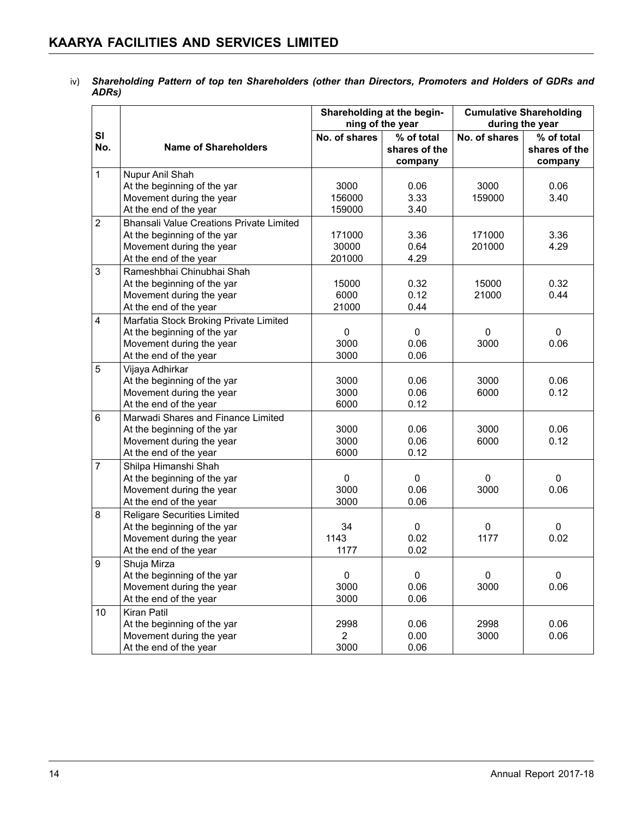iv) *Shareholding Pattern of top ten Shareholders (other than Directors, Promoters and Holders of GDRs and ADRs)*

|                         |                                                    |                | Shareholding at the begin-<br>ning of the year | <b>Cumulative Shareholding</b><br>during the year |                                        |
|-------------------------|----------------------------------------------------|----------------|------------------------------------------------|---------------------------------------------------|----------------------------------------|
| SI<br>No.               | <b>Name of Shareholders</b>                        | No. of shares  | % of total<br>shares of the<br>company         | No. of shares                                     | % of total<br>shares of the<br>company |
| $\mathbf{1}$            | Nupur Anil Shah                                    |                |                                                |                                                   |                                        |
|                         | At the beginning of the yar                        | 3000           | 0.06                                           | 3000                                              | 0.06                                   |
|                         | Movement during the year                           | 156000         | 3.33                                           | 159000                                            | 3.40                                   |
|                         | At the end of the year                             | 159000         | 3.40                                           |                                                   |                                        |
| $\overline{2}$          | <b>Bhansali Value Creations Private Limited</b>    |                |                                                |                                                   |                                        |
|                         | At the beginning of the yar                        | 171000         | 3.36                                           | 171000                                            | 3.36                                   |
|                         | Movement during the year                           | 30000          | 0.64                                           | 201000                                            | 4.29                                   |
|                         | At the end of the year                             | 201000         | 4.29                                           |                                                   |                                        |
| 3                       | Rameshbhai Chinubhai Shah                          |                |                                                |                                                   |                                        |
|                         | At the beginning of the yar                        | 15000          | 0.32                                           | 15000                                             | 0.32                                   |
|                         | Movement during the year                           | 6000           | 0.12                                           | 21000                                             | 0.44                                   |
|                         | At the end of the year                             | 21000          | 0.44                                           |                                                   |                                        |
| $\overline{\mathbf{4}}$ | Marfatia Stock Broking Private Limited             |                |                                                |                                                   |                                        |
|                         | At the beginning of the yar                        | 0              | 0                                              | 0                                                 | $\mathbf{0}$                           |
|                         | Movement during the year                           | 3000           | 0.06                                           | 3000                                              | 0.06                                   |
|                         | At the end of the year                             | 3000           | 0.06                                           |                                                   |                                        |
| 5                       | Vijaya Adhirkar                                    |                |                                                |                                                   |                                        |
|                         | At the beginning of the yar                        | 3000           | 0.06                                           | 3000                                              | 0.06                                   |
|                         | Movement during the year                           | 3000           | 0.06                                           | 6000                                              | 0.12                                   |
|                         | At the end of the year                             | 6000           | 0.12                                           |                                                   |                                        |
| 6                       | Marwadi Shares and Finance Limited                 |                |                                                |                                                   |                                        |
|                         | At the beginning of the yar                        | 3000           | 0.06                                           | 3000                                              | 0.06                                   |
|                         | Movement during the year                           | 3000<br>6000   | 0.06                                           | 6000                                              | 0.12                                   |
|                         | At the end of the year                             |                | 0.12                                           |                                                   |                                        |
| $\overline{7}$          | Shilpa Himanshi Shah                               |                |                                                |                                                   | $\Omega$                               |
|                         | At the beginning of the yar                        | 0<br>3000      | 0<br>0.06                                      | $\mathbf{0}$<br>3000                              | 0.06                                   |
|                         | Movement during the year<br>At the end of the year | 3000           | 0.06                                           |                                                   |                                        |
| 8                       | Religare Securities Limited                        |                |                                                |                                                   |                                        |
|                         | At the beginning of the yar                        | 34             | 0                                              | 0                                                 | 0                                      |
|                         | Movement during the year                           | 1143           | 0.02                                           | 1177                                              | 0.02                                   |
|                         | At the end of the year                             | 1177           | 0.02                                           |                                                   |                                        |
| 9                       | Shuja Mirza                                        |                |                                                |                                                   |                                        |
|                         | At the beginning of the yar                        | 0              | 0                                              | 0                                                 | $\Omega$                               |
|                         | Movement during the year                           | 3000           | 0.06                                           | 3000                                              | 0.06                                   |
|                         | At the end of the year                             | 3000           | 0.06                                           |                                                   |                                        |
| 10                      | Kiran Patil                                        |                |                                                |                                                   |                                        |
|                         | At the beginning of the yar                        | 2998           | 0.06                                           | 2998                                              | 0.06                                   |
|                         | Movement during the year                           | $\overline{2}$ | 0.00                                           | 3000                                              | 0.06                                   |
|                         | At the end of the year                             | 3000           | 0.06                                           |                                                   |                                        |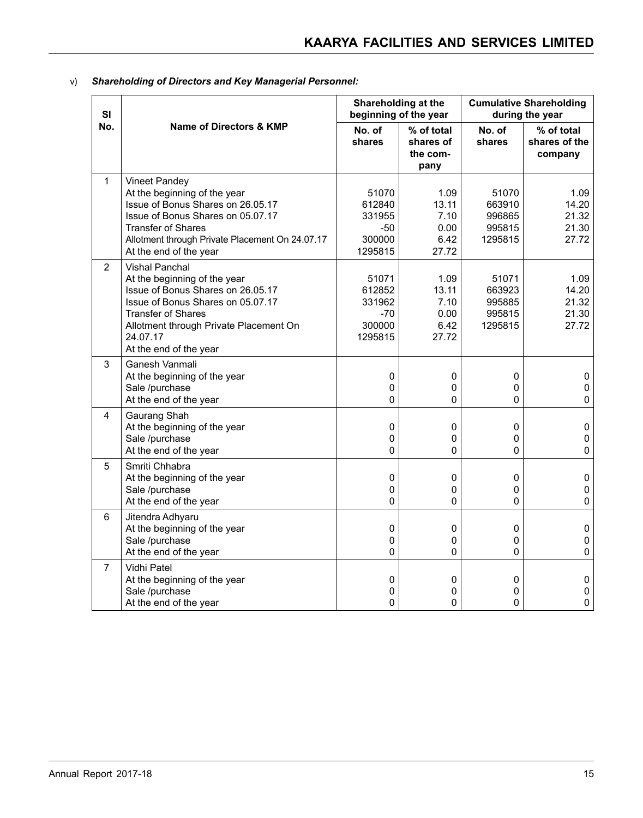| SI             |                                                                                                                                                                                                                                              |                                                         | Shareholding at the<br>beginning of the year   | <b>Cumulative Shareholding</b><br>during the year |                                          |
|----------------|----------------------------------------------------------------------------------------------------------------------------------------------------------------------------------------------------------------------------------------------|---------------------------------------------------------|------------------------------------------------|---------------------------------------------------|------------------------------------------|
| No.            | Name of Directors & KMP                                                                                                                                                                                                                      | No. of<br>shares                                        | % of total<br>shares of<br>the com-<br>pany    | No. of<br>shares                                  | % of total<br>shares of the<br>company   |
| 1              | Vineet Pandey<br>At the beginning of the year<br>Issue of Bonus Shares on 26.05.17<br>Issue of Bonus Shares on 05.07.17<br><b>Transfer of Shares</b><br>Allotment through Private Placement On 24.07.17<br>At the end of the year            | 51070<br>612840<br>331955<br>-50<br>300000<br>1295815   | 1.09<br>13.11<br>7.10<br>0.00<br>6.42<br>27.72 | 51070<br>663910<br>996865<br>995815<br>1295815    | 1.09<br>14.20<br>21.32<br>21.30<br>27.72 |
| $\overline{2}$ | <b>Vishal Panchal</b><br>At the beginning of the year<br>Issue of Bonus Shares on 26.05.17<br>Issue of Bonus Shares on 05.07.17<br><b>Transfer of Shares</b><br>Allotment through Private Placement On<br>24.07.17<br>At the end of the year | 51071<br>612852<br>331962<br>$-70$<br>300000<br>1295815 | 1.09<br>13.11<br>7.10<br>0.00<br>6.42<br>27.72 | 51071<br>663923<br>995885<br>995815<br>1295815    | 1.09<br>14.20<br>21.32<br>21.30<br>27.72 |
| 3              | Ganesh Vanmali<br>At the beginning of the year<br>Sale /purchase<br>At the end of the year                                                                                                                                                   | 0<br>$\mathbf 0$<br>0                                   | 0<br>0<br>0                                    | 0<br>0<br>0                                       | 0<br>$\mathbf 0$<br>$\pmb{0}$            |
| 4              | Gaurang Shah<br>At the beginning of the year<br>Sale /purchase<br>At the end of the year                                                                                                                                                     | 0<br>0<br>0                                             | 0<br>0<br>0                                    | $\pmb{0}$<br>0<br>0                               | $\pmb{0}$<br>$\pmb{0}$<br>$\mathbf 0$    |
| 5              | Smriti Chhabra<br>At the beginning of the year<br>Sale /purchase<br>At the end of the year                                                                                                                                                   | 0<br>0<br>0                                             | 0<br>$\pmb{0}$<br>0                            | 0<br>0<br>$\Omega$                                | $\mathbf 0$<br>$\pmb{0}$<br>0            |
| $6\phantom{1}$ | Jitendra Adhyaru<br>At the beginning of the year<br>Sale /purchase<br>At the end of the year                                                                                                                                                 | $\pmb{0}$<br>0<br>0                                     | 0<br>0<br>0                                    | $\pmb{0}$<br>0<br>0                               | $\pmb{0}$<br>$\mathbf 0$<br>$\pmb{0}$    |
| $\overline{7}$ | Vidhi Patel<br>At the beginning of the year<br>Sale /purchase<br>At the end of the year                                                                                                                                                      | $\pmb{0}$<br>0<br>$\Omega$                              | 0<br>0<br>0                                    | 0<br>0<br>0                                       | $\pmb{0}$<br>0<br>0                      |

v) *Shareholding of Directors and Key Managerial Personnel:*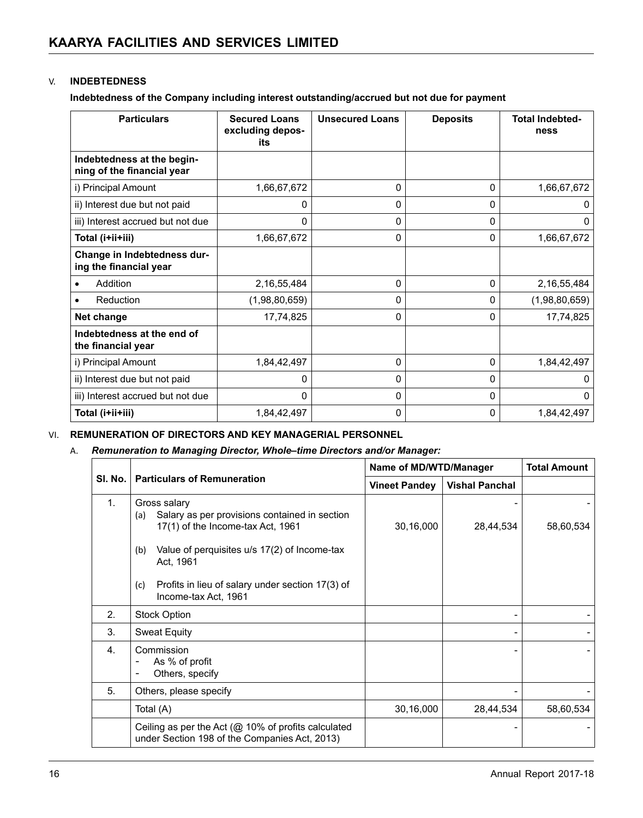#### V. **INDEBTEDNESS**

**Indebtedness of the Company including interest outstanding/accrued but not due for payment** 

| <b>Particulars</b>                                       | <b>Secured Loans</b><br>excluding depos-<br>its | <b>Unsecured Loans</b> | <b>Deposits</b> | <b>Total Indebted-</b><br>ness |
|----------------------------------------------------------|-------------------------------------------------|------------------------|-----------------|--------------------------------|
| Indebtedness at the begin-<br>ning of the financial year |                                                 |                        |                 |                                |
| i) Principal Amount                                      | 1,66,67,672                                     | 0                      | $\mathbf{0}$    | 1,66,67,672                    |
| ii) Interest due but not paid                            | O                                               | 0                      | $\Omega$        | 0                              |
| iii) Interest accrued but not due                        | 0                                               | 0                      | $\mathbf{0}$    | $\Omega$                       |
| Total (i+ii+iii)                                         | 1,66,67,672                                     | 0                      | $\mathbf{0}$    | 1,66,67,672                    |
| Change in Indebtedness dur-<br>ing the financial year    |                                                 |                        |                 |                                |
| Addition<br>٠                                            | 2, 16, 55, 484                                  | $\Omega$               | $\Omega$        | 2,16,55,484                    |
| Reduction                                                | (1,98,80,659)                                   | 0                      | $\Omega$        | (1,98,80,659)                  |
| Net change                                               | 17,74,825                                       | $\Omega$               | $\Omega$        | 17,74,825                      |
| Indebtedness at the end of<br>the financial year         |                                                 |                        |                 |                                |
| i) Principal Amount                                      | 1,84,42,497                                     | 0                      | $\Omega$        | 1,84,42,497                    |
| ii) Interest due but not paid                            | 0                                               | 0                      | $\mathbf{0}$    | 0                              |
| iii) Interest accrued but not due                        | $\Omega$                                        | 0                      | $\Omega$        | $\mathbf{0}$                   |
| Total (i+ii+iii)                                         | 1,84,42,497                                     | 0                      | 0               | 1,84,42,497                    |

#### VI. **REMUNERATION OF DIRECTORS AND KEY MANAGERIAL PERSONNEL**

#### A. *Remuneration to Managing Director, Whole–time Directors and/or Manager:*

|                |                                                                                                                                                                                                                                                                  |                      | Name of MD/WTD/Manager |           |
|----------------|------------------------------------------------------------------------------------------------------------------------------------------------------------------------------------------------------------------------------------------------------------------|----------------------|------------------------|-----------|
| SI. No.        | <b>Particulars of Remuneration</b>                                                                                                                                                                                                                               | <b>Vineet Pandey</b> | <b>Vishal Panchal</b>  |           |
| $\mathbf{1}$ . | Gross salary<br>Salary as per provisions contained in section<br>(a)<br>17(1) of the Income-tax Act, 1961<br>Value of perquisites u/s 17(2) of Income-tax<br>(b)<br>Act, 1961<br>Profits in lieu of salary under section 17(3) of<br>(c)<br>Income-tax Act, 1961 | 30,16,000            | 28,44,534              | 58,60,534 |
| 2.             | <b>Stock Option</b>                                                                                                                                                                                                                                              |                      |                        |           |
| 3.             | <b>Sweat Equity</b>                                                                                                                                                                                                                                              |                      |                        |           |
| 4.             | Commission<br>As % of profit<br>Others, specify<br>$\overline{\phantom{a}}$                                                                                                                                                                                      |                      |                        |           |
| 5.             | Others, please specify                                                                                                                                                                                                                                           |                      |                        |           |
|                | Total (A)                                                                                                                                                                                                                                                        | 30,16,000            | 28,44,534              | 58,60,534 |
|                | Ceiling as per the Act ( $@$ 10% of profits calculated<br>under Section 198 of the Companies Act, 2013)                                                                                                                                                          |                      |                        |           |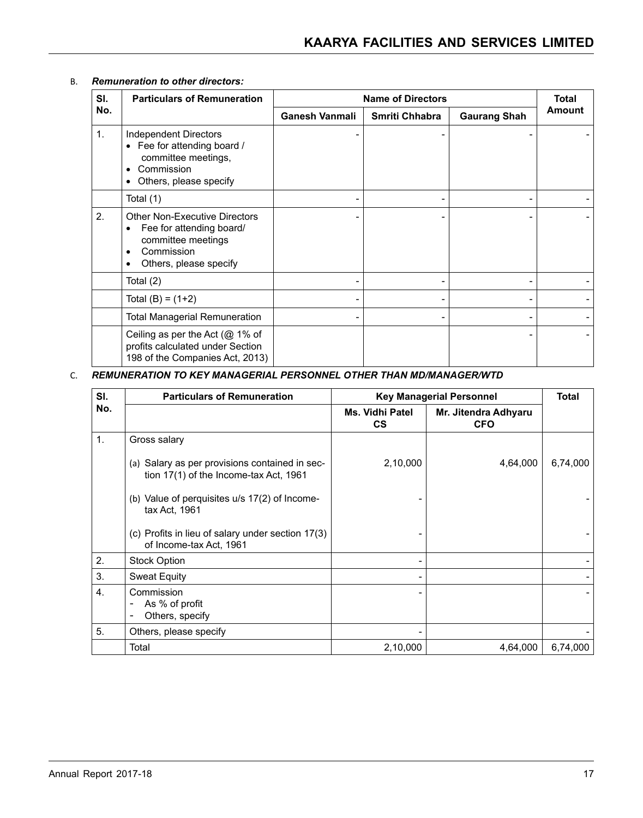### B. *Remuneration to other directors:*

| SI.            | <b>Particulars of Remuneration</b>                                                                                                                              | <b>Name of Directors</b> | <b>Total</b>   |                     |               |
|----------------|-----------------------------------------------------------------------------------------------------------------------------------------------------------------|--------------------------|----------------|---------------------|---------------|
| No.            |                                                                                                                                                                 | <b>Ganesh Vanmali</b>    | Smriti Chhabra | <b>Gaurang Shah</b> | <b>Amount</b> |
| $\mathbf{1}$ . | <b>Independent Directors</b><br>Fee for attending board /<br>$\bullet$<br>committee meetings,<br>Commission<br>$\bullet$<br>Others, please specify<br>$\bullet$ |                          |                |                     |               |
|                | Total (1)                                                                                                                                                       |                          |                |                     |               |
| 2.             | <b>Other Non-Executive Directors</b><br>Fee for attending board/<br>$\bullet$<br>committee meetings<br>Commission<br>$\bullet$<br>Others, please specify<br>٠   |                          |                |                     |               |
|                | Total (2)                                                                                                                                                       |                          |                |                     |               |
|                | Total $(B) = (1+2)$                                                                                                                                             |                          |                |                     |               |
|                | Total Managerial Remuneration                                                                                                                                   |                          | -              |                     |               |
|                | Ceiling as per the Act ( $@1\%$ of<br>profits calculated under Section<br>198 of the Companies Act, 2013)                                                       |                          |                |                     |               |

#### C. *REMUNERATION TO KEY MANAGERIAL PERSONNEL OTHER THAN MD/MANAGER/WTD*

| SI.            | <b>Particulars of Remuneration</b>                                                         | <b>Key Managerial Personnel</b> | <b>Total</b>                       |          |
|----------------|--------------------------------------------------------------------------------------------|---------------------------------|------------------------------------|----------|
| No.            |                                                                                            | Ms. Vidhi Patel<br>cs           | Mr. Jitendra Adhyaru<br><b>CFO</b> |          |
| $\mathbf{1}$ . | Gross salary                                                                               |                                 |                                    |          |
|                | (a) Salary as per provisions contained in sec-<br>tion $17(1)$ of the Income-tax Act, 1961 | 2,10,000                        | 4,64,000                           | 6,74,000 |
|                | (b) Value of perquisites $u/s$ 17(2) of Income-<br>tax Act, 1961                           |                                 |                                    |          |
|                | (c) Profits in lieu of salary under section 17(3)<br>of Income-tax Act, 1961               |                                 |                                    |          |
| 2.             | <b>Stock Option</b>                                                                        |                                 |                                    |          |
| 3.             | <b>Sweat Equity</b>                                                                        |                                 |                                    |          |
| 4.             | Commission<br>As % of profit<br>Others, specify                                            |                                 |                                    |          |
| 5.             | Others, please specify                                                                     |                                 |                                    |          |
|                | Total                                                                                      | 2,10,000                        | 4,64,000                           | 6,74,000 |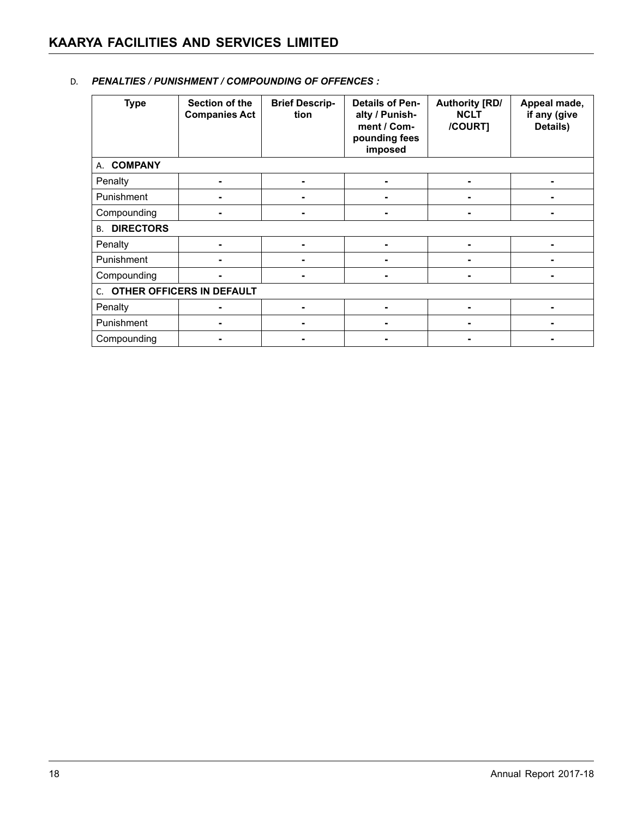| <b>Type</b>                  | Section of the<br><b>Companies Act</b> | <b>Brief Descrip-</b><br>tion | <b>Details of Pen-</b><br>alty / Punish-<br>ment / Com-<br>pounding fees<br>imposed | <b>Authority [RD/</b><br><b>NCLT</b><br>/COURT] | Appeal made,<br>if any (give<br>Details) |
|------------------------------|----------------------------------------|-------------------------------|-------------------------------------------------------------------------------------|-------------------------------------------------|------------------------------------------|
| A. COMPANY                   |                                        |                               |                                                                                     |                                                 |                                          |
| Penalty                      |                                        |                               |                                                                                     | ۰                                               |                                          |
| Punishment                   | -                                      |                               |                                                                                     | ۰                                               |                                          |
| Compounding                  |                                        |                               |                                                                                     |                                                 |                                          |
| <b>DIRECTORS</b><br>В.       |                                        |                               |                                                                                     |                                                 |                                          |
| Penalty                      |                                        |                               |                                                                                     | ۰                                               |                                          |
| Punishment                   |                                        |                               |                                                                                     |                                                 |                                          |
| Compounding                  |                                        |                               |                                                                                     | -                                               |                                          |
| C. OTHER OFFICERS IN DEFAULT |                                        |                               |                                                                                     |                                                 |                                          |
| Penalty                      |                                        |                               |                                                                                     |                                                 |                                          |
| Punishment                   |                                        |                               |                                                                                     | -                                               |                                          |
| Compounding                  |                                        |                               |                                                                                     |                                                 |                                          |

#### D. *PENALTIES / PUNISHMENT / COMPOUNDING OF OFFENCES :*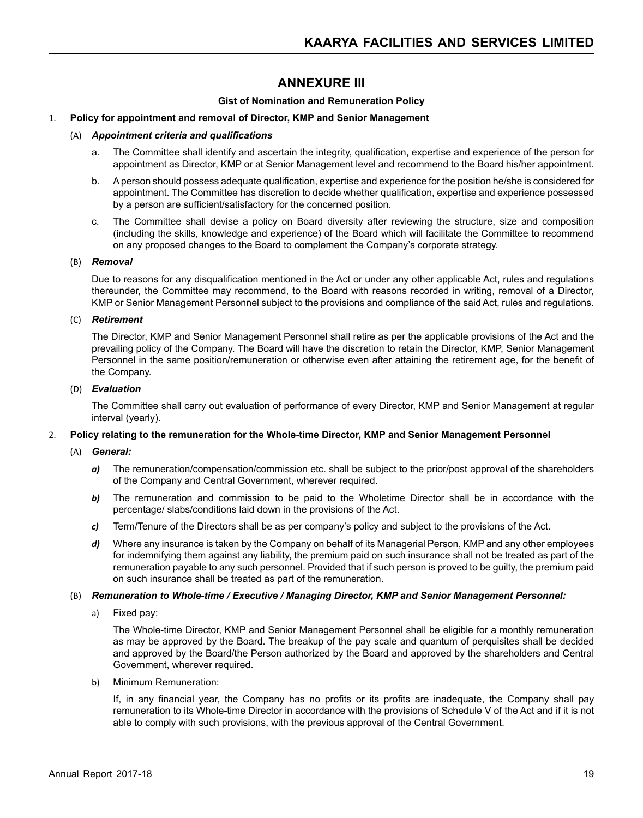# **Annexure III**

#### **Gist of Nomination and Remuneration Policy**

#### 1. **Policy for appointment and removal of Director, KMP and Senior Management**

#### (A) *Appointment criteria and qualifications*

- a. The Committee shall identify and ascertain the integrity, qualification, expertise and experience of the person for appointment as Director, KMP or at Senior Management level and recommend to the Board his/her appointment.
- b. A person should possess adequate qualification, expertise and experience for the position he/she is considered for appointment. The Committee has discretion to decide whether qualification, expertise and experience possessed by a person are sufficient/satisfactory for the concerned position.
- c. The Committee shall devise a policy on Board diversity after reviewing the structure, size and composition (including the skills, knowledge and experience) of the Board which will facilitate the Committee to recommend on any proposed changes to the Board to complement the Company's corporate strategy.

#### (B) *Removal*

Due to reasons for any disqualification mentioned in the Act or under any other applicable Act, rules and regulations thereunder, the Committee may recommend, to the Board with reasons recorded in writing, removal of a Director, KMP or Senior Management Personnel subject to the provisions and compliance of the said Act, rules and regulations.

#### (C) *Retirement*

The Director, KMP and Senior Management Personnel shall retire as per the applicable provisions of the Act and the prevailing policy of the Company. The Board will have the discretion to retain the Director, KMP, Senior Management Personnel in the same position/remuneration or otherwise even after attaining the retirement age, for the benefit of the Company.

#### (D) *Evaluation*

The Committee shall carry out evaluation of performance of every Director, KMP and Senior Management at regular interval (yearly).

#### 2. **Policy relating to the remuneration for the Whole-time Director, KMP and Senior Management Personnel**

- (A) *General:*
	- *a)* The remuneration/compensation/commission etc. shall be subject to the prior/post approval of the shareholders of the Company and Central Government, wherever required.
	- **b)** The remuneration and commission to be paid to the Wholetime Director shall be in accordance with the percentage/ slabs/conditions laid down in the provisions of the Act.
	- *c)* Term/Tenure of the Directors shall be as per company's policy and subject to the provisions of the Act.
	- *d)* Where any insurance is taken by the Company on behalf of its Managerial Person, KMP and any other employees for indemnifying them against any liability, the premium paid on such insurance shall not be treated as part of the remuneration payable to any such personnel. Provided that if such person is proved to be guilty, the premium paid on such insurance shall be treated as part of the remuneration.

#### (B) *Remuneration to Whole-time / Executive / Managing Director, KMP and Senior Management Personnel:*

a) Fixed pay:

The Whole-time Director, KMP and Senior Management Personnel shall be eligible for a monthly remuneration as may be approved by the Board. The breakup of the pay scale and quantum of perquisites shall be decided and approved by the Board/the Person authorized by the Board and approved by the shareholders and Central Government, wherever required.

b) Minimum Remuneration:

If, in any financial year, the Company has no profits or its profits are inadequate, the Company shall pay remuneration to its Whole-time Director in accordance with the provisions of Schedule V of the Act and if it is not able to comply with such provisions, with the previous approval of the Central Government.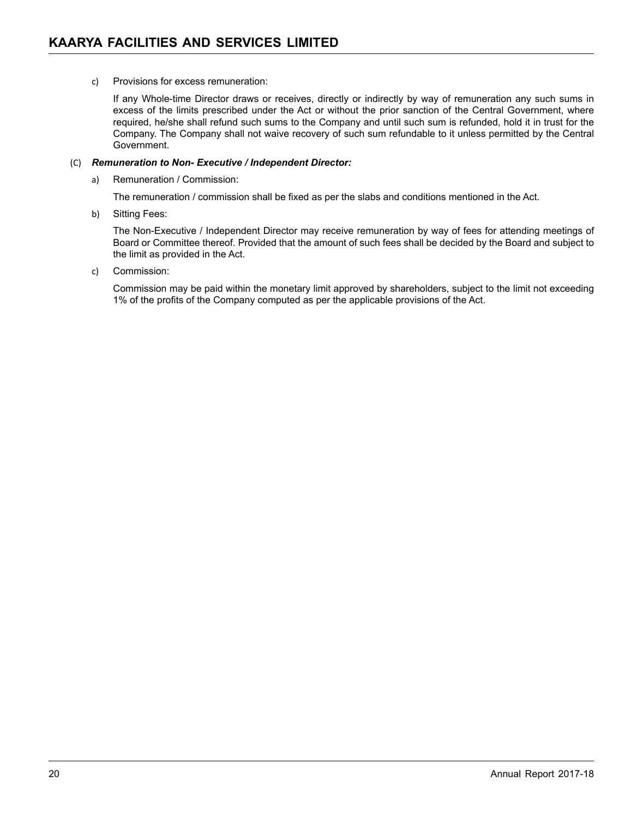c) Provisions for excess remuneration:

If any Whole-time Director draws or receives, directly or indirectly by way of remuneration any such sums in excess of the limits prescribed under the Act or without the prior sanction of the Central Government, where required, he/she shall refund such sums to the Company and until such sum is refunded, hold it in trust for the Company. The Company shall not waive recovery of such sum refundable to it unless permitted by the Central Government.

#### (C) *Remuneration to Non- Executive / Independent Director:*

a) Remuneration / Commission:

The remuneration / commission shall be fixed as per the slabs and conditions mentioned in the Act.

b) Sitting Fees:

The Non-Executive / Independent Director may receive remuneration by way of fees for attending meetings of Board or Committee thereof. Provided that the amount of such fees shall be decided by the Board and subject to the limit as provided in the Act.

c) Commission:

Commission may be paid within the monetary limit approved by shareholders, subject to the limit not exceeding 1% of the profits of the Company computed as per the applicable provisions of the Act.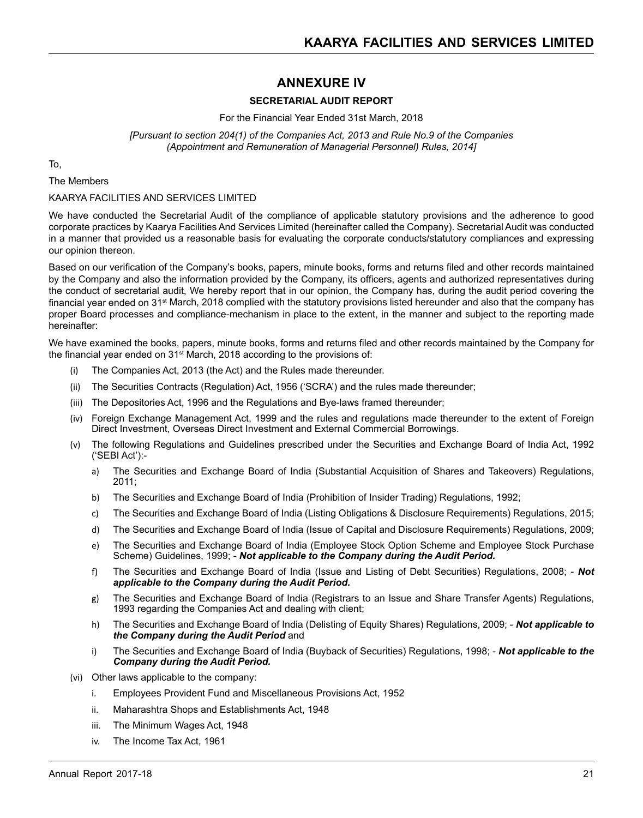# **ANNEXURE IV**

#### **SECRETARIAL AUDIT REPORT**

For the Financial Year Ended 31st March, 2018

#### *[Pursuant to section 204(1) of the Companies Act, 2013 and Rule No.9 of the Companies (Appointment and Remuneration of Managerial Personnel) Rules, 2014]*

To,

The Members

#### KAARYA FACILITIES AND SERVICES LIMITED

We have conducted the Secretarial Audit of the compliance of applicable statutory provisions and the adherence to good corporate practices by Kaarya Facilities And Services Limited (hereinafter called the Company). Secretarial Audit was conducted in a manner that provided us a reasonable basis for evaluating the corporate conducts/statutory compliances and expressing our opinion thereon.

Based on our verification of the Company's books, papers, minute books, forms and returns filed and other records maintained by the Company and also the information provided by the Company, its officers, agents and authorized representatives during the conduct of secretarial audit, We hereby report that in our opinion, the Company has, during the audit period covering the financial year ended on 31<sup>st</sup> March, 2018 complied with the statutory provisions listed hereunder and also that the company has proper Board processes and compliance-mechanism in place to the extent, in the manner and subject to the reporting made hereinafter:

We have examined the books, papers, minute books, forms and returns filed and other records maintained by the Company for the financial year ended on 31st March, 2018 according to the provisions of:

- (i) The Companies Act, 2013 (the Act) and the Rules made thereunder.
- (ii) The Securities Contracts (Regulation) Act, 1956 ('SCRA') and the rules made thereunder;
- (iii) The Depositories Act, 1996 and the Regulations and Bye-laws framed thereunder;
- (iv) Foreign Exchange Management Act, 1999 and the rules and regulations made thereunder to the extent of Foreign Direct Investment, Overseas Direct Investment and External Commercial Borrowings.
- (v) The following Regulations and Guidelines prescribed under the Securities and Exchange Board of India Act, 1992 ('SEBI Act'):
	- a) The Securities and Exchange Board of India (Substantial Acquisition of Shares and Takeovers) Regulations, 2011;
	- b) The Securities and Exchange Board of India (Prohibition of Insider Trading) Regulations, 1992;
	- c) The Securities and Exchange Board of India (Listing Obligations & Disclosure Requirements) Regulations, 2015;
	- d) The Securities and Exchange Board of India (Issue of Capital and Disclosure Requirements) Regulations, 2009;
	- e) The Securities and Exchange Board of India (Employee Stock Option Scheme and Employee Stock Purchase Scheme) Guidelines, 1999; - **Not applicable to the Company during the Audit Period.**
	- f) The Securities and Exchange Board of India (Issue and Listing of Debt Securities) Regulations, 2008; *Not applicable to the Company during the Audit Period.*
	- g) The Securities and Exchange Board of India (Registrars to an Issue and Share Transfer Agents) Regulations, 1993 regarding the Companies Act and dealing with client;
	- h) The Securities and Exchange Board of India (Delisting of Equity Shares) Regulations, 2009; *Not applicable to the Company during the Audit Period* and
	- i) The Securities and Exchange Board of India (Buyback of Securities) Regulations, 1998; *Not applicable to the Company during the Audit Period.*
- (vi) Other laws applicable to the company:
	- i. Employees Provident Fund and Miscellaneous Provisions Act, 1952
	- ii. Maharashtra Shops and Establishments Act, 1948
	- iii. The Minimum Wages Act, 1948
	- iv. The Income Tax Act, 1961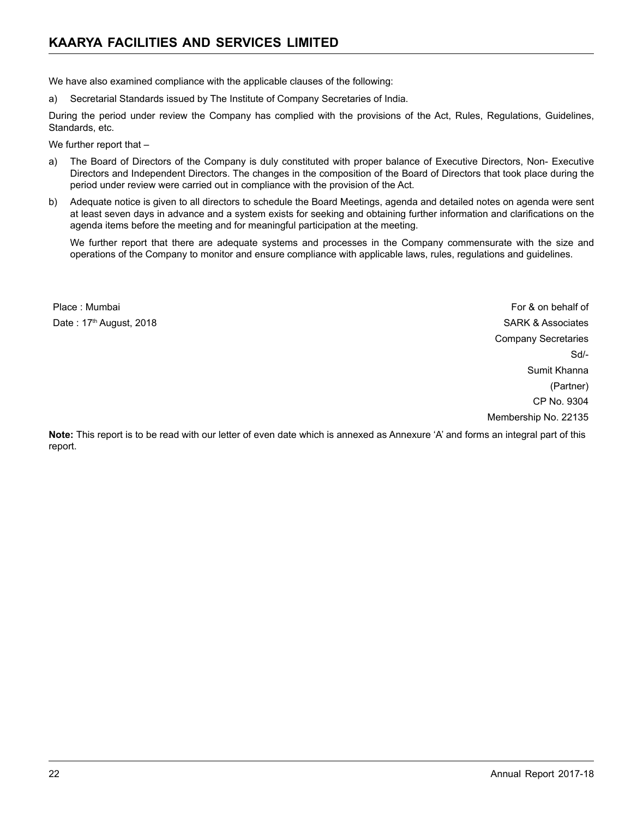We have also examined compliance with the applicable clauses of the following:

a) Secretarial Standards issued by The Institute of Company Secretaries of India.

During the period under review the Company has complied with the provisions of the Act, Rules, Regulations, Guidelines, Standards, etc.

We further report that -

- a) The Board of Directors of the Company is duly constituted with proper balance of Executive Directors, Non- Executive Directors and Independent Directors. The changes in the composition of the Board of Directors that took place during the period under review were carried out in compliance with the provision of the Act.
- b) Adequate notice is given to all directors to schedule the Board Meetings, agenda and detailed notes on agenda were sent at least seven days in advance and a system exists for seeking and obtaining further information and clarifications on the agenda items before the meeting and for meaningful participation at the meeting.

We further report that there are adequate systems and processes in the Company commensurate with the size and operations of the Company to monitor and ensure compliance with applicable laws, rules, regulations and guidelines.

Place : Mumbai For & on behalf of the state of the state of the state of the state of the state of the state of the state of the state of the state of the state of the state of the state of the state of the state of the st

Date : 17<sup>th</sup> August, 2018 **SARK & Associates** Company Secretaries Sd/- Sumit Khanna (Partner) CP No. 9304 Membership No. 22135

**Note:** This report is to be read with our letter of even date which is annexed as Annexure 'A' and forms an integral part of this report.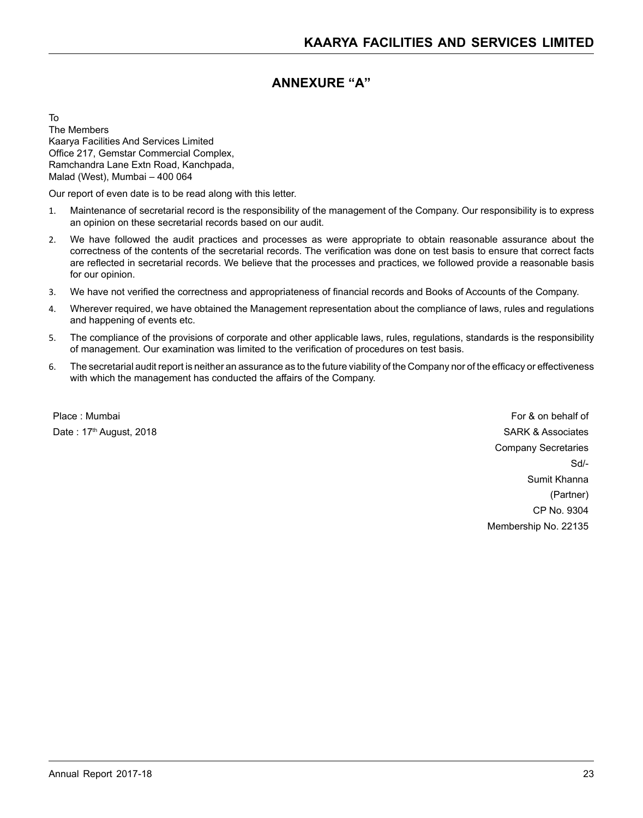# **ANNEXURE "A"**

To The Members Kaarya Facilities And Services Limited Office 217, Gemstar Commercial Complex, Ramchandra Lane Extn Road, Kanchpada, Malad (West), Mumbai – 400 064

Our report of even date is to be read along with this letter.

- 1. Maintenance of secretarial record is the responsibility of the management of the Company. Our responsibility is to express an opinion on these secretarial records based on our audit.
- 2. We have followed the audit practices and processes as were appropriate to obtain reasonable assurance about the correctness of the contents of the secretarial records. The verification was done on test basis to ensure that correct facts are reflected in secretarial records. We believe that the processes and practices, we followed provide a reasonable basis for our opinion.
- 3. We have not verified the correctness and appropriateness of financial records and Books of Accounts of the Company.
- 4. Wherever required, we have obtained the Management representation about the compliance of laws, rules and regulations and happening of events etc.
- 5. The compliance of the provisions of corporate and other applicable laws, rules, regulations, standards is the responsibility of management. Our examination was limited to the verification of procedures on test basis.
- 6. The secretarial audit report is neither an assurance as to the future viability of the Company nor of the efficacy or effectiveness with which the management has conducted the affairs of the Company.

Place : Mumbai For & on behalf of the state of the state of the state of the state of the state of the state of the state of the state of the state of the state of the state of the state of the state of the state of the st Date : 17<sup>th</sup> August, 2018 **SARK & Associates** Company Secretaries Sd/- Sumit Khanna (Partner) CP No. 9304 Membership No. 22135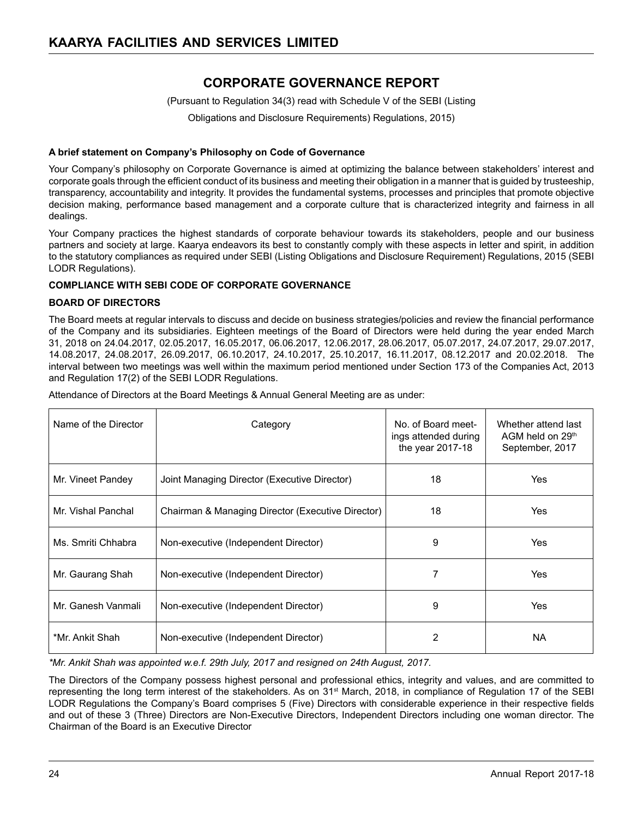# **CORPORATE GOVERNANCE REPORT**

(Pursuant to Regulation 34(3) read with Schedule V of the SEBI (Listing

Obligations and Disclosure Requirements) Regulations, 2015)

#### **A brief statement on Company's Philosophy on Code of Governance**

Your Company's philosophy on Corporate Governance is aimed at optimizing the balance between stakeholders' interest and corporate goals through the efficient conduct of its business and meeting their obligation in a manner that is guided by trusteeship, transparency, accountability and integrity. It provides the fundamental systems, processes and principles that promote objective decision making, performance based management and a corporate culture that is characterized integrity and fairness in all dealings.

Your Company practices the highest standards of corporate behaviour towards its stakeholders, people and our business partners and society at large. Kaarya endeavors its best to constantly comply with these aspects in letter and spirit, in addition to the statutory compliances as required under SEBI (Listing Obligations and Disclosure Requirement) Regulations, 2015 (SEBI LODR Regulations).

#### **COMPLIANCE WITH SEBI CODE OF CORPORATE GOVERNANCE**

#### **BOARD OF DIRECTORS**

The Board meets at regular intervals to discuss and decide on business strategies/policies and review the financial performance of the Company and its subsidiaries. Eighteen meetings of the Board of Directors were held during the year ended March 31, 2018 on 24.04.2017, 02.05.2017, 16.05.2017, 06.06.2017, 12.06.2017, 28.06.2017, 05.07.2017, 24.07.2017, 29.07.2017, 14.08.2017, 24.08.2017, 26.09.2017, 06.10.2017, 24.10.2017, 25.10.2017, 16.11.2017, 08.12.2017 and 20.02.2018. The interval between two meetings was well within the maximum period mentioned under Section 173 of the Companies Act, 2013 and Regulation 17(2) of the SEBI LODR Regulations.

Attendance of Directors at the Board Meetings & Annual General Meeting are as under:

| Name of the Director                                    | Category                                          | No. of Board meet-<br>ings attended during<br>the year 2017-18 | Whether attend last<br>AGM held on 29th<br>September, 2017 |
|---------------------------------------------------------|---------------------------------------------------|----------------------------------------------------------------|------------------------------------------------------------|
| Mr. Vineet Pandey                                       | Joint Managing Director (Executive Director)      | 18                                                             | Yes                                                        |
| Mr. Vishal Panchal                                      | Chairman & Managing Director (Executive Director) | 18                                                             | Yes                                                        |
| Ms. Smriti Chhabra                                      | Non-executive (Independent Director)              | 9                                                              | Yes                                                        |
| Mr. Gaurang Shah                                        | Non-executive (Independent Director)              |                                                                | Yes                                                        |
| Mr. Ganesh Vanmali                                      | Non-executive (Independent Director)              | 9                                                              | Yes                                                        |
| *Mr. Ankit Shah<br>Non-executive (Independent Director) |                                                   | 2                                                              | NA.                                                        |

*\*Mr. Ankit Shah was appointed w.e.f. 29th July, 2017 and resigned on 24th August, 2017.*

The Directors of the Company possess highest personal and professional ethics, integrity and values, and are committed to representing the long term interest of the stakeholders. As on 31st March, 2018, in compliance of Regulation 17 of the SEBI LODR Regulations the Company's Board comprises 5 (Five) Directors with considerable experience in their respective fields and out of these 3 (Three) Directors are Non-Executive Directors, Independent Directors including one woman director. The Chairman of the Board is an Executive Director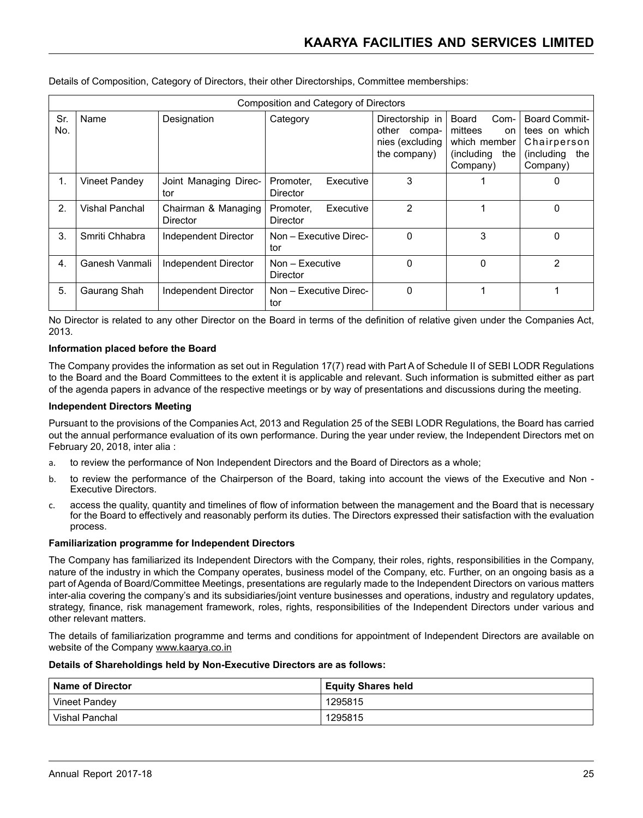|            | Composition and Category of Directors |                                 |                                    |                                                                       |                                                                                        |                                                                                        |
|------------|---------------------------------------|---------------------------------|------------------------------------|-----------------------------------------------------------------------|----------------------------------------------------------------------------------------|----------------------------------------------------------------------------------------|
| Sr.<br>No. | Name                                  | Designation                     | Category                           | Directorship in<br>other<br>compa-<br>nies (excluding<br>the company) | <b>Board</b><br>Com-<br>mittees<br>on<br>which member<br>(including<br>the<br>Company) | <b>Board Commit-</b><br>tees on which<br>Chairperson<br>(including)<br>the<br>Company) |
| 1.         | <b>Vineet Pandey</b>                  | Joint Managing Direc-<br>tor    | Executive<br>Promoter.<br>Director | 3                                                                     |                                                                                        | 0                                                                                      |
| 2.         | Vishal Panchal                        | Chairman & Managing<br>Director | Executive<br>Promoter,<br>Director | $\overline{2}$                                                        |                                                                                        | 0                                                                                      |
| 3.         | Smriti Chhabra                        | Independent Director            | Non - Executive Direc-<br>tor      | $\Omega$                                                              | 3                                                                                      | 0                                                                                      |
| 4.         | Ganesh Vanmali                        | Independent Director            | Non - Executive<br>Director        | 0                                                                     | $\Omega$                                                                               | 2                                                                                      |
| 5.         | Gaurang Shah                          | Independent Director            | Non - Executive Direc-<br>tor      | $\mathbf 0$                                                           |                                                                                        |                                                                                        |

Details of Composition, Category of Directors, their other Directorships, Committee memberships:

No Director is related to any other Director on the Board in terms of the definition of relative given under the Companies Act, 2013.

#### **Information placed before the Board**

The Company provides the information as set out in Regulation 17(7) read with Part A of Schedule II of SEBI LODR Regulations to the Board and the Board Committees to the extent it is applicable and relevant. Such information is submitted either as part of the agenda papers in advance of the respective meetings or by way of presentations and discussions during the meeting.

#### **Independent Directors Meeting**

Pursuant to the provisions of the Companies Act, 2013 and Regulation 25 of the SEBI LODR Regulations, the Board has carried out the annual performance evaluation of its own performance. During the year under review, the Independent Directors met on February 20, 2018, inter alia :

- a. to review the performance of Non Independent Directors and the Board of Directors as a whole;
- b. to review the performance of the Chairperson of the Board, taking into account the views of the Executive and Non Executive Directors.
- c. access the quality, quantity and timelines of flow of information between the management and the Board that is necessary for the Board to effectively and reasonably perform its duties. The Directors expressed their satisfaction with the evaluation process.

#### **Familiarization programme for Independent Directors**

The Company has familiarized its Independent Directors with the Company, their roles, rights, responsibilities in the Company, nature of the industry in which the Company operates, business model of the Company, etc. Further, on an ongoing basis as a part of Agenda of Board/Committee Meetings, presentations are regularly made to the Independent Directors on various matters inter-alia covering the company's and its subsidiaries/joint venture businesses and operations, industry and regulatory updates, strategy, finance, risk management framework, roles, rights, responsibilities of the Independent Directors under various and other relevant matters.

The details of familiarization programme and terms and conditions for appointment of Independent Directors are available on website of the Company www.kaarya.co.in

#### **Details of Shareholdings held by Non-Executive Directors are as follows:**

| Name of Director | <b>Equity Shares held</b> |
|------------------|---------------------------|
| Vineet Pandey    | 1295815                   |
| Vishal Panchal   | 1295815                   |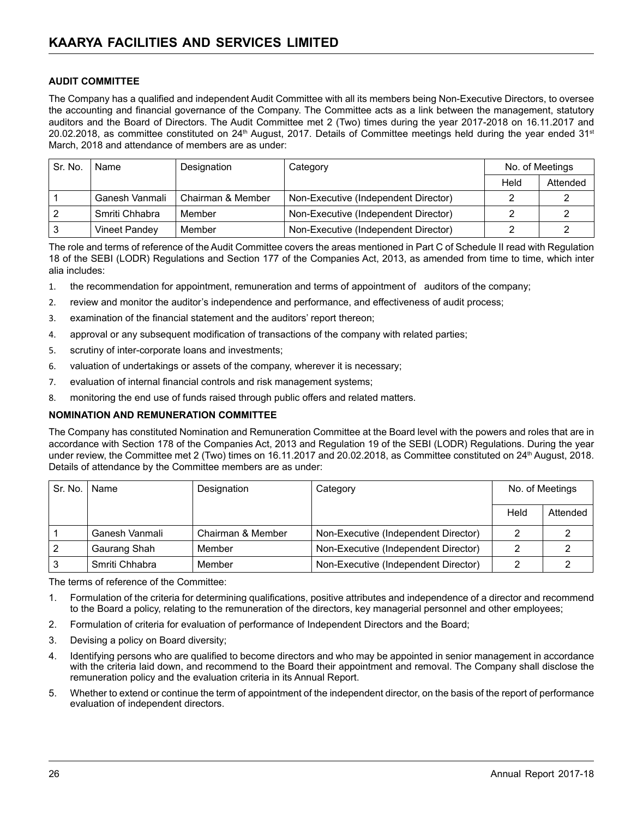#### **AUDIT COMMITTEE**

The Company has a qualified and independent Audit Committee with all its members being Non-Executive Directors, to oversee the accounting and financial governance of the Company. The Committee acts as a link between the management, statutory auditors and the Board of Directors. The Audit Committee met 2 (Two) times during the year 2017-2018 on 16.11.2017 and 20.02.2018, as committee constituted on  $24<sup>th</sup>$  August, 2017. Details of Committee meetings held during the year ended  $31<sup>st</sup>$ March, 2018 and attendance of members are as under:

| Sr. No. | Name                 | Designation       | Category                             | No. of Meetings |          |
|---------|----------------------|-------------------|--------------------------------------|-----------------|----------|
|         |                      |                   |                                      | Held            | Attended |
|         | Ganesh Vanmali       | Chairman & Member | Non-Executive (Independent Director) |                 |          |
|         | Smriti Chhabra       | Member            | Non-Executive (Independent Director) |                 |          |
|         | <b>Vineet Pandey</b> | Member            | Non-Executive (Independent Director) |                 |          |

The role and terms of reference of the Audit Committee covers the areas mentioned in Part C of Schedule II read with Regulation 18 of the SEBI (LODR) Regulations and Section 177 of the Companies Act, 2013, as amended from time to time, which inter alia includes:

- 1. the recommendation for appointment, remuneration and terms of appointment of auditors of the company;
- 2. review and monitor the auditor's independence and performance, and effectiveness of audit process;
- 3. examination of the financial statement and the auditors' report thereon;
- 4. approval or any subsequent modification of transactions of the company with related parties;
- 5. scrutiny of inter-corporate loans and investments;
- 6. valuation of undertakings or assets of the company, wherever it is necessary;
- 7. evaluation of internal financial controls and risk management systems;
- 8. monitoring the end use of funds raised through public offers and related matters.

#### **NOMINATION AND REMUNERATION COMMITTEE**

The Company has constituted Nomination and Remuneration Committee at the Board level with the powers and roles that are in accordance with Section 178 of the Companies Act, 2013 and Regulation 19 of the SEBI (LODR) Regulations. During the year under review, the Committee met 2 (Two) times on 16.11.2017 and 20.02.2018, as Committee constituted on 24<sup>th</sup> August, 2018. Details of attendance by the Committee members are as under:

| Sr. No. | Name           | Designation       | Category                             | No. of Meetings |          |
|---------|----------------|-------------------|--------------------------------------|-----------------|----------|
|         |                |                   |                                      | Held            | Attended |
|         | Ganesh Vanmali | Chairman & Member | Non-Executive (Independent Director) |                 |          |
|         | Gaurang Shah   | Member            | Non-Executive (Independent Director) |                 |          |
|         | Smriti Chhabra | Member            | Non-Executive (Independent Director) |                 |          |

The terms of reference of the Committee:

- 1. Formulation of the criteria for determining qualifications, positive attributes and independence of a director and recommend to the Board a policy, relating to the remuneration of the directors, key managerial personnel and other employees;
- 2. Formulation of criteria for evaluation of performance of Independent Directors and the Board;
- 3. Devising a policy on Board diversity;
- 4. Identifying persons who are qualified to become directors and who may be appointed in senior management in accordance with the criteria laid down, and recommend to the Board their appointment and removal. The Company shall disclose the remuneration policy and the evaluation criteria in its Annual Report.
- 5. Whether to extend or continue the term of appointment of the independent director, on the basis of the report of performance evaluation of independent directors.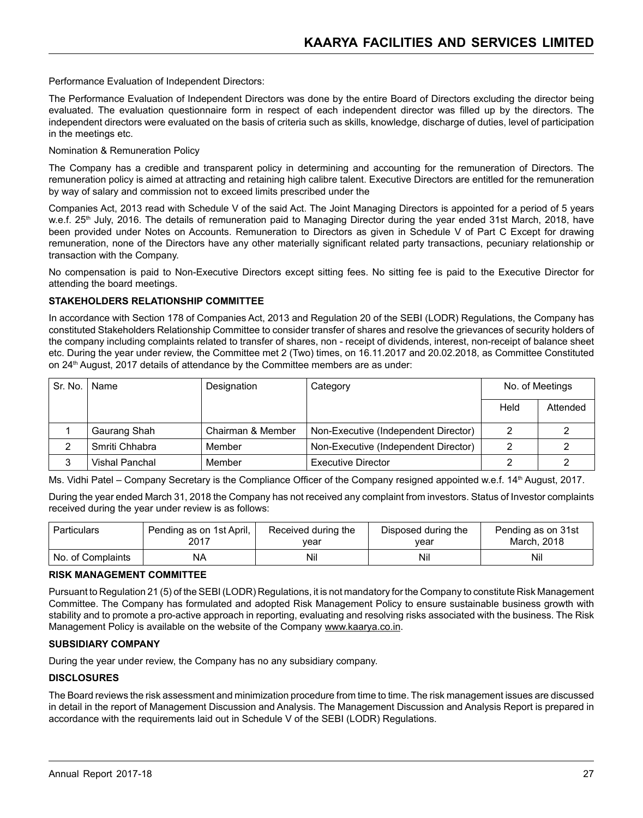Performance Evaluation of Independent Directors:

The Performance Evaluation of Independent Directors was done by the entire Board of Directors excluding the director being evaluated. The evaluation questionnaire form in respect of each independent director was filled up by the directors. The independent directors were evaluated on the basis of criteria such as skills, knowledge, discharge of duties, level of participation in the meetings etc.

#### Nomination & Remuneration Policy

The Company has a credible and transparent policy in determining and accounting for the remuneration of Directors. The remuneration policy is aimed at attracting and retaining high calibre talent. Executive Directors are entitled for the remuneration by way of salary and commission not to exceed limits prescribed under the

Companies Act, 2013 read with Schedule V of the said Act. The Joint Managing Directors is appointed for a period of 5 years w.e.f. 25<sup>th</sup> July, 2016. The details of remuneration paid to Managing Director during the year ended 31st March, 2018, have been provided under Notes on Accounts. Remuneration to Directors as given in Schedule V of Part C Except for drawing remuneration, none of the Directors have any other materially significant related party transactions, pecuniary relationship or transaction with the Company.

No compensation is paid to Non-Executive Directors except sitting fees. No sitting fee is paid to the Executive Director for attending the board meetings.

#### **STAKEHOLDERS RELATIONSHIP COMMITTEE**

In accordance with Section 178 of Companies Act, 2013 and Regulation 20 of the SEBI (LODR) Regulations, the Company has constituted Stakeholders Relationship Committee to consider transfer of shares and resolve the grievances of security holders of the company including complaints related to transfer of shares, non - receipt of dividends, interest, non-receipt of balance sheet etc. During the year under review, the Committee met 2 (Two) times, on 16.11.2017 and 20.02.2018, as Committee Constituted on 24<sup>th</sup> August, 2017 details of attendance by the Committee members are as under:

| Sr. No. | Name           | Designation       | Category                             | No. of Meetings |          |
|---------|----------------|-------------------|--------------------------------------|-----------------|----------|
|         |                |                   |                                      | Held            | Attended |
|         | Gaurang Shah   | Chairman & Member | Non-Executive (Independent Director) |                 |          |
|         | Smriti Chhabra | Member            | Non-Executive (Independent Director) |                 |          |
| 3       | Vishal Panchal | Member            | <b>Executive Director</b>            |                 |          |

Ms. Vidhi Patel – Company Secretary is the Compliance Officer of the Company resigned appointed w.e.f. 14th August, 2017.

During the year ended March 31, 2018 the Company has not received any complaint from investors. Status of Investor complaints received during the year under review is as follows:

| Particulars       | Pending as on 1st April, | Received during the | Disposed during the | Pending as on 31st |
|-------------------|--------------------------|---------------------|---------------------|--------------------|
|                   | 2017                     | vear                | vear                | March, 2018        |
| No. of Complaints | NΑ                       | Nil                 | Nil                 | Nil                |

#### **RISK MANAGEMENT COMMITTEE**

Pursuant to Regulation 21 (5) of the SEBI (LODR) Regulations, it is not mandatory for the Company to constitute Risk Management Committee. The Company has formulated and adopted Risk Management Policy to ensure sustainable business growth with stability and to promote a pro-active approach in reporting, evaluating and resolving risks associated with the business. The Risk Management Policy is available on the website of the Company www.kaarya.co.in.

#### **SUBSIDIARY COMPANY**

During the year under review, the Company has no any subsidiary company.

#### **DISCLOSURES**

The Board reviews the risk assessment and minimization procedure from time to time. The risk management issues are discussed in detail in the report of Management Discussion and Analysis. The Management Discussion and Analysis Report is prepared in accordance with the requirements laid out in Schedule V of the SEBI (LODR) Regulations.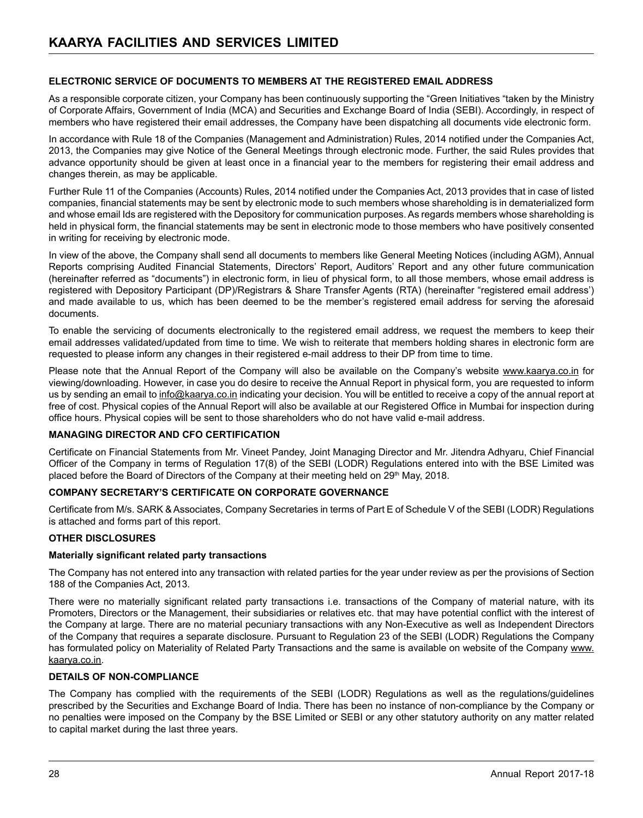#### **ELECTRONIC SERVICE OF DOCUMENTS TO MEMBERS AT THE REGISTERED EMAIL ADDRESS**

As a responsible corporate citizen, your Company has been continuously supporting the "Green Initiatives "taken by the Ministry of Corporate Affairs, Government of India (MCA) and Securities and Exchange Board of India (SEBI). Accordingly, in respect of members who have registered their email addresses, the Company have been dispatching all documents vide electronic form.

In accordance with Rule 18 of the Companies (Management and Administration) Rules, 2014 notified under the Companies Act, 2013, the Companies may give Notice of the General Meetings through electronic mode. Further, the said Rules provides that advance opportunity should be given at least once in a financial year to the members for registering their email address and changes therein, as may be applicable.

Further Rule 11 of the Companies (Accounts) Rules, 2014 notified under the Companies Act, 2013 provides that in case of listed companies, financial statements may be sent by electronic mode to such members whose shareholding is in dematerialized form and whose email Ids are registered with the Depository for communication purposes. As regards members whose shareholding is held in physical form, the financial statements may be sent in electronic mode to those members who have positively consented in writing for receiving by electronic mode.

In view of the above, the Company shall send all documents to members like General Meeting Notices (including AGM), Annual Reports comprising Audited Financial Statements, Directors' Report, Auditors' Report and any other future communication (hereinafter referred as "documents") in electronic form, in lieu of physical form, to all those members, whose email address is registered with Depository Participant (DP)/Registrars & Share Transfer Agents (RTA) (hereinafter "registered email address') and made available to us, which has been deemed to be the member's registered email address for serving the aforesaid documents.

To enable the servicing of documents electronically to the registered email address, we request the members to keep their email addresses validated/updated from time to time. We wish to reiterate that members holding shares in electronic form are requested to please inform any changes in their registered e-mail address to their DP from time to time.

Please note that the Annual Report of the Company will also be available on the Company's website www.kaarya.co.in for viewing/downloading. However, in case you do desire to receive the Annual Report in physical form, you are requested to inform us by sending an email to info@kaarya.co.in indicating your decision. You will be entitled to receive a copy of the annual report at free of cost. Physical copies of the Annual Report will also be available at our Registered Office in Mumbai for inspection during office hours. Physical copies will be sent to those shareholders who do not have valid e-mail address.

#### **MANAGING DIRECTOR AND CFO CERTIFICATION**

Certificate on Financial Statements from Mr. Vineet Pandey, Joint Managing Director and Mr. Jitendra Adhyaru, Chief Financial Officer of the Company in terms of Regulation 17(8) of the SEBI (LODR) Regulations entered into with the BSE Limited was placed before the Board of Directors of the Company at their meeting held on 29<sup>th</sup> May, 2018.

#### **COMPANY SECRETARY'S CERTIFICATE ON CORPORATE GOVERNANCE**

Certificate from M/s. SARK & Associates, Company Secretaries in terms of Part E of Schedule V of the SEBI (LODR) Regulations is attached and forms part of this report.

#### **OTHER DISCLOSURES**

#### **Materially significant related party transactions**

The Company has not entered into any transaction with related parties for the year under review as per the provisions of Section 188 of the Companies Act, 2013.

There were no materially significant related party transactions i.e. transactions of the Company of material nature, with its Promoters, Directors or the Management, their subsidiaries or relatives etc. that may have potential conflict with the interest of the Company at large. There are no material pecuniary transactions with any Non-Executive as well as Independent Directors of the Company that requires a separate disclosure. Pursuant to Regulation 23 of the SEBI (LODR) Regulations the Company has formulated policy on Materiality of Related Party Transactions and the same is available on website of the Company www. kaarya.co.in.

#### **DETAILS OF NON-COMPLIANCE**

The Company has complied with the requirements of the SEBI (LODR) Regulations as well as the regulations/guidelines prescribed by the Securities and Exchange Board of India. There has been no instance of non-compliance by the Company or no penalties were imposed on the Company by the BSE Limited or SEBI or any other statutory authority on any matter related to capital market during the last three years.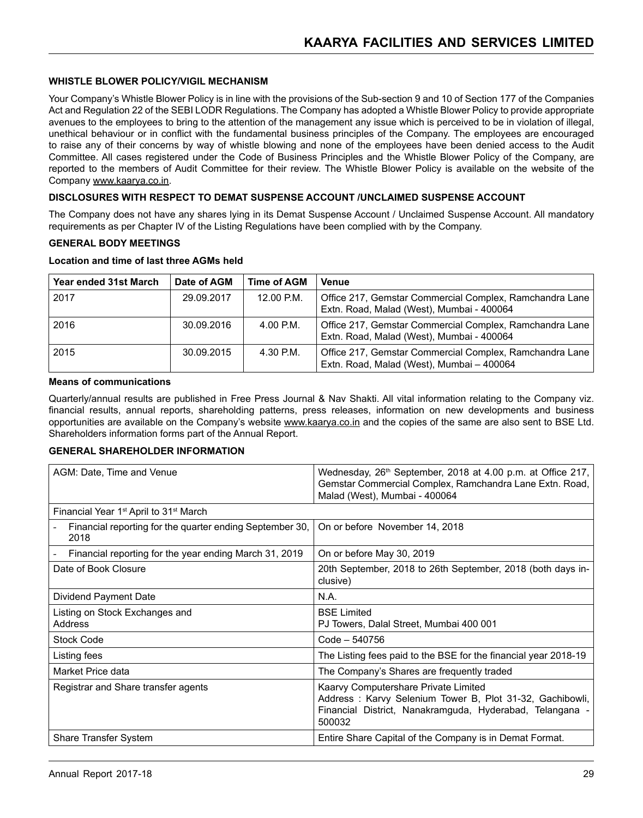#### **WHISTLE BLOWER POLICY/VIGIL MECHANISM**

Your Company's Whistle Blower Policy is in line with the provisions of the Sub-section 9 and 10 of Section 177 of the Companies Act and Regulation 22 of the SEBI LODR Regulations. The Company has adopted a Whistle Blower Policy to provide appropriate avenues to the employees to bring to the attention of the management any issue which is perceived to be in violation of illegal, unethical behaviour or in conflict with the fundamental business principles of the Company. The employees are encouraged to raise any of their concerns by way of whistle blowing and none of the employees have been denied access to the Audit Committee. All cases registered under the Code of Business Principles and the Whistle Blower Policy of the Company, are reported to the members of Audit Committee for their review. The Whistle Blower Policy is available on the website of the Company www.kaarya.co.in.

#### **DISCLOSURES WITH RESPECT TO DEMAT SUSPENSE ACCOUNT /UNCLAIMED SUSPENSE ACCOUNT**

The Company does not have any shares lying in its Demat Suspense Account / Unclaimed Suspense Account. All mandatory requirements as per Chapter IV of the Listing Regulations have been complied with by the Company.

#### **GENERAL BODY MEETINGS**

#### **Location and time of last three AGMs held**

| Year ended 31st March | Date of AGM | Time of AGM | <b>Venue</b>                                                                                         |
|-----------------------|-------------|-------------|------------------------------------------------------------------------------------------------------|
| 2017                  | 29.09.2017  | 12.00 P.M.  | Office 217, Gemstar Commercial Complex, Ramchandra Lane<br>Extn. Road, Malad (West), Mumbai - 400064 |
| 2016                  | 30.09.2016  | $4.00$ P.M. | Office 217, Gemstar Commercial Complex, Ramchandra Lane<br>Extn. Road, Malad (West), Mumbai - 400064 |
| 2015                  | 30.09.2015  | 4.30 P.M.   | Office 217, Gemstar Commercial Complex, Ramchandra Lane<br>Extn. Road, Malad (West), Mumbai - 400064 |

#### **Means of communications**

Quarterly/annual results are published in Free Press Journal & Nav Shakti. All vital information relating to the Company viz. financial results, annual reports, shareholding patterns, press releases, information on new developments and business opportunities are available on the Company's website www.kaarya.co.in and the copies of the same are also sent to BSE Ltd. Shareholders information forms part of the Annual Report.

#### **GENERAL SHAREHOLDER INFORMATION**

| AGM: Date, Time and Venue                                        | Wednesday, 26 <sup>th</sup> September, 2018 at 4.00 p.m. at Office 217,<br>Gemstar Commercial Complex, Ramchandra Lane Extn. Road,<br>Malad (West), Mumbai - 400064    |
|------------------------------------------------------------------|------------------------------------------------------------------------------------------------------------------------------------------------------------------------|
| Financial Year 1 <sup>st</sup> April to 31 <sup>st</sup> March   |                                                                                                                                                                        |
| Financial reporting for the quarter ending September 30,<br>2018 | On or before November 14, 2018                                                                                                                                         |
| Financial reporting for the year ending March 31, 2019           | On or before May 30, 2019                                                                                                                                              |
| Date of Book Closure                                             | 20th September, 2018 to 26th September, 2018 (both days in-<br>clusive)                                                                                                |
| Dividend Payment Date                                            | N.A.                                                                                                                                                                   |
| Listing on Stock Exchanges and<br>Address                        | <b>BSE Limited</b><br>PJ Towers, Dalal Street, Mumbai 400 001                                                                                                          |
| <b>Stock Code</b>                                                | Code - 540756                                                                                                                                                          |
| Listing fees                                                     | The Listing fees paid to the BSE for the financial year 2018-19                                                                                                        |
| Market Price data                                                | The Company's Shares are frequently traded                                                                                                                             |
| Registrar and Share transfer agents                              | Kaarvy Computershare Private Limited<br>Address: Karvy Selenium Tower B, Plot 31-32, Gachibowli,<br>Financial District, Nanakramguda, Hyderabad, Telangana -<br>500032 |
| Share Transfer System                                            | Entire Share Capital of the Company is in Demat Format.                                                                                                                |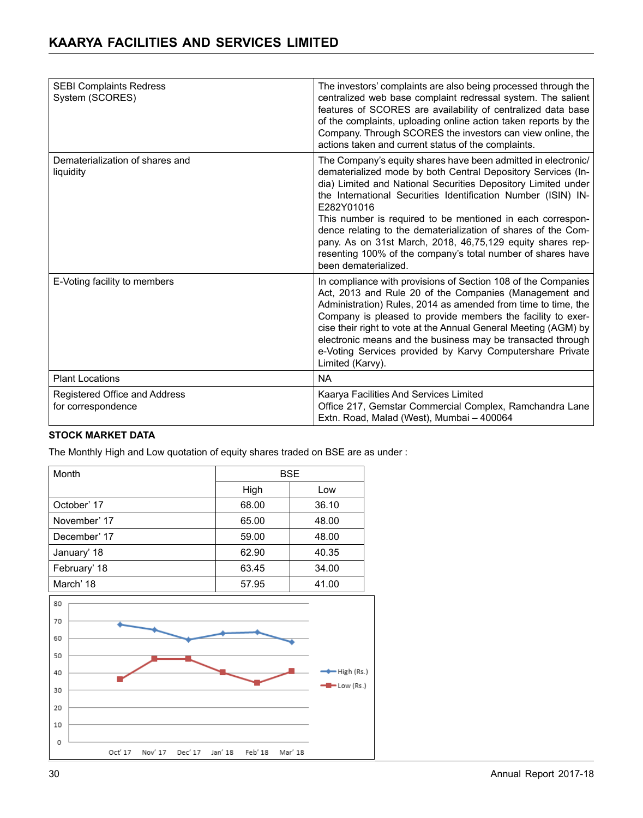| <b>SEBI Complaints Redress</b><br>System (SCORES)   | The investors' complaints are also being processed through the<br>centralized web base complaint redressal system. The salient<br>features of SCORES are availability of centralized data base<br>of the complaints, uploading online action taken reports by the<br>Company. Through SCORES the investors can view online, the<br>actions taken and current status of the complaints.                                                                                                                                                                            |
|-----------------------------------------------------|-------------------------------------------------------------------------------------------------------------------------------------------------------------------------------------------------------------------------------------------------------------------------------------------------------------------------------------------------------------------------------------------------------------------------------------------------------------------------------------------------------------------------------------------------------------------|
| Dematerialization of shares and<br>liquidity        | The Company's equity shares have been admitted in electronic/<br>dematerialized mode by both Central Depository Services (In-<br>dia) Limited and National Securities Depository Limited under<br>the International Securities Identification Number (ISIN) IN-<br>E282Y01016<br>This number is required to be mentioned in each correspon-<br>dence relating to the dematerialization of shares of the Com-<br>pany. As on 31st March, 2018, 46,75,129 equity shares rep-<br>resenting 100% of the company's total number of shares have<br>been dematerialized. |
| E-Voting facility to members                        | In compliance with provisions of Section 108 of the Companies<br>Act, 2013 and Rule 20 of the Companies (Management and<br>Administration) Rules, 2014 as amended from time to time, the<br>Company is pleased to provide members the facility to exer-<br>cise their right to vote at the Annual General Meeting (AGM) by<br>electronic means and the business may be transacted through<br>e-Voting Services provided by Karvy Computershare Private<br>Limited (Karvy).                                                                                        |
| <b>Plant Locations</b>                              | <b>NA</b>                                                                                                                                                                                                                                                                                                                                                                                                                                                                                                                                                         |
| Registered Office and Address<br>for correspondence | Kaarya Facilities And Services Limited<br>Office 217, Gemstar Commercial Complex, Ramchandra Lane<br>Extn. Road, Malad (West), Mumbai - 400064                                                                                                                                                                                                                                                                                                                                                                                                                    |

### **STOCK MARKET DATA**

The Monthly High and Low quotation of equity shares traded on BSE are as under :

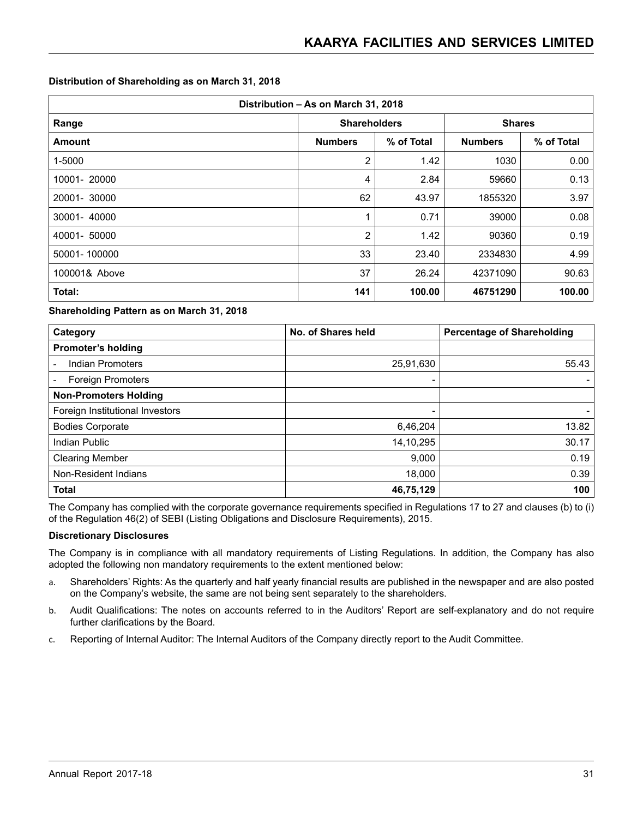#### **Distribution of Shareholding as on March 31, 2018**

| Distribution - As on March 31, 2018 |                     |            |               |            |  |  |  |
|-------------------------------------|---------------------|------------|---------------|------------|--|--|--|
| Range                               | <b>Shareholders</b> |            | <b>Shares</b> |            |  |  |  |
| <b>Amount</b>                       | <b>Numbers</b>      | % of Total |               | % of Total |  |  |  |
| 1-5000                              | 2                   | 1.42       | 1030          | 0.00       |  |  |  |
| 10001-20000                         | 4                   | 2.84       | 59660         | 0.13       |  |  |  |
| 20001-30000                         | 62                  | 43.97      | 1855320       | 3.97       |  |  |  |
| 30001-40000                         | 1                   | 0.71       | 39000         | 0.08       |  |  |  |
| 40001- 50000                        | $\overline{2}$      | 1.42       | 90360         | 0.19       |  |  |  |
| 50001-100000                        | 33                  | 23.40      | 2334830       | 4.99       |  |  |  |
| 100001& Above                       | 37                  | 26.24      | 42371090      | 90.63      |  |  |  |
| Total:                              | 141                 | 100.00     | 46751290      | 100.00     |  |  |  |

#### **Shareholding Pattern as on March 31, 2018**

| Category                        | No. of Shares held | <b>Percentage of Shareholding</b> |
|---------------------------------|--------------------|-----------------------------------|
| <b>Promoter's holding</b>       |                    |                                   |
| <b>Indian Promoters</b>         | 25,91,630          | 55.43                             |
| Foreign Promoters               |                    |                                   |
| <b>Non-Promoters Holding</b>    |                    |                                   |
| Foreign Institutional Investors |                    |                                   |
| <b>Bodies Corporate</b>         | 6,46,204           | 13.82                             |
| <b>Indian Public</b>            | 14,10,295          | 30.17                             |
| <b>Clearing Member</b>          | 9,000              | 0.19                              |
| Non-Resident Indians            | 18,000             | 0.39                              |
| <b>Total</b>                    | 46,75,129          | 100                               |

The Company has complied with the corporate governance requirements specified in Regulations 17 to 27 and clauses (b) to (i) of the Regulation 46(2) of SEBI (Listing Obligations and Disclosure Requirements), 2015.

#### **Discretionary Disclosures**

The Company is in compliance with all mandatory requirements of Listing Regulations. In addition, the Company has also adopted the following non mandatory requirements to the extent mentioned below:

- a. Shareholders' Rights: As the quarterly and half yearly financial results are published in the newspaper and are also posted on the Company's website, the same are not being sent separately to the shareholders.
- b. Audit Qualifications: The notes on accounts referred to in the Auditors' Report are self-explanatory and do not require further clarifications by the Board.
- c. Reporting of Internal Auditor: The Internal Auditors of the Company directly report to the Audit Committee.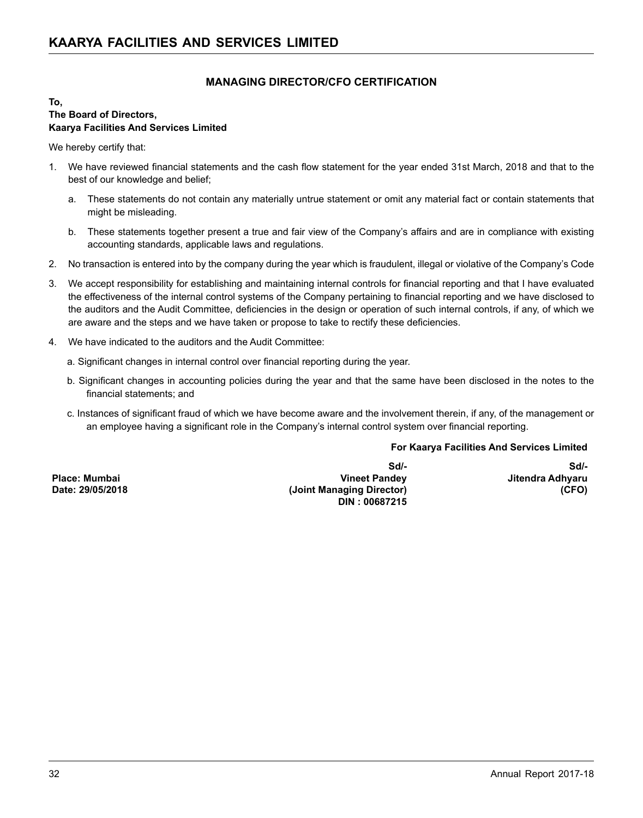## **MANAGING DIRECTOR/CFO CERTIFICATION**

#### **To, The Board of Directors, Kaarya Facilities And Services Limited**

We hereby certify that:

- 1. We have reviewed financial statements and the cash flow statement for the year ended 31st March, 2018 and that to the best of our knowledge and belief;
	- a. These statements do not contain any materially untrue statement or omit any material fact or contain statements that might be misleading.
	- b. These statements together present a true and fair view of the Company's affairs and are in compliance with existing accounting standards, applicable laws and regulations.
- 2. No transaction is entered into by the company during the year which is fraudulent, illegal or violative of the Company's Code
- 3. We accept responsibility for establishing and maintaining internal controls for financial reporting and that I have evaluated the effectiveness of the internal control systems of the Company pertaining to financial reporting and we have disclosed to the auditors and the Audit Committee, deficiencies in the design or operation of such internal controls, if any, of which we are aware and the steps and we have taken or propose to take to rectify these deficiencies.
- 4. We have indicated to the auditors and the Audit Committee:
	- a. Significant changes in internal control over financial reporting during the year.
	- b. Significant changes in accounting policies during the year and that the same have been disclosed in the notes to the financial statements; and
	- c. Instances of significant fraud of which we have become aware and the involvement therein, if any, of the management or an employee having a significant role in the Company's internal control system over financial reporting.

#### **For Kaarya Facilities And Services Limited**

**Place: Mumbai Date: 29/05/2018** 

**Sd/- Vineet Pandey (Joint Managing Director) DIN : 00687215**

**Sd/- Jitendra Adhyaru (CFO)**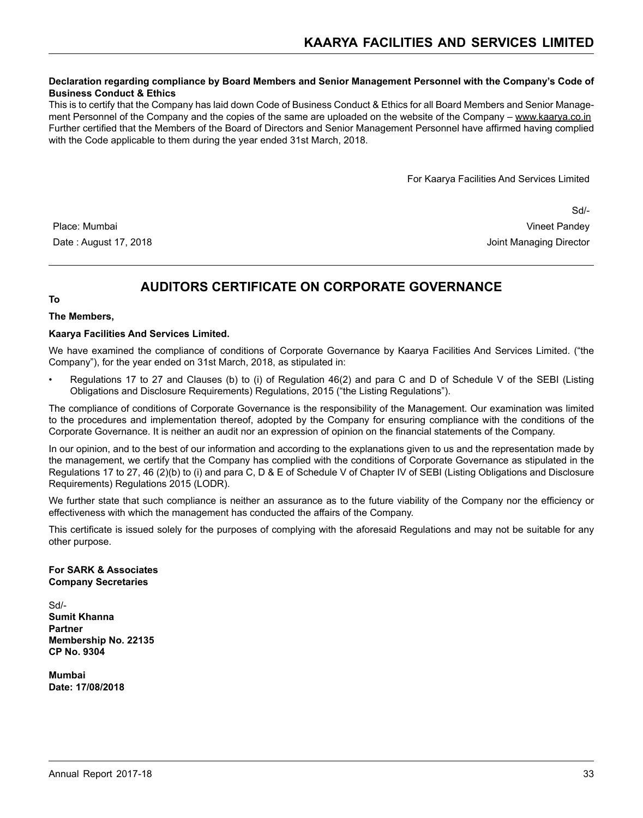#### **Declaration regarding compliance by Board Members and Senior Management Personnel with the Company's Code of Business Conduct & Ethics**

This is to certify that the Company has laid down Code of Business Conduct & Ethics for all Board Members and Senior Management Personnel of the Company and the copies of the same are uploaded on the website of the Company – www.kaarya.co.in Further certified that the Members of the Board of Directors and Senior Management Personnel have affirmed having complied with the Code applicable to them during the year ended 31st March, 2018.

For Kaarya Facilities And Services Limited

Sd/- Place: Mumbai Vineet Pandey Date : August 17, 2018 **Date : August 17, 2018 Joint Managing Director** 

# **AUDITORS CERTIFICATE ON CORPORATE GOVERNANCE**

#### **To**

#### **The Members,**

#### **Kaarya Facilities And Services Limited.**

We have examined the compliance of conditions of Corporate Governance by Kaarya Facilities And Services Limited. ("the Company"), for the year ended on 31st March, 2018, as stipulated in:

• Regulations 17 to 27 and Clauses (b) to (i) of Regulation 46(2) and para C and D of Schedule V of the SEBI (Listing Obligations and Disclosure Requirements) Regulations, 2015 ("the Listing Regulations").

The compliance of conditions of Corporate Governance is the responsibility of the Management. Our examination was limited to the procedures and implementation thereof, adopted by the Company for ensuring compliance with the conditions of the Corporate Governance. It is neither an audit nor an expression of opinion on the financial statements of the Company.

In our opinion, and to the best of our information and according to the explanations given to us and the representation made by the management, we certify that the Company has complied with the conditions of Corporate Governance as stipulated in the Regulations 17 to 27, 46 (2)(b) to (i) and para C, D & E of Schedule V of Chapter IV of SEBI (Listing Obligations and Disclosure Requirements) Regulations 2015 (LODR).

We further state that such compliance is neither an assurance as to the future viability of the Company nor the efficiency or effectiveness with which the management has conducted the affairs of the Company.

This certificate is issued solely for the purposes of complying with the aforesaid Regulations and may not be suitable for any other purpose.

#### **For SARK & Associates Company Secretaries**

Sd/- **Sumit Khanna Partner Membership No. 22135 CP No. 9304**

**Mumbai Date: 17/08/2018**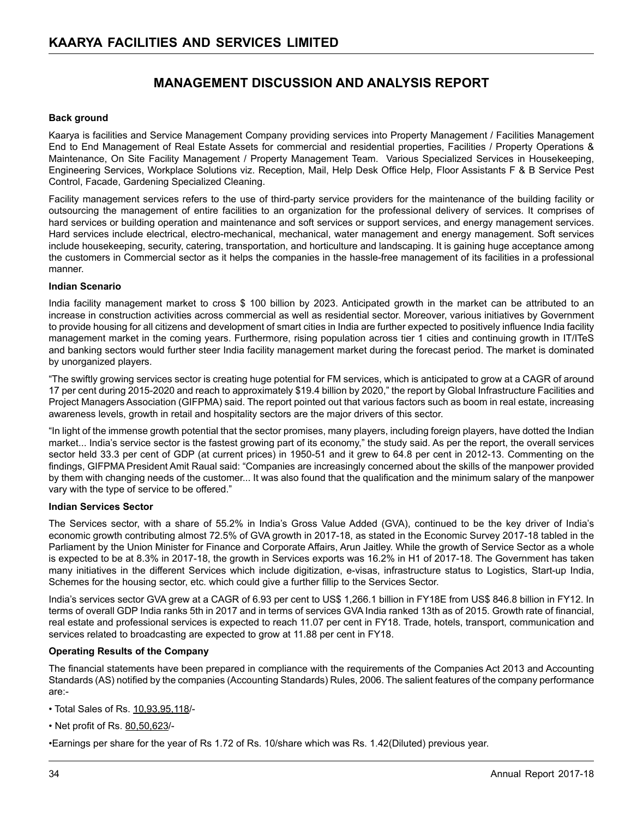# **MANAGEMENT DISCUSSION AND ANALYSIS REPORT**

#### **Back ground**

Kaarya is facilities and Service Management Company providing services into Property Management / Facilities Management End to End Management of Real Estate Assets for commercial and residential properties, Facilities / Property Operations & Maintenance, On Site Facility Management / Property Management Team. Various Specialized Services in Housekeeping, Engineering Services, Workplace Solutions viz. Reception, Mail, Help Desk Office Help, Floor Assistants F & B Service Pest Control, Facade, Gardening Specialized Cleaning.

Facility management services refers to the use of third-party service providers for the maintenance of the building facility or outsourcing the management of entire facilities to an organization for the professional delivery of services. It comprises of hard services or building operation and maintenance and soft services or support services, and energy management services. Hard services include electrical, electro-mechanical, mechanical, water management and energy management. Soft services include housekeeping, security, catering, transportation, and horticulture and landscaping. It is gaining huge acceptance among the customers in Commercial sector as it helps the companies in the hassle-free management of its facilities in a professional manner.

#### **Indian Scenario**

India facility management market to cross \$ 100 billion by 2023. Anticipated growth in the market can be attributed to an increase in construction activities across commercial as well as residential sector. Moreover, various initiatives by Government to provide housing for all citizens and development of smart cities in India are further expected to positively influence India facility management market in the coming years. Furthermore, rising population across tier 1 cities and continuing growth in IT/ITeS and banking sectors would further steer India facility management market during the forecast period. The market is dominated by unorganized players.

"The swiftly growing services sector is creating huge potential for FM services, which is anticipated to grow at a CAGR of around 17 per cent during 2015-2020 and reach to approximately \$19.4 billion by 2020," the report by Global Infrastructure Facilities and Project Managers Association (GIFPMA) said. The report pointed out that various factors such as boom in real estate, increasing awareness levels, growth in retail and hospitality sectors are the major drivers of this sector.

"In light of the immense growth potential that the sector promises, many players, including foreign players, have dotted the Indian market... India's service sector is the fastest growing part of its economy," the study said. As per the report, the overall services sector held 33.3 per cent of GDP (at current prices) in 1950-51 and it grew to 64.8 per cent in 2012-13. Commenting on the findings, GIFPMA President Amit Raual said: "Companies are increasingly concerned about the skills of the manpower provided by them with changing needs of the customer... It was also found that the qualification and the minimum salary of the manpower vary with the type of service to be offered."

#### **Indian Services Sector**

The Services sector, with a share of 55.2% in India's Gross Value Added (GVA), continued to be the key driver of India's economic growth contributing almost 72.5% of GVA growth in 2017-18, as stated in the Economic Survey 2017-18 tabled in the Parliament by the Union Minister for Finance and Corporate Affairs, Arun Jaitley. While the growth of Service Sector as a whole is expected to be at 8.3% in 2017-18, the growth in Services exports was 16.2% in H1 of 2017-18. The Government has taken many initiatives in the different Services which include digitization, e-visas, infrastructure status to Logistics, Start-up India, Schemes for the housing sector, etc. which could give a further fillip to the Services Sector.

India's services sector GVA grew at a CAGR of 6.93 per cent to US\$ 1,266.1 billion in FY18E from US\$ 846.8 billion in FY12. In terms of overall GDP India ranks 5th in 2017 and in terms of services GVA India ranked 13th as of 2015. Growth rate of financial, real estate and professional services is expected to reach 11.07 per cent in FY18. Trade, hotels, transport, communication and services related to broadcasting are expected to grow at 11.88 per cent in FY18.

#### **Operating Results of the Company**

The financial statements have been prepared in compliance with the requirements of the Companies Act 2013 and Accounting Standards (AS) notified by the companies (Accounting Standards) Rules, 2006. The salient features of the company performance are:-

- Total Sales of Rs. 10,93,95,118/-
- Net profit of Rs. 80,50,623/-

•Earnings per share for the year of Rs 1.72 of Rs. 10/share which was Rs. 1.42(Diluted) previous year.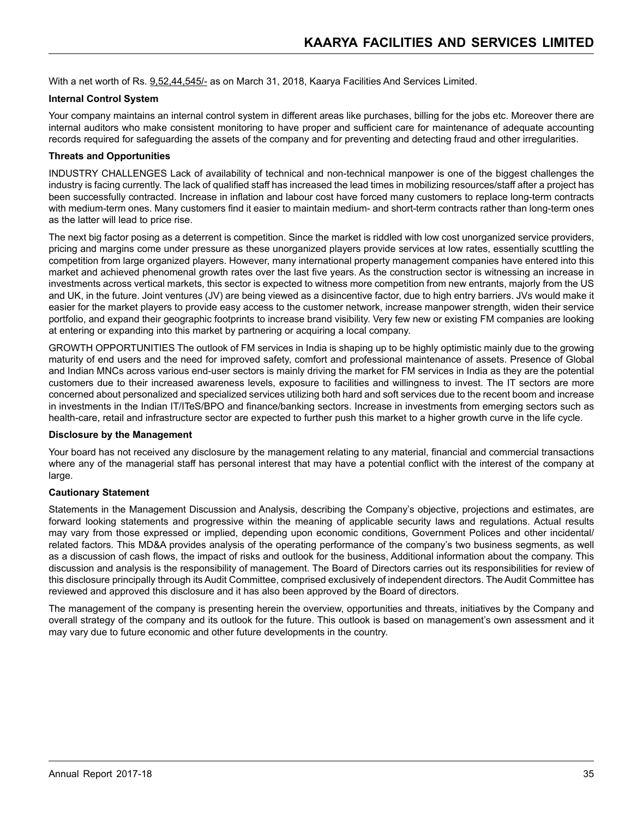With a net worth of Rs. 9,52,44,545/- as on March 31, 2018, Kaarya Facilities And Services Limited.

#### **Internal Control System**

Your company maintains an internal control system in different areas like purchases, billing for the jobs etc. Moreover there are internal auditors who make consistent monitoring to have proper and sufficient care for maintenance of adequate accounting records required for safeguarding the assets of the company and for preventing and detecting fraud and other irregularities.

#### **Threats and Opportunities**

INDUSTRY CHALLENGES Lack of availability of technical and non-technical manpower is one of the biggest challenges the industry is facing currently. The lack of qualified staff has increased the lead times in mobilizing resources/staff after a project has been successfully contracted. Increase in inflation and labour cost have forced many customers to replace long-term contracts with medium-term ones. Many customers find it easier to maintain medium- and short-term contracts rather than long-term ones as the latter will lead to price rise.

The next big factor posing as a deterrent is competition. Since the market is riddled with low cost unorganized service providers, pricing and margins come under pressure as these unorganized players provide services at low rates, essentially scuttling the competition from large organized players. However, many international property management companies have entered into this market and achieved phenomenal growth rates over the last five years. As the construction sector is witnessing an increase in investments across vertical markets, this sector is expected to witness more competition from new entrants, majorly from the US and UK, in the future. Joint ventures (JV) are being viewed as a disincentive factor, due to high entry barriers. JVs would make it easier for the market players to provide easy access to the customer network, increase manpower strength, widen their service portfolio, and expand their geographic footprints to increase brand visibility. Very few new or existing FM companies are looking at entering or expanding into this market by partnering or acquiring a local company.

GROWTH OPPORTUNITIES The outlook of FM services in India is shaping up to be highly optimistic mainly due to the growing maturity of end users and the need for improved safety, comfort and professional maintenance of assets. Presence of Global and Indian MNCs across various end-user sectors is mainly driving the market for FM services in India as they are the potential customers due to their increased awareness levels, exposure to facilities and willingness to invest. The IT sectors are more concerned about personalized and specialized services utilizing both hard and soft services due to the recent boom and increase in investments in the Indian IT/ITeS/BPO and finance/banking sectors. Increase in investments from emerging sectors such as health-care, retail and infrastructure sector are expected to further push this market to a higher growth curve in the life cycle.

#### **Disclosure by the Management**

Your board has not received any disclosure by the management relating to any material, financial and commercial transactions where any of the managerial staff has personal interest that may have a potential conflict with the interest of the company at large.

#### **Cautionary Statement**

Statements in the Management Discussion and Analysis, describing the Company's objective, projections and estimates, are forward looking statements and progressive within the meaning of applicable security laws and regulations. Actual results may vary from those expressed or implied, depending upon economic conditions, Government Polices and other incidental/ related factors. This MD&A provides analysis of the operating performance of the company's two business segments, as well as a discussion of cash flows, the impact of risks and outlook for the business, Additional information about the company. This discussion and analysis is the responsibility of management. The Board of Directors carries out its responsibilities for review of this disclosure principally through its Audit Committee, comprised exclusively of independent directors. The Audit Committee has reviewed and approved this disclosure and it has also been approved by the Board of directors.

The management of the company is presenting herein the overview, opportunities and threats, initiatives by the Company and overall strategy of the company and its outlook for the future. This outlook is based on management's own assessment and it may vary due to future economic and other future developments in the country.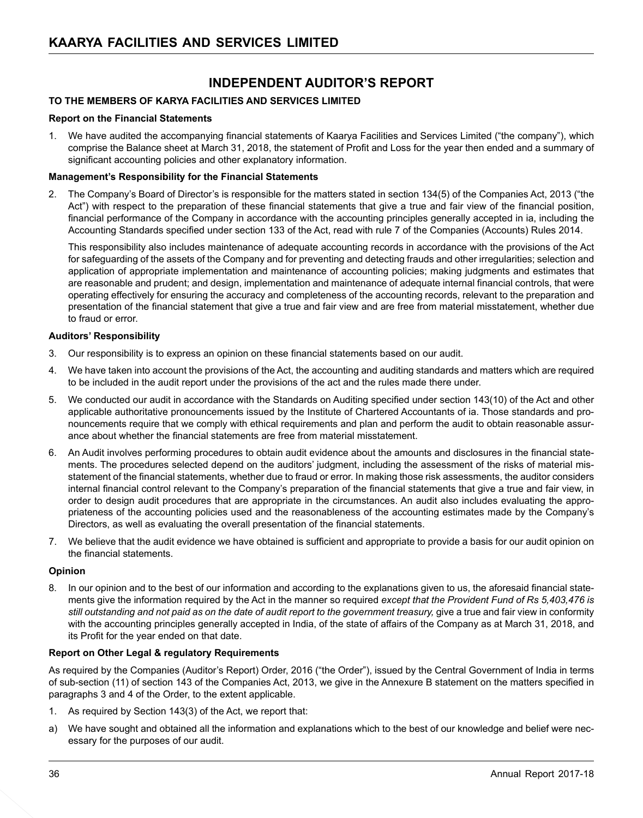# **INDEPENDENT AUDITOR'S REPORT**

#### **TO THE MEMBERS OF KARYA FACILITIES AND SERVICES LIMITED**

#### **Report on the Financial Statements**

1. We have audited the accompanying financial statements of Kaarya Facilities and Services Limited ("the company"), which comprise the Balance sheet at March 31, 2018, the statement of Profit and Loss for the year then ended and a summary of significant accounting policies and other explanatory information.

#### **Management's Responsibility for the Financial Statements**

2. The Company's Board of Director's is responsible for the matters stated in section 134(5) of the Companies Act, 2013 ("the Act") with respect to the preparation of these financial statements that give a true and fair view of the financial position, financial performance of the Company in accordance with the accounting principles generally accepted in ia, including the Accounting Standards specified under section 133 of the Act, read with rule 7 of the Companies (Accounts) Rules 2014.

 This responsibility also includes maintenance of adequate accounting records in accordance with the provisions of the Act for safeguarding of the assets of the Company and for preventing and detecting frauds and other irregularities; selection and application of appropriate implementation and maintenance of accounting policies; making judgments and estimates that are reasonable and prudent; and design, implementation and maintenance of adequate internal financial controls, that were operating effectively for ensuring the accuracy and completeness of the accounting records, relevant to the preparation and presentation of the financial statement that give a true and fair view and are free from material misstatement, whether due to fraud or error.

#### **Auditors' Responsibility**

- 3. Our responsibility is to express an opinion on these financial statements based on our audit.
- 4. We have taken into account the provisions of the Act, the accounting and auditing standards and matters which are required to be included in the audit report under the provisions of the act and the rules made there under.
- 5. We conducted our audit in accordance with the Standards on Auditing specified under section 143(10) of the Act and other applicable authoritative pronouncements issued by the Institute of Chartered Accountants of ia. Those standards and pronouncements require that we comply with ethical requirements and plan and perform the audit to obtain reasonable assurance about whether the financial statements are free from material misstatement.
- 6. An Audit involves performing procedures to obtain audit evidence about the amounts and disclosures in the financial statements. The procedures selected depend on the auditors' judgment, including the assessment of the risks of material misstatement of the financial statements, whether due to fraud or error. In making those risk assessments, the auditor considers internal financial control relevant to the Company's preparation of the financial statements that give a true and fair view, in order to design audit procedures that are appropriate in the circumstances. An audit also includes evaluating the appropriateness of the accounting policies used and the reasonableness of the accounting estimates made by the Company's Directors, as well as evaluating the overall presentation of the financial statements.
- 7. We believe that the audit evidence we have obtained is sufficient and appropriate to provide a basis for our audit opinion on the financial statements.

#### **Opinion**

8. In our opinion and to the best of our information and according to the explanations given to us, the aforesaid financial statements give the information required by the Act in the manner so required *except that the Provident Fund of Rs 5,403,476 is still outstanding and not paid as on the date of audit report to the government treasury,* give a true and fair view in conformity with the accounting principles generally accepted in India, of the state of affairs of the Company as at March 31, 2018, and its Profit for the year ended on that date.

#### **Report on Other Legal & regulatory Requirements**

As required by the Companies (Auditor's Report) Order, 2016 ("the Order"), issued by the Central Government of India in terms of sub-section (11) of section 143 of the Companies Act, 2013, we give in the Annexure B statement on the matters specified in paragraphs 3 and 4 of the Order, to the extent applicable.

- 1. As required by Section 143(3) of the Act, we report that:
- a) We have sought and obtained all the information and explanations which to the best of our knowledge and belief were necessary for the purposes of our audit.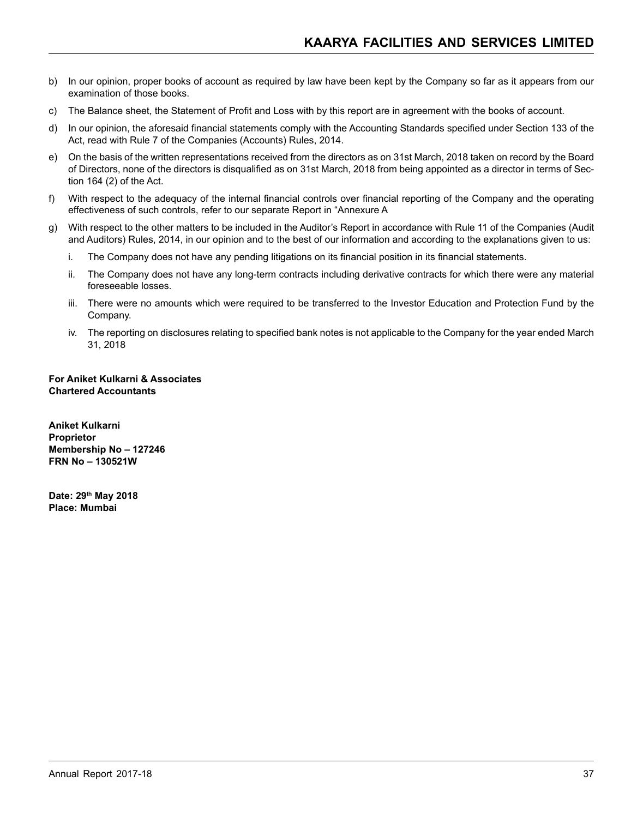- b) In our opinion, proper books of account as required by law have been kept by the Company so far as it appears from our examination of those books.
- c) The Balance sheet, the Statement of Profit and Loss with by this report are in agreement with the books of account.
- d) In our opinion, the aforesaid financial statements comply with the Accounting Standards specified under Section 133 of the Act, read with Rule 7 of the Companies (Accounts) Rules, 2014.
- e) On the basis of the written representations received from the directors as on 31st March, 2018 taken on record by the Board of Directors, none of the directors is disqualified as on 31st March, 2018 from being appointed as a director in terms of Section 164 (2) of the Act.
- f) With respect to the adequacy of the internal financial controls over financial reporting of the Company and the operating effectiveness of such controls, refer to our separate Report in "Annexure A
- g) With respect to the other matters to be included in the Auditor's Report in accordance with Rule 11 of the Companies (Audit and Auditors) Rules, 2014, in our opinion and to the best of our information and according to the explanations given to us:
	- i. The Company does not have any pending litigations on its financial position in its financial statements.
	- ii. The Company does not have any long-term contracts including derivative contracts for which there were any material foreseeable losses.
	- iii. There were no amounts which were required to be transferred to the Investor Education and Protection Fund by the Company.
	- iv. The reporting on disclosures relating to specified bank notes is not applicable to the Company for the year ended March 31, 2018

**For Aniket Kulkarni & Associates Chartered Accountants**

**Aniket Kulkarni Proprietor Membership No – 127246 FRN No – 130521W**

**Date: 29th May 2018 Place: Mumbai**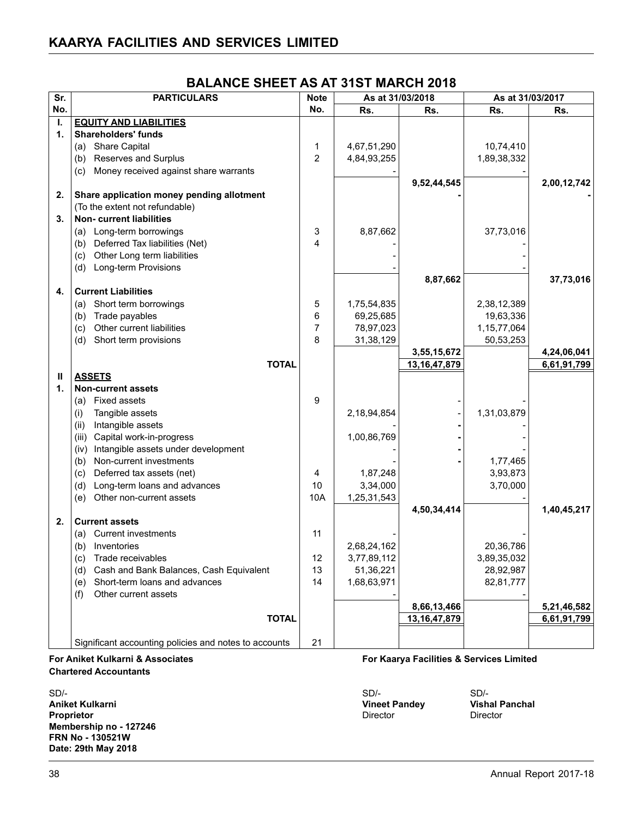| Sr.          | <b>PARTICULARS</b>                                    | <b>Note</b>    | As at 31/03/2018 |                 | As at 31/03/2017 |             |
|--------------|-------------------------------------------------------|----------------|------------------|-----------------|------------------|-------------|
| No.          |                                                       | No.            | Rs.              | Rs.             | Rs.              | Rs.         |
| $\mathbf{L}$ | <b>EQUITY AND LIABILITIES</b>                         |                |                  |                 |                  |             |
| 1.           | <b>Shareholders' funds</b>                            |                |                  |                 |                  |             |
|              | (a) Share Capital                                     | $\mathbf 1$    | 4,67,51,290      |                 | 10,74,410        |             |
|              | (b) Reserves and Surplus                              | $\overline{2}$ | 4,84,93,255      |                 | 1,89,38,332      |             |
|              | (c) Money received against share warrants             |                |                  |                 |                  |             |
|              |                                                       |                |                  | 9,52,44,545     |                  | 2,00,12,742 |
| 2.           | Share application money pending allotment             |                |                  |                 |                  |             |
|              | (To the extent not refundable)                        |                |                  |                 |                  |             |
| 3.           | Non- current liabilities                              |                |                  |                 |                  |             |
|              | (a) Long-term borrowings                              | 3              | 8,87,662         |                 | 37,73,016        |             |
|              | (b) Deferred Tax liabilities (Net)                    | 4              |                  |                 |                  |             |
|              | (c) Other Long term liabilities                       |                |                  |                 |                  |             |
|              | (d) Long-term Provisions                              |                |                  |                 |                  |             |
|              |                                                       |                |                  | 8,87,662        |                  | 37,73,016   |
| 4.           | <b>Current Liabilities</b>                            |                |                  |                 |                  |             |
|              | (a) Short term borrowings                             | 5              | 1,75,54,835      |                 | 2,38,12,389      |             |
|              | (b) Trade payables                                    | 6              | 69,25,685        |                 | 19,63,336        |             |
|              | Other current liabilities<br>(c)                      | $\overline{7}$ | 78,97,023        |                 | 1, 15, 77, 064   |             |
|              | (d) Short term provisions                             | 8              | 31,38,129        |                 | 50,53,253        |             |
|              |                                                       |                |                  | 3,55,15,672     |                  | 4,24,06,041 |
|              | <b>TOTAL</b>                                          |                |                  | 13, 16, 47, 879 |                  | 6,61,91,799 |
| Ш            | <b>ASSETS</b>                                         |                |                  |                 |                  |             |
| 1.           | <b>Non-current assets</b>                             |                |                  |                 |                  |             |
|              | (a) Fixed assets                                      | 9              |                  |                 |                  |             |
|              | Tangible assets<br>(i)                                |                | 2,18,94,854      |                 | 1,31,03,879      |             |
|              | Intangible assets<br>(ii)                             |                |                  |                 |                  |             |
|              | (iii) Capital work-in-progress                        |                | 1,00,86,769      |                 |                  |             |
|              | (iv) Intangible assets under development              |                |                  |                 |                  |             |
|              | (b) Non-current investments                           |                |                  |                 | 1,77,465         |             |
|              | (c) Deferred tax assets (net)                         | 4              | 1,87,248         |                 | 3,93,873         |             |
|              | (d) Long-term loans and advances                      | 10             | 3,34,000         |                 | 3,70,000         |             |
|              | (e) Other non-current assets                          | 10A            | 1,25,31,543      |                 |                  |             |
|              |                                                       |                |                  | 4,50,34,414     |                  | 1,40,45,217 |
| 2.           | <b>Current assets</b>                                 |                |                  |                 |                  |             |
|              | (a) Current investments                               | 11             |                  |                 |                  |             |
|              | (b) Inventories                                       |                | 2,68,24,162      |                 | 20,36,786        |             |
|              | (c) Trade receivables                                 | 12             | 3,77,89,112      |                 | 3,89,35,032      |             |
|              | (d) Cash and Bank Balances, Cash Equivalent           | 13             | 51,36,221        |                 | 28,92,987        |             |
|              | Short-term loans and advances<br>(e)                  | 14             | 1,68,63,971      |                 | 82,81,777        |             |
|              | Other current assets<br>(f)                           |                |                  |                 |                  |             |
|              |                                                       |                |                  | 8,66,13,466     |                  | 5,21,46,582 |
|              | <b>TOTAL</b>                                          |                |                  | 13, 16, 47, 879 |                  | 6,61,91,799 |
|              |                                                       |                |                  |                 |                  |             |
|              | Significant accounting policies and notes to accounts | 21             |                  |                 |                  |             |

# **BALANCE SHEET AS AT 31ST MARCH 2018**

**Chartered Accountants**

SD/- SD/- SD/- **Aniket Kulkarni Vineet Pandey Vishal Panchal Proprietor Membership no - 127246 FRN No - 130521W Date: 29th May 2018**

**For Aniket Kulkarni & Associates For Kaarya Facilities & Services Limited**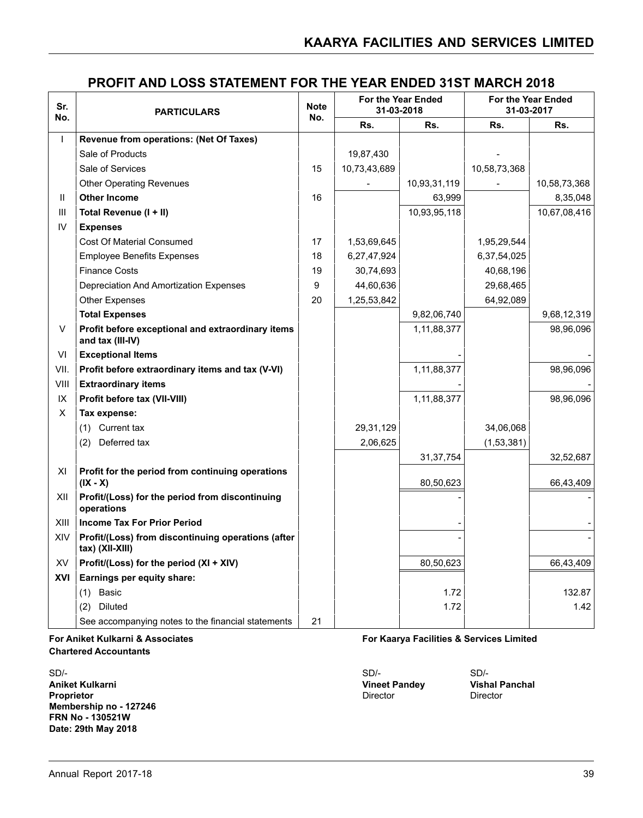| Sr.<br>No.   | <b>PARTICULARS</b>                                                      | <b>Note</b><br>No. |              | For the Year Ended<br>31-03-2018 |              | For the Year Ended<br>31-03-2017 |  |
|--------------|-------------------------------------------------------------------------|--------------------|--------------|----------------------------------|--------------|----------------------------------|--|
|              |                                                                         |                    | Rs.          | Rs.                              | Rs.          | Rs.                              |  |
| T            | Revenue from operations: (Net Of Taxes)                                 |                    |              |                                  |              |                                  |  |
|              | Sale of Products                                                        |                    | 19,87,430    |                                  |              |                                  |  |
|              | Sale of Services                                                        | 15                 | 10,73,43,689 |                                  | 10,58,73,368 |                                  |  |
|              | <b>Other Operating Revenues</b>                                         |                    |              | 10,93,31,119                     |              | 10,58,73,368                     |  |
| $\mathbf{H}$ | <b>Other Income</b>                                                     | 16                 |              | 63,999                           |              | 8,35,048                         |  |
| Ш            | Total Revenue (I + II)                                                  |                    |              | 10,93,95,118                     |              | 10,67,08,416                     |  |
| IV           | <b>Expenses</b>                                                         |                    |              |                                  |              |                                  |  |
|              | <b>Cost Of Material Consumed</b>                                        | 17                 | 1,53,69,645  |                                  | 1,95,29,544  |                                  |  |
|              | <b>Employee Benefits Expenses</b>                                       | 18                 | 6,27,47,924  |                                  | 6,37,54,025  |                                  |  |
|              | <b>Finance Costs</b>                                                    | 19                 | 30,74,693    |                                  | 40,68,196    |                                  |  |
|              | Depreciation And Amortization Expenses                                  | 9                  | 44,60,636    |                                  | 29,68,465    |                                  |  |
|              | <b>Other Expenses</b>                                                   | 20                 | 1,25,53,842  |                                  | 64,92,089    |                                  |  |
|              | <b>Total Expenses</b>                                                   |                    |              | 9,82,06,740                      |              | 9,68,12,319                      |  |
| V            | Profit before exceptional and extraordinary items<br>and tax (III-IV)   |                    |              | 1,11,88,377                      |              | 98,96,096                        |  |
| VI           | <b>Exceptional Items</b>                                                |                    |              |                                  |              |                                  |  |
| VII.         | Profit before extraordinary items and tax (V-VI)                        |                    |              | 1,11,88,377                      |              | 98,96,096                        |  |
| VIII         | <b>Extraordinary items</b>                                              |                    |              |                                  |              |                                  |  |
| IX           | Profit before tax (VII-VIII)                                            |                    |              | 1,11,88,377                      |              | 98,96,096                        |  |
| X            | Tax expense:                                                            |                    |              |                                  |              |                                  |  |
|              | (1) Current tax                                                         |                    | 29,31,129    |                                  | 34,06,068    |                                  |  |
|              | (2) Deferred tax                                                        |                    | 2,06,625     |                                  | (1,53,381)   |                                  |  |
|              |                                                                         |                    |              | 31, 37, 754                      |              | 32,52,687                        |  |
| XI           | Profit for the period from continuing operations<br>$(IX - X)$          |                    |              | 80,50,623                        |              | 66,43,409                        |  |
| XII          | Profit/(Loss) for the period from discontinuing<br>operations           |                    |              |                                  |              |                                  |  |
| XIII         | <b>Income Tax For Prior Period</b>                                      |                    |              |                                  |              |                                  |  |
| XIV          | Profit/(Loss) from discontinuing operations (after<br>$tax)$ (XII-XIII) |                    |              |                                  |              |                                  |  |
| XV           | Profit/(Loss) for the period (XI + XIV)                                 |                    |              | 80,50,623                        |              | 66,43,409                        |  |
| XVI          | Earnings per equity share:                                              |                    |              |                                  |              |                                  |  |
|              | $(1)$ Basic                                                             |                    |              | 1.72                             |              | 132.87                           |  |
|              | (2) Diluted                                                             |                    |              | 1.72                             |              | 1.42                             |  |
|              | See accompanying notes to the financial statements                      | 21                 |              |                                  |              |                                  |  |

#### **Chartered Accountants**

SD/- SD/- SD/- **Aniket Kulkarni Vineet Pandey Vishal Panchal Proprietor** Director Director Director Director Director Director Director Director **Membership no - 127246 FRN No - 130521W Date: 29th May 2018**

#### **For Aniket Kulkarni & Associates For Kaarya Facilities & Services Limited**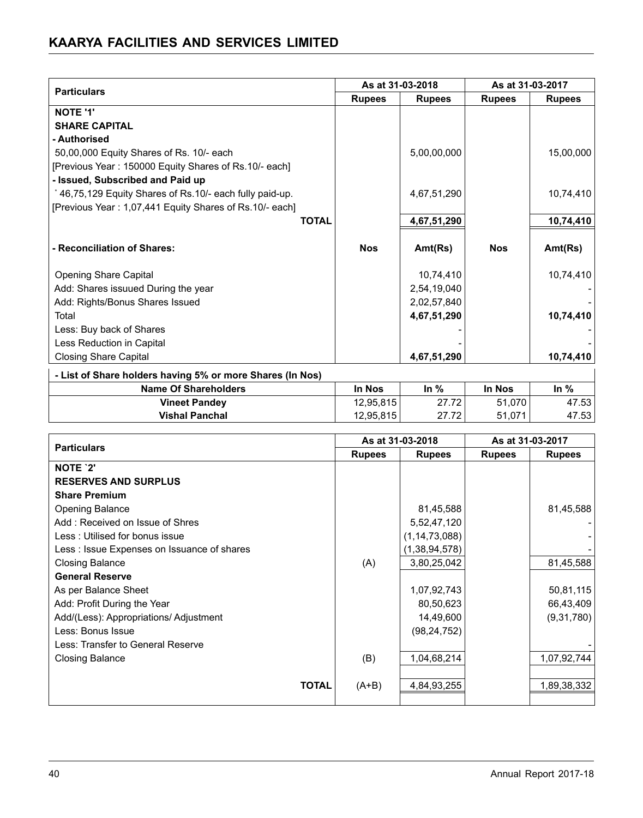|                                                           | As at 31-03-2018 |               | As at 31-03-2017 |               |  |
|-----------------------------------------------------------|------------------|---------------|------------------|---------------|--|
| <b>Particulars</b>                                        | <b>Rupees</b>    | <b>Rupees</b> | <b>Rupees</b>    | <b>Rupees</b> |  |
| <b>NOTE '1'</b>                                           |                  |               |                  |               |  |
| <b>SHARE CAPITAL</b>                                      |                  |               |                  |               |  |
| - Authorised                                              |                  |               |                  |               |  |
| 50,00,000 Equity Shares of Rs. 10/- each                  |                  | 5,00,00,000   |                  | 15,00,000     |  |
| [Previous Year: 150000 Equity Shares of Rs.10/- each]     |                  |               |                  |               |  |
| - Issued, Subscribed and Paid up                          |                  |               |                  |               |  |
| *46,75,129 Equity Shares of Rs.10/- each fully paid-up.   |                  | 4,67,51,290   |                  | 10,74,410     |  |
| [Previous Year: 1,07,441 Equity Shares of Rs.10/- each]   |                  |               |                  |               |  |
| <b>TOTAL</b>                                              |                  | 4,67,51,290   |                  | 10,74,410     |  |
|                                                           |                  |               |                  |               |  |
| - Reconciliation of Shares:                               | <b>Nos</b>       | Ant(Rs)       | <b>Nos</b>       | Ant(Rs)       |  |
|                                                           |                  |               |                  |               |  |
| Opening Share Capital                                     |                  | 10,74,410     |                  | 10,74,410     |  |
| Add: Shares issuued During the year                       |                  | 2,54,19,040   |                  |               |  |
| Add: Rights/Bonus Shares Issued                           |                  | 2,02,57,840   |                  |               |  |
| Total                                                     |                  | 4,67,51,290   |                  | 10,74,410     |  |
| Less: Buy back of Shares                                  |                  |               |                  |               |  |
| Less Reduction in Capital                                 |                  |               |                  |               |  |
| <b>Closing Share Capital</b>                              |                  | 4,67,51,290   |                  | 10,74,410     |  |
| - List of Share holders having 5% or more Shares (In Nos) |                  |               |                  |               |  |
| <b>Name Of Shareholders</b>                               | In Nos           | In $%$        | In Nos           | In $%$        |  |
| <b>Vineet Pandey</b>                                      | 12,95,815        | 27.72         | 51,070           | 47.53         |  |
| <b>Vishal Panchal</b>                                     | 12,95,815        | 27.72         | 51,071           | 47.53         |  |

|                                            |               | As at 31-03-2018 |               | As at 31-03-2017 |  |
|--------------------------------------------|---------------|------------------|---------------|------------------|--|
| <b>Particulars</b>                         | <b>Rupees</b> | <b>Rupees</b>    | <b>Rupees</b> | <b>Rupees</b>    |  |
| NOTE '2'                                   |               |                  |               |                  |  |
| <b>RESERVES AND SURPLUS</b>                |               |                  |               |                  |  |
| <b>Share Premium</b>                       |               |                  |               |                  |  |
| <b>Opening Balance</b>                     |               | 81,45,588        |               | 81,45,588        |  |
| Add: Received on Issue of Shres            |               | 5,52,47,120      |               |                  |  |
| Less: Utilised for bonus issue             |               | (1, 14, 73, 088) |               |                  |  |
| Less: Issue Expenses on Issuance of shares |               | (1,38,94,578)    |               |                  |  |
| <b>Closing Balance</b>                     | (A)           | 3,80,25,042      |               | 81,45,588        |  |
| <b>General Reserve</b>                     |               |                  |               |                  |  |
| As per Balance Sheet                       |               | 1,07,92,743      |               | 50,81,115        |  |
| Add: Profit During the Year                |               | 80,50,623        |               | 66,43,409        |  |
| Add/(Less): Appropriations/ Adjustment     |               | 14,49,600        |               | (9,31,780)       |  |
| Less: Bonus Issue                          |               | (98, 24, 752)    |               |                  |  |
| Less: Transfer to General Reserve          |               |                  |               |                  |  |
| <b>Closing Balance</b>                     | (B)           | 1,04,68,214      |               | 1,07,92,744      |  |
|                                            |               |                  |               |                  |  |
| <b>TOTAL</b>                               | $(A+B)$       | 4,84,93,255      |               | 1,89,38,332      |  |
|                                            |               |                  |               |                  |  |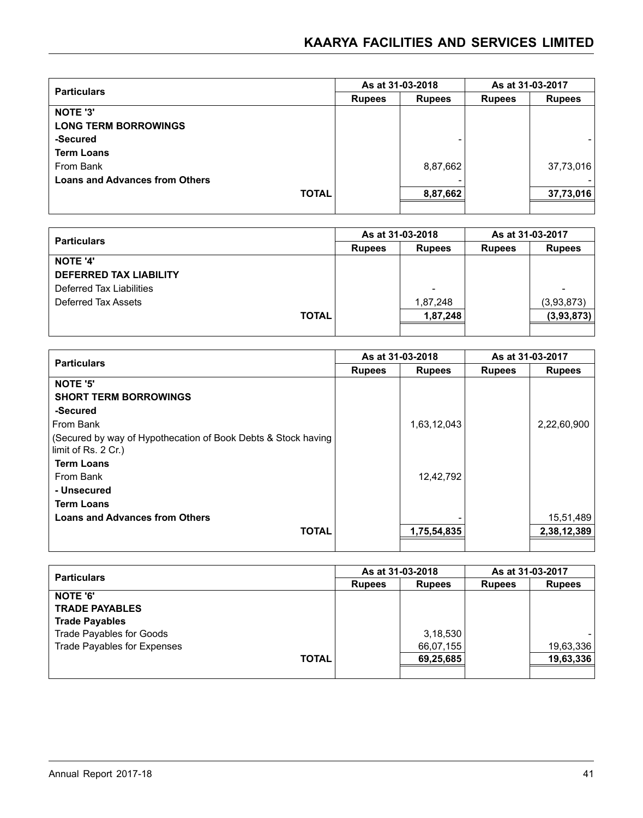| <b>Particulars</b>                    |               | As at 31-03-2018 | As at 31-03-2017 |               |
|---------------------------------------|---------------|------------------|------------------|---------------|
|                                       | <b>Rupees</b> | <b>Rupees</b>    | <b>Rupees</b>    | <b>Rupees</b> |
| NOTE '3'                              |               |                  |                  |               |
| <b>LONG TERM BORROWINGS</b>           |               |                  |                  |               |
| -Secured                              |               |                  |                  |               |
| <b>Term Loans</b>                     |               |                  |                  |               |
| From Bank                             |               | 8,87,662         |                  | 37,73,016     |
| <b>Loans and Advances from Others</b> |               |                  |                  |               |
| <b>TOTAL</b>                          |               | 8,87,662         |                  | 37,73,016     |
|                                       |               |                  |                  |               |

| <b>Particulars</b>            |               | As at 31-03-2018         | As at 31-03-2017 |                          |
|-------------------------------|---------------|--------------------------|------------------|--------------------------|
|                               | <b>Rupees</b> | <b>Rupees</b>            | <b>Rupees</b>    | <b>Rupees</b>            |
| <b>NOTE '4'</b>               |               |                          |                  |                          |
| <b>DEFERRED TAX LIABILITY</b> |               |                          |                  |                          |
| Deferred Tax Liabilities      |               | $\overline{\phantom{a}}$ |                  | $\overline{\phantom{0}}$ |
| Deferred Tax Assets           |               | 1,87,248                 |                  | (3,93,873)               |
| <b>TOTAL</b>                  |               | 1,87,248                 |                  | (3,93,873)               |
|                               |               |                          |                  |                          |

| <b>Particulars</b>                                                                   |               | As at 31-03-2018 | As at 31-03-2017 |               |
|--------------------------------------------------------------------------------------|---------------|------------------|------------------|---------------|
|                                                                                      | <b>Rupees</b> | <b>Rupees</b>    | <b>Rupees</b>    | <b>Rupees</b> |
| <b>NOTE '5'</b>                                                                      |               |                  |                  |               |
| <b>SHORT TERM BORROWINGS</b>                                                         |               |                  |                  |               |
| -Secured                                                                             |               |                  |                  |               |
| From Bank                                                                            |               | 1,63,12,043      |                  | 2,22,60,900   |
| (Secured by way of Hypothecation of Book Debts & Stock having<br>limit of Rs. 2 Cr.) |               |                  |                  |               |
| <b>Term Loans</b>                                                                    |               |                  |                  |               |
| From Bank                                                                            |               | 12,42,792        |                  |               |
| - Unsecured                                                                          |               |                  |                  |               |
| <b>Term Loans</b>                                                                    |               |                  |                  |               |
| <b>Loans and Advances from Others</b>                                                |               |                  |                  | 15,51,489     |
| <b>TOTAL</b>                                                                         |               | 1,75,54,835      |                  | 2,38,12,389   |
|                                                                                      |               |                  |                  |               |

| <b>Particulars</b>          |               | As at 31-03-2018 | As at 31-03-2017 |               |
|-----------------------------|---------------|------------------|------------------|---------------|
|                             | <b>Rupees</b> |                  | <b>Rupees</b>    | <b>Rupees</b> |
| <b>NOTE '6'</b>             |               |                  |                  |               |
| <b>TRADE PAYABLES</b>       |               |                  |                  |               |
| <b>Trade Payables</b>       |               |                  |                  |               |
| Trade Payables for Goods    |               | 3,18,530         |                  |               |
| Trade Payables for Expenses |               | 66,07,155        |                  | 19,63,336     |
| <b>TOTAL</b>                |               | 69,25,685        |                  | 19,63,336     |
|                             |               |                  |                  |               |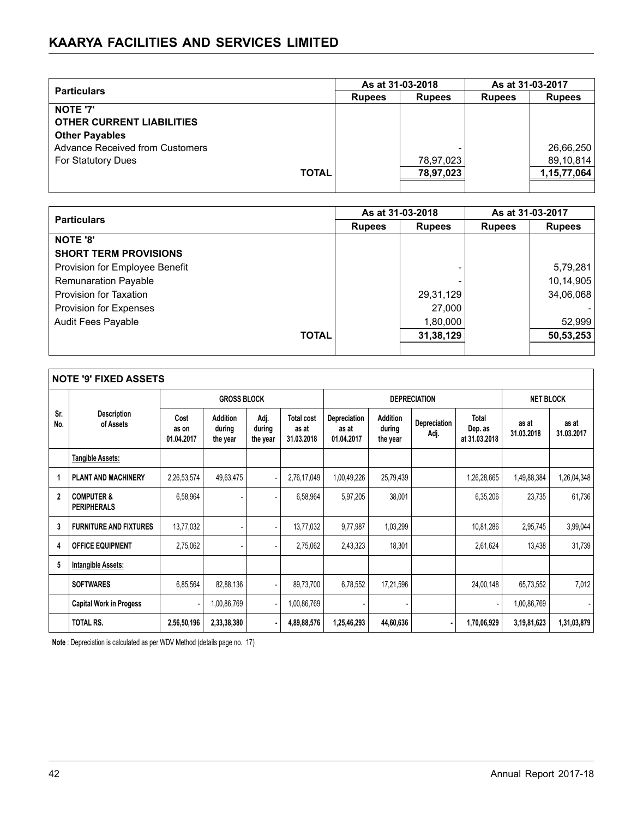| <b>Particulars</b>                     |               | As at 31-03-2018 | As at 31-03-2017 |               |
|----------------------------------------|---------------|------------------|------------------|---------------|
|                                        | <b>Rupees</b> |                  | <b>Rupees</b>    | <b>Rupees</b> |
| <b>NOTE '7'</b>                        |               |                  |                  |               |
| <b>OTHER CURRENT LIABILITIES</b>       |               |                  |                  |               |
| <b>Other Payables</b>                  |               |                  |                  |               |
| <b>Advance Received from Customers</b> |               |                  |                  | 26,66,250     |
| <b>For Statutory Dues</b>              |               | 78,97,023        |                  | 89,10,814     |
| <b>TOTAL</b>                           |               | 78,97,023        |                  | 1,15,77,064   |
|                                        |               |                  |                  |               |

| <b>Particulars</b>             |               | As at 31-03-2018         | As at 31-03-2017 |               |
|--------------------------------|---------------|--------------------------|------------------|---------------|
|                                | <b>Rupees</b> | <b>Rupees</b>            | <b>Rupees</b>    | <b>Rupees</b> |
| <b>NOTE '8'</b>                |               |                          |                  |               |
| <b>SHORT TERM PROVISIONS</b>   |               |                          |                  |               |
| Provision for Employee Benefit |               | $\overline{\phantom{0}}$ |                  | 5,79,281      |
| <b>Remunaration Payable</b>    |               |                          |                  | 10,14,905     |
| Provision for Taxation         |               | 29,31,129                |                  | 34,06,068     |
| Provision for Expenses         |               | 27,000                   |                  |               |
| Audit Fees Payable             |               | 1,80,000                 |                  | 52,999        |
| <b>TOTAL</b>                   |               | 31,38,129                |                  | 50,53,253     |
|                                |               |                          |                  |               |

|                | <b>NOTE '9' FIXED ASSETS</b>                |                             |                                       |                            |                                          |                                     |                                       |                      |                                   |                     |                     |
|----------------|---------------------------------------------|-----------------------------|---------------------------------------|----------------------------|------------------------------------------|-------------------------------------|---------------------------------------|----------------------|-----------------------------------|---------------------|---------------------|
|                |                                             |                             | <b>GROSS BLOCK</b>                    |                            |                                          |                                     |                                       | <b>DEPRECIATION</b>  |                                   | <b>NET BLOCK</b>    |                     |
| Sr.<br>No.     | <b>Description</b><br>of Assets             | Cost<br>as on<br>01.04.2017 | <b>Addition</b><br>during<br>the year | Adj.<br>during<br>the year | <b>Total cost</b><br>as at<br>31.03.2018 | Depreciation<br>as at<br>01.04.2017 | <b>Addition</b><br>during<br>the year | Depreciation<br>Adj. | Total<br>Dep. as<br>at 31.03.2018 | as at<br>31.03.2018 | as at<br>31.03.2017 |
|                | <b>Tangible Assets:</b>                     |                             |                                       |                            |                                          |                                     |                                       |                      |                                   |                     |                     |
|                | <b>PLANT AND MACHINERY</b>                  | 2,26,53,574                 | 49,63,475                             |                            | 2,76,17,049                              | 1,00,49,226                         | 25,79,439                             |                      | 1,26,28,665                       | 1,49,88,384         | 1,26,04,348         |
| $\overline{2}$ | <b>COMPUTER &amp;</b><br><b>PERIPHERALS</b> | 6,58,964                    |                                       |                            | 6,58,964                                 | 5,97,205                            | 38,001                                |                      | 6,35,206                          | 23,735              | 61,736              |
| 3              | <b>FURNITURE AND FIXTURES</b>               | 13,77,032                   |                                       |                            | 13,77,032                                | 9,77,987                            | 1,03,299                              |                      | 10,81,286                         | 2,95,745            | 3,99,044            |
| 4              | <b>OFFICE EQUIPMENT</b>                     | 2,75,062                    |                                       |                            | 2,75,062                                 | 2,43,323                            | 18,301                                |                      | 2,61,624                          | 13,438              | 31,739              |
| 5              | Intangible Assets:                          |                             |                                       |                            |                                          |                                     |                                       |                      |                                   |                     |                     |
|                | <b>SOFTWARES</b>                            | 6,85,564                    | 82,88,136                             |                            | 89,73,700                                | 6,78,552                            | 17,21,596                             |                      | 24,00,148                         | 65,73,552           | 7,012               |
|                | <b>Capital Work in Progess</b>              |                             | 1,00,86,769                           |                            | 1,00,86,769                              |                                     |                                       |                      |                                   | 1,00,86,769         |                     |
|                | <b>TOTAL RS.</b>                            | 2,56,50,196                 | 2,33,38,380                           |                            | 4,89,88,576                              | 1,25,46,293                         | 44,60,636                             |                      | 1,70,06,929                       | 3,19,81,623         | 1,31,03,879         |

**Note** : Depreciation is calculated as per WDV Method (details page no. 17)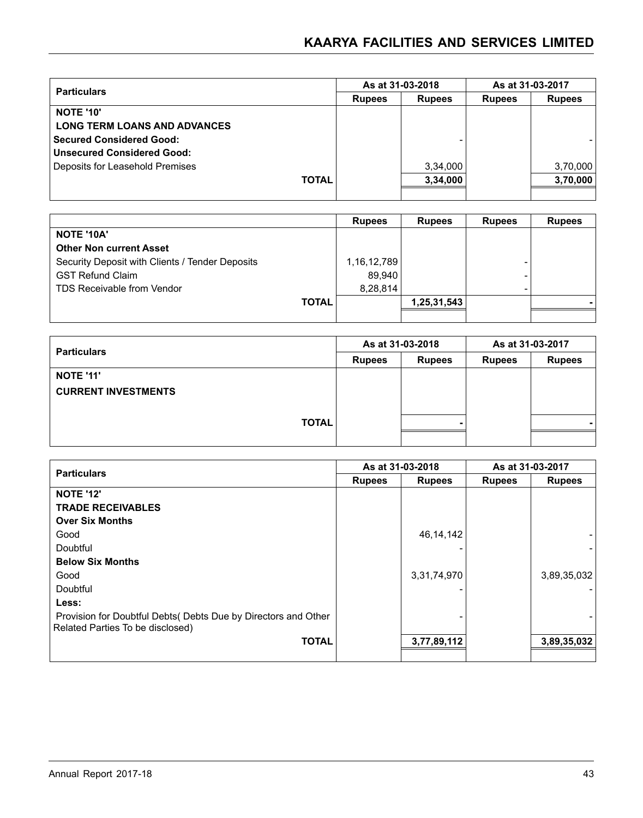| <b>Particulars</b>                  |              |               | As at 31-03-2018 | As at 31-03-2017 |               |  |
|-------------------------------------|--------------|---------------|------------------|------------------|---------------|--|
|                                     |              | <b>Rupees</b> | <b>Rupees</b>    | <b>Rupees</b>    | <b>Rupees</b> |  |
| <b>NOTE '10'</b>                    |              |               |                  |                  |               |  |
| <b>LONG TERM LOANS AND ADVANCES</b> |              |               |                  |                  |               |  |
| Secured Considered Good:            |              |               |                  |                  |               |  |
| Unsecured Considered Good:          |              |               |                  |                  |               |  |
| Deposits for Leasehold Premises     |              |               | 3,34,000         |                  | 3,70,000      |  |
|                                     | <b>TOTAL</b> |               | 3,34,000         |                  | 3,70,000      |  |
|                                     |              |               |                  |                  |               |  |

|                                                 |              | <b>Rupees</b> | <b>Rupees</b> | <b>Rupees</b> | <b>Rupees</b> |
|-------------------------------------------------|--------------|---------------|---------------|---------------|---------------|
| <b>NOTE '10A'</b>                               |              |               |               |               |               |
| <b>Other Non current Asset</b>                  |              |               |               |               |               |
| Security Deposit with Clients / Tender Deposits |              | 1,16,12,789   |               |               |               |
| <b>GST Refund Claim</b>                         |              | 89.940        |               |               |               |
| <b>TDS Receivable from Vendor</b>               |              | 8,28,814      |               |               |               |
|                                                 | <b>TOTAL</b> |               | 1,25,31,543   |               |               |
|                                                 |              |               |               |               |               |

| <b>Particulars</b>         |               | As at 31-03-2018 | As at 31-03-2017 |               |  |
|----------------------------|---------------|------------------|------------------|---------------|--|
|                            | <b>Rupees</b> | <b>Rupees</b>    | <b>Rupees</b>    | <b>Rupees</b> |  |
| <b>NOTE '11'</b>           |               |                  |                  |               |  |
| <b>CURRENT INVESTMENTS</b> |               |                  |                  |               |  |
|                            |               |                  |                  |               |  |
| <b>TOTAL</b>               |               |                  |                  |               |  |
|                            |               |                  |                  |               |  |

| <b>Particulars</b>                                                                                 | As at 31-03-2018 |               | As at 31-03-2017 |               |
|----------------------------------------------------------------------------------------------------|------------------|---------------|------------------|---------------|
|                                                                                                    | <b>Rupees</b>    | <b>Rupees</b> | <b>Rupees</b>    | <b>Rupees</b> |
| <b>NOTE '12'</b>                                                                                   |                  |               |                  |               |
| <b>TRADE RECEIVABLES</b>                                                                           |                  |               |                  |               |
| <b>Over Six Months</b>                                                                             |                  |               |                  |               |
| Good                                                                                               |                  | 46, 14, 142   |                  |               |
| Doubtful                                                                                           |                  |               |                  |               |
| <b>Below Six Months</b>                                                                            |                  |               |                  |               |
| Good                                                                                               |                  | 3,31,74,970   |                  | 3,89,35,032   |
| Doubtful                                                                                           |                  |               |                  |               |
| Less:                                                                                              |                  |               |                  |               |
| Provision for Doubtful Debts( Debts Due by Directors and Other<br>Related Parties To be disclosed) |                  |               |                  |               |
| <b>TOTAL</b>                                                                                       |                  | 3,77,89,112   |                  | 3,89,35,032   |
|                                                                                                    |                  |               |                  |               |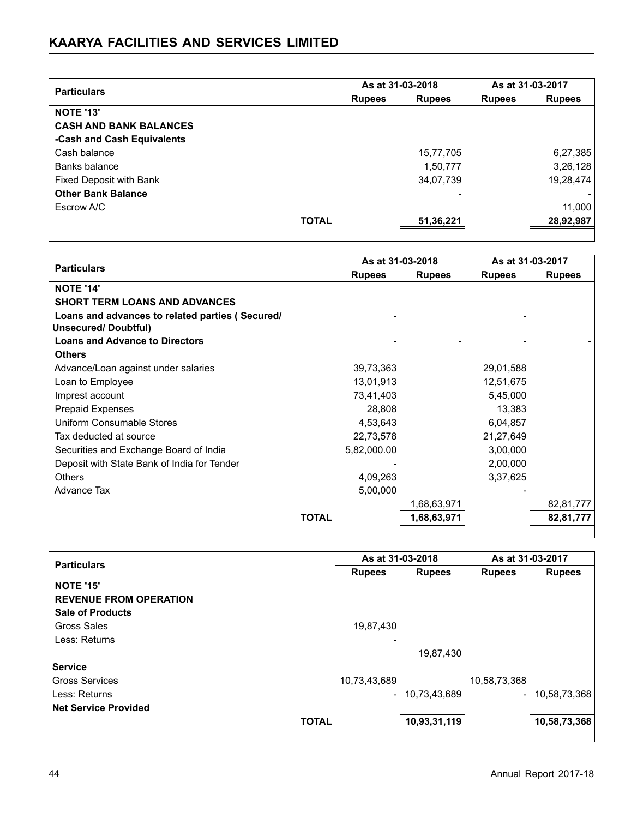| <b>Particulars</b>            |               | As at 31-03-2018 |               | As at 31-03-2017 |
|-------------------------------|---------------|------------------|---------------|------------------|
|                               | <b>Rupees</b> | <b>Rupees</b>    | <b>Rupees</b> | <b>Rupees</b>    |
| <b>NOTE '13'</b>              |               |                  |               |                  |
| <b>CASH AND BANK BALANCES</b> |               |                  |               |                  |
| -Cash and Cash Equivalents    |               |                  |               |                  |
| Cash balance                  |               | 15,77,705        |               | 6,27,385         |
| Banks balance                 |               | 1,50,777         |               | 3,26,128         |
| Fixed Deposit with Bank       |               | 34,07,739        |               | 19,28,474        |
| <b>Other Bank Balance</b>     |               |                  |               |                  |
| Escrow A/C                    |               |                  |               | 11,000           |
| <b>TOTAL</b>                  |               | 51,36,221        |               | 28,92,987        |
|                               |               |                  |               |                  |

|                                                                               | As at 31-03-2018 |               | As at 31-03-2017 |               |
|-------------------------------------------------------------------------------|------------------|---------------|------------------|---------------|
| <b>Particulars</b>                                                            | <b>Rupees</b>    | <b>Rupees</b> | <b>Rupees</b>    | <b>Rupees</b> |
| <b>NOTE '14'</b>                                                              |                  |               |                  |               |
| <b>SHORT TERM LOANS AND ADVANCES</b>                                          |                  |               |                  |               |
| Loans and advances to related parties (Secured/<br><b>Unsecured/Doubtful)</b> |                  |               |                  |               |
| <b>Loans and Advance to Directors</b>                                         |                  |               |                  |               |
| <b>Others</b>                                                                 |                  |               |                  |               |
| Advance/Loan against under salaries                                           | 39,73,363        |               | 29,01,588        |               |
| Loan to Employee                                                              | 13,01,913        |               | 12,51,675        |               |
| Imprest account                                                               | 73,41,403        |               | 5,45,000         |               |
| <b>Prepaid Expenses</b>                                                       | 28,808           |               | 13,383           |               |
| Uniform Consumable Stores                                                     | 4,53,643         |               | 6,04,857         |               |
| Tax deducted at source                                                        | 22,73,578        |               | 21,27,649        |               |
| Securities and Exchange Board of India                                        | 5,82,000.00      |               | 3,00,000         |               |
| Deposit with State Bank of India for Tender                                   |                  |               | 2,00,000         |               |
| <b>Others</b>                                                                 | 4,09,263         |               | 3,37,625         |               |
| Advance Tax                                                                   | 5,00,000         |               |                  |               |
|                                                                               |                  | 1,68,63,971   |                  | 82,81,777     |
| <b>TOTAL</b>                                                                  |                  | 1,68,63,971   |                  | 82,81,777     |
|                                                                               |                  |               |                  |               |

| <b>Particulars</b>            |                          | As at 31-03-2018 |                          | As at 31-03-2017 |
|-------------------------------|--------------------------|------------------|--------------------------|------------------|
|                               | <b>Rupees</b>            | <b>Rupees</b>    | <b>Rupees</b>            | <b>Rupees</b>    |
| <b>NOTE '15'</b>              |                          |                  |                          |                  |
| <b>REVENUE FROM OPERATION</b> |                          |                  |                          |                  |
| <b>Sale of Products</b>       |                          |                  |                          |                  |
| Gross Sales                   | 19,87,430                |                  |                          |                  |
| Less: Returns                 |                          |                  |                          |                  |
|                               |                          | 19,87,430        |                          |                  |
| <b>Service</b>                |                          |                  |                          |                  |
| <b>Gross Services</b>         | 10,73,43,689             |                  | 10,58,73,368             |                  |
| Less: Returns                 | $\overline{\phantom{a}}$ | 10,73,43,689     | $\overline{\phantom{0}}$ | 10,58,73,368     |
| <b>Net Service Provided</b>   |                          |                  |                          |                  |
| <b>TOTAL</b>                  |                          | 10,93,31,119     |                          | 10,58,73,368     |
|                               |                          |                  |                          |                  |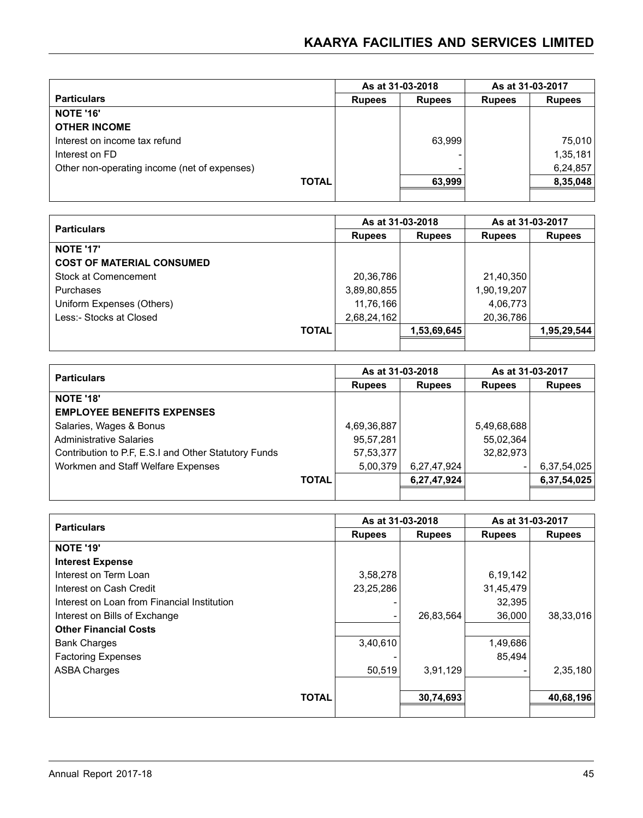|                                              |               | As at 31-03-2018 |               | As at 31-03-2017 |
|----------------------------------------------|---------------|------------------|---------------|------------------|
| <b>Particulars</b>                           | <b>Rupees</b> | <b>Rupees</b>    | <b>Rupees</b> | <b>Rupees</b>    |
| <b>NOTE '16'</b>                             |               |                  |               |                  |
| <b>OTHER INCOME</b>                          |               |                  |               |                  |
| Interest on income tax refund                |               | 63,999           |               | 75,010           |
| Interest on FD                               |               |                  |               | 1,35,181         |
| Other non-operating income (net of expenses) |               |                  |               | 6,24,857         |
| <b>TOTAL</b>                                 |               | 63,999           |               | 8,35,048         |
|                                              |               |                  |               |                  |

|                                  | As at 31-03-2018 |               | As at 31-03-2017 |               |
|----------------------------------|------------------|---------------|------------------|---------------|
| <b>Particulars</b>               | <b>Rupees</b>    | <b>Rupees</b> | <b>Rupees</b>    | <b>Rupees</b> |
| <b>NOTE '17'</b>                 |                  |               |                  |               |
| <b>COST OF MATERIAL CONSUMED</b> |                  |               |                  |               |
| Stock at Comencement             | 20,36,786        |               | 21,40,350        |               |
| Purchases                        | 3,89,80,855      |               | 1,90,19,207      |               |
| Uniform Expenses (Others)        | 11,76,166        |               | 4,06,773         |               |
| Less:- Stocks at Closed          | 2,68,24,162      |               | 20,36,786        |               |
| <b>TOTAL</b>                     |                  | 1,53,69,645   |                  | 1,95,29,544   |
|                                  |                  |               |                  |               |

| <b>Particulars</b>                                   |              | As at 31-03-2018 |               | As at 31-03-2017 |               |
|------------------------------------------------------|--------------|------------------|---------------|------------------|---------------|
|                                                      |              | <b>Rupees</b>    | <b>Rupees</b> | <b>Rupees</b>    | <b>Rupees</b> |
| <b>NOTE '18'</b>                                     |              |                  |               |                  |               |
| <b>EMPLOYEE BENEFITS EXPENSES</b>                    |              |                  |               |                  |               |
| Salaries, Wages & Bonus                              |              | 4,69,36,887      |               | 5,49,68,688      |               |
| <b>Administrative Salaries</b>                       |              | 95,57,281        |               | 55,02,364        |               |
| Contribution to P.F, E.S.I and Other Statutory Funds |              | 57, 53, 377      |               | 32,82,973        |               |
| Workmen and Staff Welfare Expenses                   |              | 5,00,379         | 6,27,47,924   |                  | 6,37,54,025   |
|                                                      | <b>TOTAL</b> |                  | 6,27,47,924   |                  | 6,37,54,025   |
|                                                      |              |                  |               |                  |               |

| <b>Particulars</b>                          |               | As at 31-03-2018 |               | As at 31-03-2017 |
|---------------------------------------------|---------------|------------------|---------------|------------------|
|                                             | <b>Rupees</b> | <b>Rupees</b>    | <b>Rupees</b> | <b>Rupees</b>    |
| <b>NOTE '19'</b>                            |               |                  |               |                  |
| <b>Interest Expense</b>                     |               |                  |               |                  |
| Interest on Term Loan                       | 3,58,278      |                  | 6,19,142      |                  |
| Interest on Cash Credit                     | 23,25,286     |                  | 31,45,479     |                  |
| Interest on Loan from Financial Institution |               |                  | 32,395        |                  |
| Interest on Bills of Exchange               |               | 26,83,564        | 36,000        | 38,33,016        |
| <b>Other Financial Costs</b>                |               |                  |               |                  |
| <b>Bank Charges</b>                         | 3,40,610      |                  | 1,49,686      |                  |
| <b>Factoring Expenses</b>                   |               |                  | 85,494        |                  |
| <b>ASBA Charges</b>                         | 50,519        | 3,91,129         |               | 2,35,180         |
|                                             |               |                  |               |                  |
| <b>TOTAL</b>                                |               | 30,74,693        |               | 40,68,196        |
|                                             |               |                  |               |                  |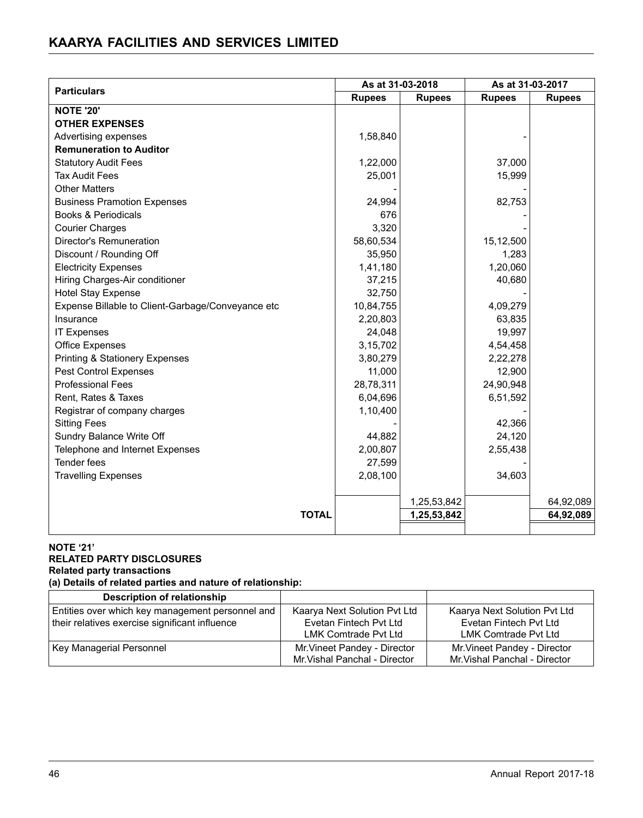|                                                   | As at 31-03-2018 |               | As at 31-03-2017 |               |
|---------------------------------------------------|------------------|---------------|------------------|---------------|
| <b>Particulars</b>                                | <b>Rupees</b>    | <b>Rupees</b> | <b>Rupees</b>    | <b>Rupees</b> |
| <b>NOTE '20'</b>                                  |                  |               |                  |               |
| <b>OTHER EXPENSES</b>                             |                  |               |                  |               |
| Advertising expenses                              | 1,58,840         |               |                  |               |
| <b>Remuneration to Auditor</b>                    |                  |               |                  |               |
| <b>Statutory Audit Fees</b>                       | 1,22,000         |               | 37,000           |               |
| <b>Tax Audit Fees</b>                             | 25,001           |               | 15,999           |               |
| <b>Other Matters</b>                              |                  |               |                  |               |
| <b>Business Pramotion Expenses</b>                | 24,994           |               | 82,753           |               |
| <b>Books &amp; Periodicals</b>                    | 676              |               |                  |               |
| <b>Courier Charges</b>                            | 3,320            |               |                  |               |
| Director's Remuneration                           | 58,60,534        |               | 15,12,500        |               |
| Discount / Rounding Off                           | 35,950           |               | 1,283            |               |
| <b>Electricity Expenses</b>                       | 1,41,180         |               | 1,20,060         |               |
| Hiring Charges-Air conditioner                    | 37,215           |               | 40,680           |               |
| <b>Hotel Stay Expense</b>                         | 32,750           |               |                  |               |
| Expense Billable to Client-Garbage/Conveyance etc | 10,84,755        |               | 4,09,279         |               |
| Insurance                                         | 2,20,803         |               | 63,835           |               |
| <b>IT Expenses</b>                                | 24,048           |               | 19,997           |               |
| Office Expenses                                   | 3,15,702         |               | 4,54,458         |               |
| <b>Printing &amp; Stationery Expenses</b>         | 3,80,279         |               | 2,22,278         |               |
| <b>Pest Control Expenses</b>                      | 11,000           |               | 12,900           |               |
| <b>Professional Fees</b>                          | 28,78,311        |               | 24,90,948        |               |
| Rent, Rates & Taxes                               | 6,04,696         |               | 6,51,592         |               |
| Registrar of company charges                      | 1,10,400         |               |                  |               |
| <b>Sitting Fees</b>                               |                  |               | 42,366           |               |
| Sundry Balance Write Off                          | 44,882           |               | 24,120           |               |
| Telephone and Internet Expenses                   | 2,00,807         |               | 2,55,438         |               |
| Tender fees                                       | 27,599           |               |                  |               |
| <b>Travelling Expenses</b>                        | 2,08,100         |               | 34,603           |               |
|                                                   |                  |               |                  |               |
|                                                   |                  | 1,25,53,842   |                  | 64,92,089     |
| <b>TOTAL</b>                                      |                  | 1,25,53,842   |                  | 64,92,089     |
|                                                   |                  |               |                  |               |

#### **NOTE '21' RELATED PARTY DISCLOSURES Related party transactions**

**(a) Details of related parties and nature of relationship:**

| Description of relationship                      |                               |                               |
|--------------------------------------------------|-------------------------------|-------------------------------|
| Entities over which key management personnel and | Kaarya Next Solution Pvt Ltd  | Kaarya Next Solution Pyt Ltd  |
| their relatives exercise significant influence   | Evetan Fintech Pyt Ltd        | Evetan Fintech Pyt Ltd        |
|                                                  | LMK Comtrade Pyt Ltd          | LMK Comtrade Pvt Ltd          |
| Key Managerial Personnel                         | Mr. Vineet Pandey - Director  | Mr. Vineet Pandey - Director  |
|                                                  | Mr. Vishal Panchal - Director | Mr. Vishal Panchal - Director |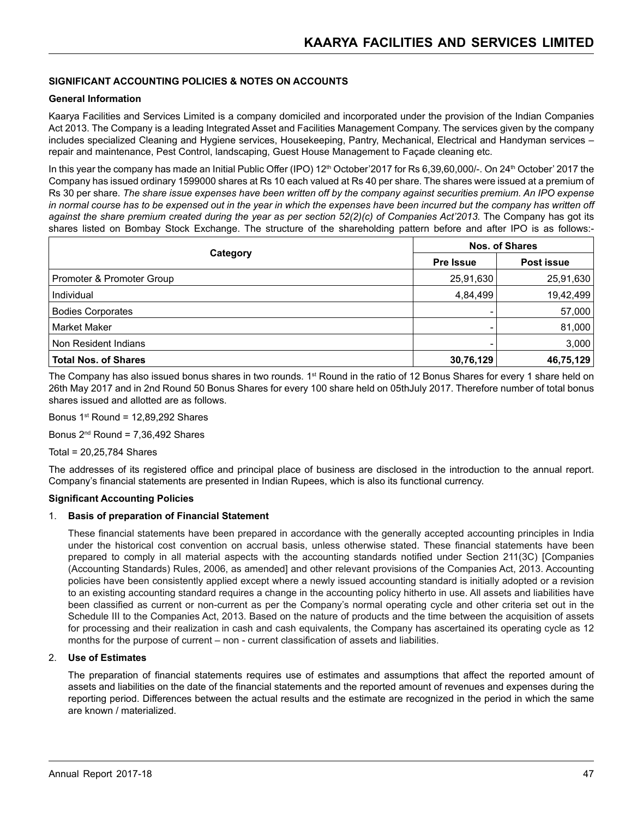#### **SIGNIFICANT ACCOUNTING POLICIES & NOTES ON ACCOUNTS**

#### **General Information**

Kaarya Facilities and Services Limited is a company domiciled and incorporated under the provision of the Indian Companies Act 2013. The Company is a leading Integrated Asset and Facilities Management Company. The services given by the company includes specialized Cleaning and Hygiene services, Housekeeping, Pantry, Mechanical, Electrical and Handyman services – repair and maintenance, Pest Control, landscaping, Guest House Management to Façade cleaning etc.

In this year the company has made an Initial Public Offer (IPO) 12<sup>th</sup> October'2017 for Rs 6,39,60,000/-. On 24<sup>th</sup> October' 2017 the Company has issued ordinary 1599000 shares at Rs 10 each valued at Rs 40 per share. The shares were issued at a premium of Rs 30 per share. *The share issue expenses have been written off by the company against securities premium. An IPO expense*  in normal course has to be expensed out in the year in which the expenses have been incurred but the company has written off against the share premium created during the year as per section 52(2)(c) of Companies Act'2013. The Company has got its shares listed on Bombay Stock Exchange. The structure of the shareholding pattern before and after IPO is as follows:-

| Category                    | <b>Nos. of Shares</b> |            |
|-----------------------------|-----------------------|------------|
|                             | <b>Pre Issue</b>      | Post issue |
| Promoter & Promoter Group   | 25,91,630             | 25,91,630  |
| Individual                  | 4,84,499              | 19,42,499  |
| <b>Bodies Corporates</b>    |                       | 57,000     |
| <b>Market Maker</b>         |                       | 81,000     |
| Non Resident Indians        |                       | 3,000      |
| <b>Total Nos. of Shares</b> | 30,76,129             | 46,75,129  |

The Company has also issued bonus shares in two rounds. 1<sup>st</sup> Round in the ratio of 12 Bonus Shares for every 1 share held on 26th May 2017 and in 2nd Round 50 Bonus Shares for every 100 share held on 05thJuly 2017. Therefore number of total bonus shares issued and allotted are as follows.

Bonus  $1<sup>st</sup>$  Round = 12,89,292 Shares

Bonus  $2^{nd}$  Round = 7.36.492 Shares

Total = 20,25,784 Shares

The addresses of its registered office and principal place of business are disclosed in the introduction to the annual report. Company's financial statements are presented in Indian Rupees, which is also its functional currency.

#### **Significant Accounting Policies**

#### 1. **Basis of preparation of Financial Statement**

 These financial statements have been prepared in accordance with the generally accepted accounting principles in India under the historical cost convention on accrual basis, unless otherwise stated. These financial statements have been prepared to comply in all material aspects with the accounting standards notified under Section 211(3C) [Companies (Accounting Standards) Rules, 2006, as amended] and other relevant provisions of the Companies Act, 2013. Accounting policies have been consistently applied except where a newly issued accounting standard is initially adopted or a revision to an existing accounting standard requires a change in the accounting policy hitherto in use. All assets and liabilities have been classified as current or non-current as per the Company's normal operating cycle and other criteria set out in the Schedule III to the Companies Act, 2013. Based on the nature of products and the time between the acquisition of assets for processing and their realization in cash and cash equivalents, the Company has ascertained its operating cycle as 12 months for the purpose of current – non - current classification of assets and liabilities.

#### 2. **Use of Estimates**

 The preparation of financial statements requires use of estimates and assumptions that affect the reported amount of assets and liabilities on the date of the financial statements and the reported amount of revenues and expenses during the reporting period. Differences between the actual results and the estimate are recognized in the period in which the same are known / materialized.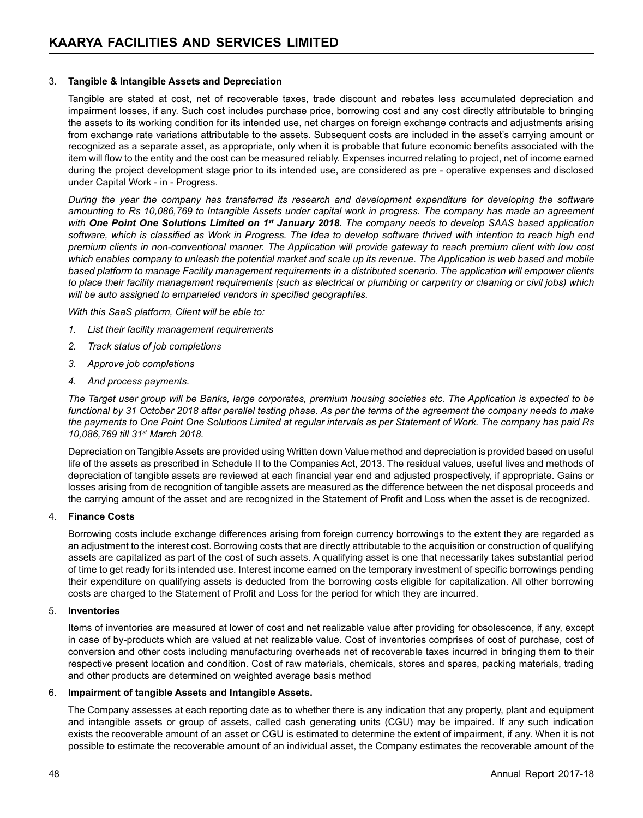#### 3. **Tangible & Intangible Assets and Depreciation**

 Tangible are stated at cost, net of recoverable taxes, trade discount and rebates less accumulated depreciation and impairment losses, if any. Such cost includes purchase price, borrowing cost and any cost directly attributable to bringing the assets to its working condition for its intended use, net charges on foreign exchange contracts and adjustments arising from exchange rate variations attributable to the assets. Subsequent costs are included in the asset's carrying amount or recognized as a separate asset, as appropriate, only when it is probable that future economic benefits associated with the item will flow to the entity and the cost can be measured reliably. Expenses incurred relating to project, net of income earned during the project development stage prior to its intended use, are considered as pre - operative expenses and disclosed under Capital Work - in - Progress.

*During the year the company has transferred its research and development expenditure for developing the software amounting to Rs 10,086,769 to Intangible Assets under capital work in progress. The company has made an agreement with One Point One Solutions Limited on 1st January 2018. The company needs to develop SAAS based application software, which is classified as Work in Progress. The Idea to develop software thrived with intention to reach high end premium clients in non-conventional manner. The Application will provide gateway to reach premium client with low cost*  which enables company to unleash the potential market and scale up its revenue. The Application is web based and mobile *based platform to manage Facility management requirements in a distributed scenario. The application will empower clients to place their facility management requirements (such as electrical or plumbing or carpentry or cleaning or civil jobs) which will be auto assigned to empaneled vendors in specified geographies.*

*With this SaaS platform, Client will be able to:*

- *1. List their facility management requirements*
- *2. Track status of job completions*
- *3. Approve job completions*
- *4. And process payments.*

*The Target user group will be Banks, large corporates, premium housing societies etc. The Application is expected to be*  functional by 31 October 2018 after parallel testing phase. As per the terms of the agreement the company needs to make *the payments to One Point One Solutions Limited at regular intervals as per Statement of Work. The company has paid Rs 10,086,769 till 31st March 2018.*

 Depreciation on TangibleAssets are provided using Written down Value method and depreciation is provided based on useful life of the assets as prescribed in Schedule II to the Companies Act, 2013. The residual values, useful lives and methods of depreciation of tangible assets are reviewed at each financial year end and adjusted prospectively, if appropriate. Gains or losses arising from de recognition of tangible assets are measured as the difference between the net disposal proceeds and the carrying amount of the asset and are recognized in the Statement of Profit and Loss when the asset is de recognized.

#### 4. **Finance Costs**

 Borrowing costs include exchange differences arising from foreign currency borrowings to the extent they are regarded as an adjustment to the interest cost. Borrowing costs that are directly attributable to the acquisition or construction of qualifying assets are capitalized as part of the cost of such assets. A qualifying asset is one that necessarily takes substantial period of time to get ready for its intended use. Interest income earned on the temporary investment of specific borrowings pending their expenditure on qualifying assets is deducted from the borrowing costs eligible for capitalization. All other borrowing costs are charged to the Statement of Profit and Loss for the period for which they are incurred.

#### 5. **Inventories**

 Items of inventories are measured at lower of cost and net realizable value after providing for obsolescence, if any, except in case of by-products which are valued at net realizable value. Cost of inventories comprises of cost of purchase, cost of conversion and other costs including manufacturing overheads net of recoverable taxes incurred in bringing them to their respective present location and condition. Cost of raw materials, chemicals, stores and spares, packing materials, trading and other products are determined on weighted average basis method

#### 6. **Impairment of tangible Assets and Intangible Assets.**

 The Company assesses at each reporting date as to whether there is any indication that any property, plant and equipment and intangible assets or group of assets, called cash generating units (CGU) may be impaired. If any such indication exists the recoverable amount of an asset or CGU is estimated to determine the extent of impairment, if any. When it is not possible to estimate the recoverable amount of an individual asset, the Company estimates the recoverable amount of the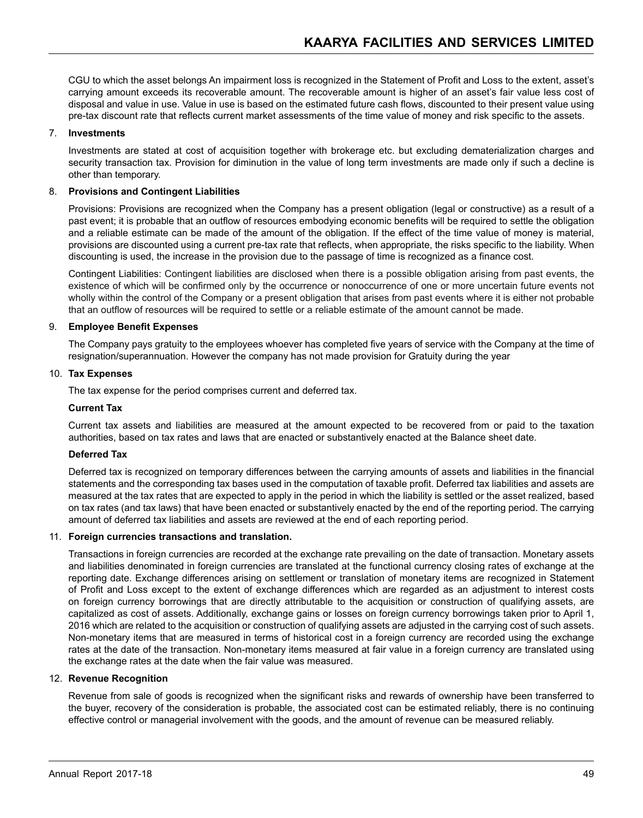CGU to which the asset belongs An impairment loss is recognized in the Statement of Profit and Loss to the extent, asset's carrying amount exceeds its recoverable amount. The recoverable amount is higher of an asset's fair value less cost of disposal and value in use. Value in use is based on the estimated future cash flows, discounted to their present value using pre-tax discount rate that reflects current market assessments of the time value of money and risk specific to the assets.

#### 7. **Investments**

 Investments are stated at cost of acquisition together with brokerage etc. but excluding dematerialization charges and security transaction tax. Provision for diminution in the value of long term investments are made only if such a decline is other than temporary.

#### 8. **Provisions and Contingent Liabilities**

 Provisions: Provisions are recognized when the Company has a present obligation (legal or constructive) as a result of a past event; it is probable that an outflow of resources embodying economic benefits will be required to settle the obligation and a reliable estimate can be made of the amount of the obligation. If the effect of the time value of money is material, provisions are discounted using a current pre-tax rate that reflects, when appropriate, the risks specific to the liability. When discounting is used, the increase in the provision due to the passage of time is recognized as a finance cost.

 Contingent Liabilities: Contingent liabilities are disclosed when there is a possible obligation arising from past events, the existence of which will be confirmed only by the occurrence or nonoccurrence of one or more uncertain future events not wholly within the control of the Company or a present obligation that arises from past events where it is either not probable that an outflow of resources will be required to settle or a reliable estimate of the amount cannot be made.

#### 9. **Employee Benefit Expenses**

 The Company pays gratuity to the employees whoever has completed five years of service with the Company at the time of resignation/superannuation. However the company has not made provision for Gratuity during the year

#### 10. **Tax Expenses**

 The tax expense for the period comprises current and deferred tax.

#### **Current Tax**

 Current tax assets and liabilities are measured at the amount expected to be recovered from or paid to the taxation authorities, based on tax rates and laws that are enacted or substantively enacted at the Balance sheet date.

#### **Deferred Tax**

 Deferred tax is recognized on temporary differences between the carrying amounts of assets and liabilities in the financial statements and the corresponding tax bases used in the computation of taxable profit. Deferred tax liabilities and assets are measured at the tax rates that are expected to apply in the period in which the liability is settled or the asset realized, based on tax rates (and tax laws) that have been enacted or substantively enacted by the end of the reporting period. The carrying amount of deferred tax liabilities and assets are reviewed at the end of each reporting period.

#### 11. **Foreign currencies transactions and translation.**

 Transactions in foreign currencies are recorded at the exchange rate prevailing on the date of transaction. Monetary assets and liabilities denominated in foreign currencies are translated at the functional currency closing rates of exchange at the reporting date. Exchange differences arising on settlement or translation of monetary items are recognized in Statement of Profit and Loss except to the extent of exchange differences which are regarded as an adjustment to interest costs on foreign currency borrowings that are directly attributable to the acquisition or construction of qualifying assets, are capitalized as cost of assets. Additionally, exchange gains or losses on foreign currency borrowings taken prior to April 1, 2016 which are related to the acquisition or construction of qualifying assets are adjusted in the carrying cost of such assets. Non-monetary items that are measured in terms of historical cost in a foreign currency are recorded using the exchange rates at the date of the transaction. Non-monetary items measured at fair value in a foreign currency are translated using the exchange rates at the date when the fair value was measured.

#### 12. **Revenue Recognition**

 Revenue from sale of goods is recognized when the significant risks and rewards of ownership have been transferred to the buyer, recovery of the consideration is probable, the associated cost can be estimated reliably, there is no continuing effective control or managerial involvement with the goods, and the amount of revenue can be measured reliably.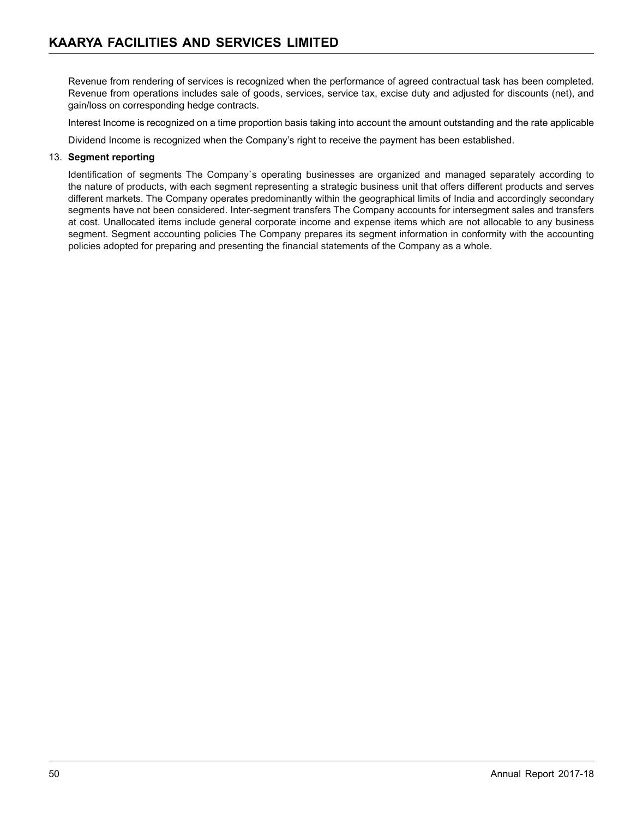Revenue from rendering of services is recognized when the performance of agreed contractual task has been completed. Revenue from operations includes sale of goods, services, service tax, excise duty and adjusted for discounts (net), and gain/loss on corresponding hedge contracts.

 Interest Income is recognized on a time proportion basis taking into account the amount outstanding and the rate applicable

 Dividend Income is recognized when the Company's right to receive the payment has been established.

#### 13. **Segment reporting**

 Identification of segments The Company`s operating businesses are organized and managed separately according to the nature of products, with each segment representing a strategic business unit that offers different products and serves different markets. The Company operates predominantly within the geographical limits of India and accordingly secondary segments have not been considered. Inter-segment transfers The Company accounts for intersegment sales and transfers at cost. Unallocated items include general corporate income and expense items which are not allocable to any business segment. Segment accounting policies The Company prepares its segment information in conformity with the accounting policies adopted for preparing and presenting the financial statements of the Company as a whole.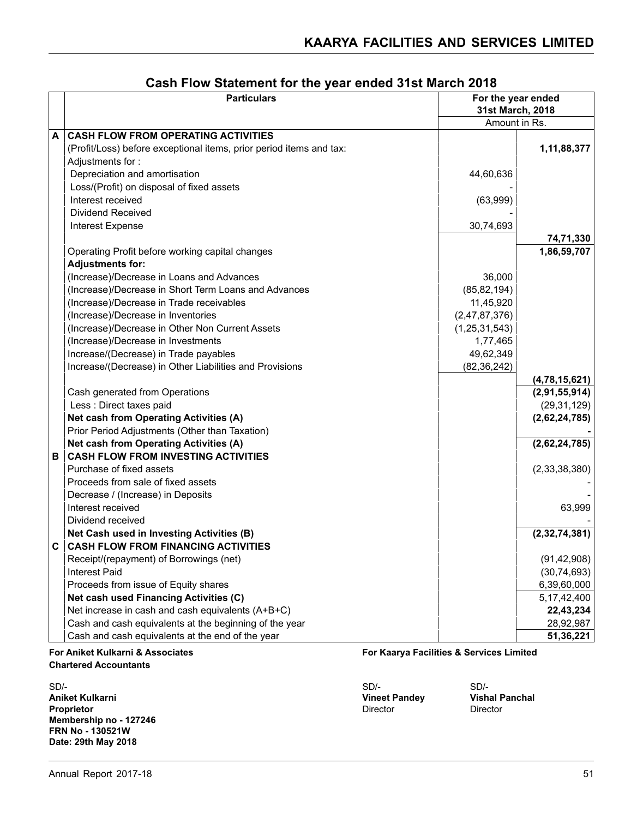|   | <b>Particulars</b>                                                       | For the year ended<br>31st March, 2018 |
|---|--------------------------------------------------------------------------|----------------------------------------|
|   |                                                                          | Amount in Rs.                          |
| A | <b>CASH FLOW FROM OPERATING ACTIVITIES</b>                               |                                        |
|   | (Profit/Loss) before exceptional items, prior period items and tax:      | 1,11,88,377                            |
|   | Adjustments for:                                                         |                                        |
|   | Depreciation and amortisation<br>44,60,636                               |                                        |
|   | Loss/(Profit) on disposal of fixed assets                                |                                        |
|   | Interest received<br>(63,999)                                            |                                        |
|   | Dividend Received                                                        |                                        |
|   | <b>Interest Expense</b><br>30,74,693                                     |                                        |
|   |                                                                          | 74,71,330                              |
|   | Operating Profit before working capital changes                          | 1,86,59,707                            |
|   | <b>Adjustments for:</b>                                                  |                                        |
|   | (Increase)/Decrease in Loans and Advances<br>36,000                      |                                        |
|   | (85, 82, 194)<br>(Increase)/Decrease in Short Term Loans and Advances    |                                        |
|   | (Increase)/Decrease in Trade receivables<br>11,45,920                    |                                        |
|   | (Increase)/Decrease in Inventories<br>(2,47,87,376)                      |                                        |
|   | (Increase)/Decrease in Other Non Current Assets<br>(1, 25, 31, 543)      |                                        |
|   | (Increase)/Decrease in Investments<br>1,77,465                           |                                        |
|   | 49,62,349<br>Increase/(Decrease) in Trade payables                       |                                        |
|   | Increase/(Decrease) in Other Liabilities and Provisions<br>(82, 36, 242) |                                        |
|   |                                                                          | (4,78,15,621)                          |
|   | Cash generated from Operations                                           | (2,91,55,914)                          |
|   | Less : Direct taxes paid                                                 | (29, 31, 129)                          |
|   | Net cash from Operating Activities (A)                                   | (2,62,24,785)                          |
|   | Prior Period Adjustments (Other than Taxation)                           |                                        |
|   | Net cash from Operating Activities (A)                                   | (2,62,24,785)                          |
| В | <b>CASH FLOW FROM INVESTING ACTIVITIES</b>                               |                                        |
|   | Purchase of fixed assets                                                 | (2,33,38,380)                          |
|   | Proceeds from sale of fixed assets                                       |                                        |
|   | Decrease / (Increase) in Deposits                                        |                                        |
|   | Interest received                                                        | 63,999                                 |
|   | Dividend received                                                        |                                        |
|   | Net Cash used in Investing Activities (B)                                | (2,32,74,381)                          |
| C | <b>CASH FLOW FROM FINANCING ACTIVITIES</b>                               |                                        |
|   | Receipt/(repayment) of Borrowings (net)                                  | (91, 42, 908)                          |
|   | <b>Interest Paid</b>                                                     | (30, 74, 693)                          |
|   | Proceeds from issue of Equity shares                                     | 6,39,60,000                            |
|   | Net cash used Financing Activities (C)                                   | 5, 17, 42, 400                         |
|   | Net increase in cash and cash equivalents (A+B+C)                        | 22,43,234                              |
|   | Cash and cash equivalents at the beginning of the year                   | 28,92,987                              |
|   | Cash and cash equivalents at the end of the year                         | 51,36,221                              |

# **Cash Flow Statement for the year ended 31st March 2018**

**Chartered Accountants**

**Aniket Kulkarni Vineet Pandey Vishal Panchal Proprietor** Director Director Director Director Director Director Director Director **Membership no - 127246 FRN No - 130521W Date: 29th May 2018**

**For Aniket Kulkarni & Associates For Kaarya Facilities & Services Limited**

SD/- SD/- SD/-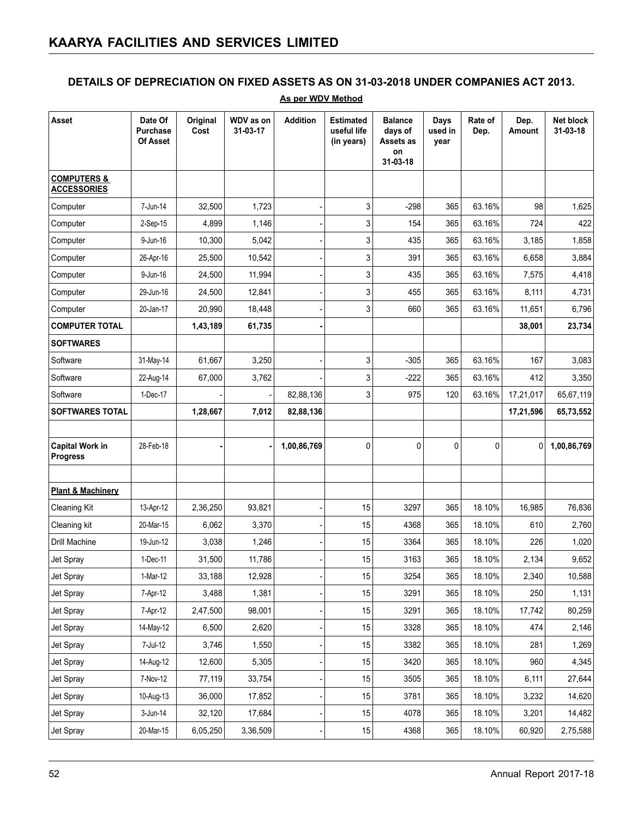### **DETAILS OF DEPRECIATION ON FIXED ASSETS AS ON 31-03-2018 UNDER COMPANIES ACT 2013.**

| <b>Asset</b>                                 | Date Of<br>Purchase<br>Of Asset | Original<br>Cost | WDV as on<br>31-03-17 | <b>Addition</b> | <b>Estimated</b><br>useful life<br>(in years) | <b>Balance</b><br>days of<br>Assets as<br>on<br>31-03-18 | Days<br>used in<br>year | Rate of<br>Dep. | Dep.<br>Amount | Net block<br>31-03-18 |
|----------------------------------------------|---------------------------------|------------------|-----------------------|-----------------|-----------------------------------------------|----------------------------------------------------------|-------------------------|-----------------|----------------|-----------------------|
| <b>COMPUTERS &amp;</b><br><b>ACCESSORIES</b> |                                 |                  |                       |                 |                                               |                                                          |                         |                 |                |                       |
| Computer                                     | 7-Jun-14                        | 32,500           | 1,723                 |                 | 3                                             | -298                                                     | 365                     | 63.16%          | 98             | 1,625                 |
| Computer                                     | 2-Sep-15                        | 4,899            | 1,146                 |                 | 3                                             | 154                                                      | 365                     | 63.16%          | 724            | 422                   |
| Computer                                     | 9-Jun-16                        | 10,300           | 5,042                 |                 | 3                                             | 435                                                      | 365                     | 63.16%          | 3,185          | 1,858                 |
| Computer                                     | 26-Apr-16                       | 25,500           | 10,542                |                 | 3                                             | 391                                                      | 365                     | 63.16%          | 6,658          | 3,884                 |
| Computer                                     | 9-Jun-16                        | 24,500           | 11,994                |                 | 3                                             | 435                                                      | 365                     | 63.16%          | 7,575          | 4,418                 |
| Computer                                     | 29-Jun-16                       | 24,500           | 12,841                |                 | 3                                             | 455                                                      | 365                     | 63.16%          | 8,111          | 4,731                 |
| Computer                                     | 20-Jan-17                       | 20,990           | 18,448                |                 | 3                                             | 660                                                      | 365                     | 63.16%          | 11,651         | 6,796                 |
| <b>COMPUTER TOTAL</b>                        |                                 | 1,43,189         | 61,735                |                 |                                               |                                                          |                         |                 | 38,001         | 23,734                |
| <b>SOFTWARES</b>                             |                                 |                  |                       |                 |                                               |                                                          |                         |                 |                |                       |
| Software                                     | 31-May-14                       | 61,667           | 3,250                 |                 | 3                                             | $-305$                                                   | 365                     | 63.16%          | 167            | 3,083                 |
| Software                                     | 22-Aug-14                       | 67,000           | 3,762                 |                 | 3                                             | $-222$                                                   | 365                     | 63.16%          | 412            | 3,350                 |
| Software                                     | 1-Dec-17                        |                  |                       | 82,88,136       | 3                                             | 975                                                      | 120                     | 63.16%          | 17,21,017      | 65,67,119             |
| <b>SOFTWARES TOTAL</b>                       |                                 | 1,28,667         | 7,012                 | 82,88,136       |                                               |                                                          |                         |                 | 17,21,596      | 65,73,552             |
|                                              |                                 |                  |                       |                 |                                               |                                                          |                         |                 |                |                       |
| <b>Capital Work in</b><br><b>Progress</b>    | 28-Feb-18                       |                  |                       | 1,00,86,769     | 0                                             | $\mathbf 0$                                              | 0                       | $\mathbf 0$     | 0              | 1,00,86,769           |
| <b>Plant &amp; Machinery</b>                 |                                 |                  |                       |                 |                                               |                                                          |                         |                 |                |                       |
| <b>Cleaning Kit</b>                          | 13-Apr-12                       | 2,36,250         | 93,821                |                 | 15                                            | 3297                                                     | 365                     | 18.10%          | 16,985         | 76,836                |
| Cleaning kit                                 | 20-Mar-15                       | 6,062            | 3,370                 |                 | 15                                            | 4368                                                     | 365                     | 18.10%          | 610            | 2,760                 |
| Drill Machine                                | 19-Jun-12                       | 3,038            | 1,246                 |                 | 15                                            | 3364                                                     | 365                     | 18.10%          | 226            | 1,020                 |
| Jet Spray                                    | 1-Dec-11                        | 31,500           | 11,786                |                 | 15                                            | 3163                                                     | 365                     | 18.10%          | 2,134          | 9,652                 |
| Jet Spray                                    | 1-Mar-12                        | 33,188           | 12,928                |                 | 15                                            | 3254                                                     | 365                     | 18.10%          | 2,340          | 10,588                |
| Jet Spray                                    | 7-Apr-12                        | 3,488            | 1,381                 |                 | 15                                            | 3291                                                     | 365                     | 18.10%          | 250            | 1,131                 |
| Jet Spray                                    | 7-Apr-12                        | 2,47,500         | 98,001                |                 | 15                                            | 3291                                                     | 365                     | 18.10%          | 17,742         | 80,259                |
| Jet Spray                                    | 14-May-12                       | 6,500            | 2,620                 |                 | 15                                            | 3328                                                     | 365                     | 18.10%          | 474            | 2,146                 |
| Jet Spray                                    | 7-Jul-12                        | 3,746            | 1,550                 |                 | 15                                            | 3382                                                     | 365                     | 18.10%          | 281            | 1,269                 |
| Jet Spray                                    | 14-Aug-12                       | 12,600           | 5,305                 |                 | 15                                            | 3420                                                     | 365                     | 18.10%          | 960            | 4,345                 |
| Jet Spray                                    | 7-Nov-12                        | 77,119           | 33,754                |                 | 15                                            | 3505                                                     | 365                     | 18.10%          | 6,111          | 27,644                |
| Jet Spray                                    | 10-Aug-13                       | 36,000           | 17,852                |                 | 15                                            | 3781                                                     | 365                     | 18.10%          | 3,232          | 14,620                |
| Jet Spray                                    | 3-Jun-14                        | 32,120           | 17,684                |                 | 15                                            | 4078                                                     | 365                     | 18.10%          | 3,201          | 14,482                |
| Jet Spray                                    | 20-Mar-15                       | 6,05,250         | 3,36,509              |                 | 15                                            | 4368                                                     | 365                     | 18.10%          | 60,920         | 2,75,588              |

#### **As per WDV Method**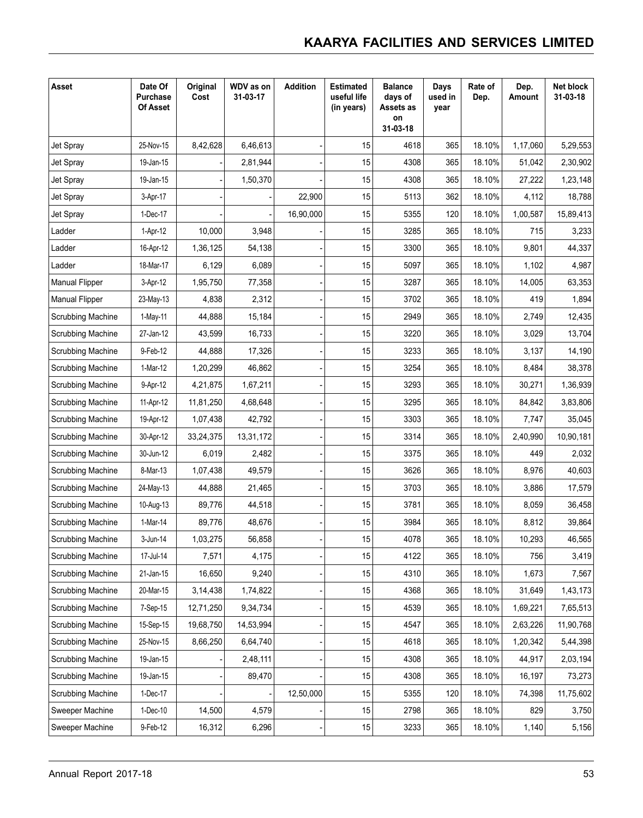| <b>Asset</b>          | Date Of<br>Purchase<br><b>Of Asset</b> | Original<br>Cost | WDV as on<br>31-03-17 | <b>Addition</b> | <b>Estimated</b><br>useful life<br>(in years) | <b>Balance</b><br>days of<br>Assets as<br>on<br>31-03-18 | Days<br>used in<br>year | Rate of<br>Dep. | Dep.<br>Amount | Net block<br>31-03-18 |
|-----------------------|----------------------------------------|------------------|-----------------------|-----------------|-----------------------------------------------|----------------------------------------------------------|-------------------------|-----------------|----------------|-----------------------|
| Jet Spray             | 25-Nov-15                              | 8,42,628         | 6,46,613              |                 | 15                                            | 4618                                                     | 365                     | 18.10%          | 1,17,060       | 5,29,553              |
| Jet Spray             | 19-Jan-15                              |                  | 2,81,944              |                 | 15                                            | 4308                                                     | 365                     | 18.10%          | 51,042         | 2,30,902              |
| Jet Spray             | 19-Jan-15                              |                  | 1,50,370              |                 | 15                                            | 4308                                                     | 365                     | 18.10%          | 27,222         | 1,23,148              |
| Jet Spray             | 3-Apr-17                               |                  |                       | 22,900          | 15                                            | 5113                                                     | 362                     | 18.10%          | 4,112          | 18,788                |
| Jet Spray             | 1-Dec-17                               |                  |                       | 16,90,000       | 15                                            | 5355                                                     | 120                     | 18.10%          | 1,00,587       | 15,89,413             |
| Ladder                | 1-Apr-12                               | 10,000           | 3,948                 |                 | 15                                            | 3285                                                     | 365                     | 18.10%          | 715            | 3,233                 |
| Ladder                | 16-Apr-12                              | 1,36,125         | 54,138                |                 | 15                                            | 3300                                                     | 365                     | 18.10%          | 9,801          | 44,337                |
| Ladder                | 18-Mar-17                              | 6,129            | 6,089                 |                 | 15                                            | 5097                                                     | 365                     | 18.10%          | 1,102          | 4,987                 |
| Manual Flipper        | 3-Apr-12                               | 1,95,750         | 77,358                |                 | 15                                            | 3287                                                     | 365                     | 18.10%          | 14,005         | 63,353                |
| <b>Manual Flipper</b> | 23-May-13                              | 4,838            | 2,312                 |                 | 15                                            | 3702                                                     | 365                     | 18.10%          | 419            | 1,894                 |
| Scrubbing Machine     | 1-May-11                               | 44,888           | 15,184                |                 | 15                                            | 2949                                                     | 365                     | 18.10%          | 2,749          | 12,435                |
| Scrubbing Machine     | 27-Jan-12                              | 43,599           | 16,733                |                 | 15                                            | 3220                                                     | 365                     | 18.10%          | 3,029          | 13,704                |
| Scrubbing Machine     | 9-Feb-12                               | 44,888           | 17,326                |                 | 15                                            | 3233                                                     | 365                     | 18.10%          | 3,137          | 14,190                |
| Scrubbing Machine     | 1-Mar-12                               | 1,20,299         | 46,862                |                 | 15                                            | 3254                                                     | 365                     | 18.10%          | 8,484          | 38,378                |
| Scrubbing Machine     | 9-Apr-12                               | 4,21,875         | 1,67,211              |                 | 15                                            | 3293                                                     | 365                     | 18.10%          | 30,271         | 1,36,939              |
| Scrubbing Machine     | 11-Apr-12                              | 11,81,250        | 4,68,648              |                 | 15                                            | 3295                                                     | 365                     | 18.10%          | 84,842         | 3,83,806              |
| Scrubbing Machine     | 19-Apr-12                              | 1,07,438         | 42,792                |                 | 15                                            | 3303                                                     | 365                     | 18.10%          | 7,747          | 35,045                |
| Scrubbing Machine     | 30-Apr-12                              | 33,24,375        | 13,31,172             |                 | 15                                            | 3314                                                     | 365                     | 18.10%          | 2,40,990       | 10,90,181             |
| Scrubbing Machine     | 30-Jun-12                              | 6,019            | 2,482                 |                 | 15                                            | 3375                                                     | 365                     | 18.10%          | 449            | 2,032                 |
| Scrubbing Machine     | 8-Mar-13                               | 1,07,438         | 49,579                |                 | 15                                            | 3626                                                     | 365                     | 18.10%          | 8,976          | 40,603                |
| Scrubbing Machine     | 24-May-13                              | 44,888           | 21,465                |                 | 15                                            | 3703                                                     | 365                     | 18.10%          | 3,886          | 17,579                |
| Scrubbing Machine     | 10-Aug-13                              | 89,776           | 44,518                |                 | 15                                            | 3781                                                     | 365                     | 18.10%          | 8,059          | 36,458                |
| Scrubbing Machine     | 1-Mar-14                               | 89,776           | 48,676                |                 | 15                                            | 3984                                                     | 365                     | 18.10%          | 8,812          | 39,864                |
| Scrubbing Machine     | 3-Jun-14                               | 1,03,275         | 56,858                |                 | 15                                            | 4078                                                     | 365                     | 18.10%          | 10,293         | 46,565                |
| Scrubbing Machine     | 17-Jul-14                              | 7,571            | 4,175                 |                 | 15                                            | 4122                                                     | 365                     | 18.10%          | 756            | 3,419                 |
| Scrubbing Machine     | 21-Jan-15                              | 16,650           | 9,240                 |                 | 15                                            | 4310                                                     | 365                     | 18.10%          | 1,673          | 7,567                 |
| Scrubbing Machine     | 20-Mar-15                              | 3,14,438         | 1,74,822              |                 | 15                                            | 4368                                                     | 365                     | 18.10%          | 31,649         | 1,43,173              |
| Scrubbing Machine     | 7-Sep-15                               | 12,71,250        | 9,34,734              |                 | 15                                            | 4539                                                     | 365                     | 18.10%          | 1,69,221       | 7,65,513              |
| Scrubbing Machine     | 15-Sep-15                              | 19,68,750        | 14,53,994             |                 | 15                                            | 4547                                                     | 365                     | 18.10%          | 2,63,226       | 11,90,768             |
| Scrubbing Machine     | 25-Nov-15                              | 8,66,250         | 6,64,740              |                 | 15                                            | 4618                                                     | 365                     | 18.10%          | 1,20,342       | 5,44,398              |
| Scrubbing Machine     | 19-Jan-15                              |                  | 2,48,111              |                 | 15                                            | 4308                                                     | 365                     | 18.10%          | 44,917         | 2,03,194              |
| Scrubbing Machine     | 19-Jan-15                              |                  | 89,470                |                 | 15                                            | 4308                                                     | 365                     | 18.10%          | 16,197         | 73,273                |
| Scrubbing Machine     | 1-Dec-17                               |                  |                       | 12,50,000       | 15                                            | 5355                                                     | 120                     | 18.10%          | 74,398         | 11,75,602             |
| Sweeper Machine       | 1-Dec-10                               | 14,500           | 4,579                 |                 | 15                                            | 2798                                                     | 365                     | 18.10%          | 829            | 3,750                 |
| Sweeper Machine       | 9-Feb-12                               | 16,312           | 6,296                 |                 | 15                                            | 3233                                                     | 365                     | 18.10%          | 1,140          | 5,156                 |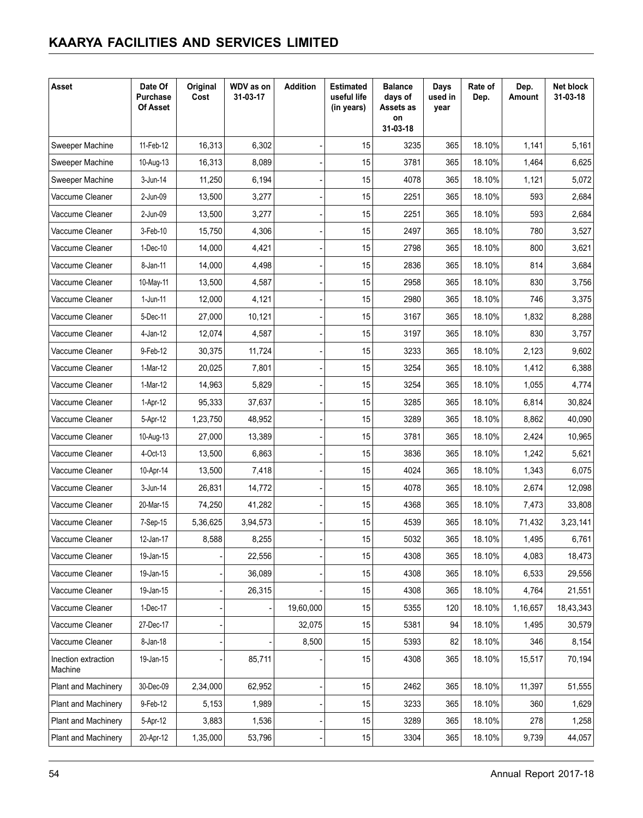| Asset                          | Date Of<br>Purchase<br><b>Of Asset</b> | Original<br>Cost | WDV as on<br>31-03-17 | <b>Addition</b> | <b>Estimated</b><br>useful life<br>(in years) | <b>Balance</b><br>days of<br>Assets as<br>on<br>31-03-18 | Days<br>used in<br>year | Rate of<br>Dep. | Dep.<br>Amount | Net block<br>31-03-18 |
|--------------------------------|----------------------------------------|------------------|-----------------------|-----------------|-----------------------------------------------|----------------------------------------------------------|-------------------------|-----------------|----------------|-----------------------|
| Sweeper Machine                | 11-Feb-12                              | 16,313           | 6,302                 |                 | 15                                            | 3235                                                     | 365                     | 18.10%          | 1,141          | 5,161                 |
| Sweeper Machine                | 10-Aug-13                              | 16,313           | 8,089                 |                 | 15                                            | 3781                                                     | 365                     | 18.10%          | 1,464          | 6,625                 |
| Sweeper Machine                | 3-Jun-14                               | 11,250           | 6,194                 |                 | 15                                            | 4078                                                     | 365                     | 18.10%          | 1,121          | 5,072                 |
| Vaccume Cleaner                | 2-Jun-09                               | 13,500           | 3,277                 |                 | 15                                            | 2251                                                     | 365                     | 18.10%          | 593            | 2,684                 |
| Vaccume Cleaner                | 2-Jun-09                               | 13,500           | 3,277                 |                 | 15                                            | 2251                                                     | 365                     | 18.10%          | 593            | 2,684                 |
| Vaccume Cleaner                | 3-Feb-10                               | 15,750           | 4,306                 |                 | 15                                            | 2497                                                     | 365                     | 18.10%          | 780            | 3,527                 |
| Vaccume Cleaner                | 1-Dec-10                               | 14,000           | 4,421                 |                 | 15                                            | 2798                                                     | 365                     | 18.10%          | 800            | 3,621                 |
| Vaccume Cleaner                | 8-Jan-11                               | 14,000           | 4,498                 |                 | 15                                            | 2836                                                     | 365                     | 18.10%          | 814            | 3,684                 |
| Vaccume Cleaner                | 10-May-11                              | 13,500           | 4,587                 |                 | 15                                            | 2958                                                     | 365                     | 18.10%          | 830            | 3,756                 |
| Vaccume Cleaner                | 1-Jun-11                               | 12,000           | 4,121                 |                 | 15                                            | 2980                                                     | 365                     | 18.10%          | 746            | 3,375                 |
| Vaccume Cleaner                | 5-Dec-11                               | 27,000           | 10,121                |                 | 15                                            | 3167                                                     | 365                     | 18.10%          | 1,832          | 8,288                 |
| Vaccume Cleaner                | 4-Jan-12                               | 12,074           | 4,587                 |                 | 15                                            | 3197                                                     | 365                     | 18.10%          | 830            | 3,757                 |
| Vaccume Cleaner                | 9-Feb-12                               | 30.375           | 11,724                |                 | 15                                            | 3233                                                     | 365                     | 18.10%          | 2,123          | 9,602                 |
| Vaccume Cleaner                | 1-Mar-12                               | 20,025           | 7,801                 |                 | 15                                            | 3254                                                     | 365                     | 18.10%          | 1,412          | 6,388                 |
| Vaccume Cleaner                | 1-Mar-12                               | 14,963           | 5,829                 |                 | 15                                            | 3254                                                     | 365                     | 18.10%          | 1,055          | 4,774                 |
| Vaccume Cleaner                | 1-Apr-12                               | 95,333           | 37,637                |                 | 15                                            | 3285                                                     | 365                     | 18.10%          | 6,814          | 30,824                |
| Vaccume Cleaner                | 5-Apr-12                               | 1,23,750         | 48,952                |                 | 15                                            | 3289                                                     | 365                     | 18.10%          | 8,862          | 40,090                |
| Vaccume Cleaner                | 10-Aug-13                              | 27,000           | 13,389                |                 | 15                                            | 3781                                                     | 365                     | 18.10%          | 2,424          | 10,965                |
| Vaccume Cleaner                | 4-Oct-13                               | 13,500           | 6,863                 |                 | 15                                            | 3836                                                     | 365                     | 18.10%          | 1,242          | 5,621                 |
| Vaccume Cleaner                | 10-Apr-14                              | 13,500           | 7,418                 |                 | 15                                            | 4024                                                     | 365                     | 18.10%          | 1,343          | 6,075                 |
| Vaccume Cleaner                | 3-Jun-14                               | 26,831           | 14,772                |                 | 15                                            | 4078                                                     | 365                     | 18.10%          | 2,674          | 12,098                |
| Vaccume Cleaner                | 20-Mar-15                              | 74,250           | 41,282                |                 | 15                                            | 4368                                                     | 365                     | 18.10%          | 7,473          | 33,808                |
| Vaccume Cleaner                | 7-Sep-15                               | 5,36,625         | 3,94,573              |                 | 15                                            | 4539                                                     | 365                     | 18.10%          | 71,432         | 3,23,141              |
| Vaccume Cleaner                | 12-Jan-17                              | 8,588            | 8,255                 |                 | 15                                            | 5032                                                     | 365                     | 18.10%          | 1,495          | 6,761                 |
| Vaccume Cleaner                | 19-Jan-15                              |                  | 22,556                |                 | 15                                            | 4308                                                     | 365                     | 18.10%          | 4,083          | 18,473                |
| Vaccume Cleaner                | 19-Jan-15                              |                  | 36,089                |                 | 15                                            | 4308                                                     | 365                     | 18.10%          | 6,533          | 29,556                |
| Vaccume Cleaner                | 19-Jan-15                              |                  | 26,315                |                 | 15                                            | 4308                                                     | 365                     | 18.10%          | 4,764          | 21,551                |
| Vaccume Cleaner                | 1-Dec-17                               |                  |                       | 19,60,000       | 15                                            | 5355                                                     | 120                     | 18.10%          | 1,16,657       | 18,43,343             |
| Vaccume Cleaner                | 27-Dec-17                              |                  |                       | 32,075          | 15                                            | 5381                                                     | 94                      | 18.10%          | 1,495          | 30,579                |
| Vaccume Cleaner                | 8-Jan-18                               |                  |                       | 8,500           | 15                                            | 5393                                                     | 82                      | 18.10%          | 346            | 8,154                 |
| Inection extraction<br>Machine | 19-Jan-15                              |                  | 85,711                |                 | 15                                            | 4308                                                     | 365                     | 18.10%          | 15,517         | 70,194                |
| <b>Plant and Machinery</b>     | 30-Dec-09                              | 2,34,000         | 62,952                |                 | 15                                            | 2462                                                     | 365                     | 18.10%          | 11,397         | 51,555                |
| Plant and Machinery            | 9-Feb-12                               | 5,153            | 1,989                 |                 | 15                                            | 3233                                                     | 365                     | 18.10%          | 360            | 1,629                 |
| <b>Plant and Machinery</b>     | 5-Apr-12                               | 3,883            | 1,536                 |                 | 15                                            | 3289                                                     | 365                     | 18.10%          | 278            | 1,258                 |
| <b>Plant and Machinery</b>     | 20-Apr-12                              | 1,35,000         | 53,796                |                 | 15                                            | 3304                                                     | 365                     | 18.10%          | 9,739          | 44,057                |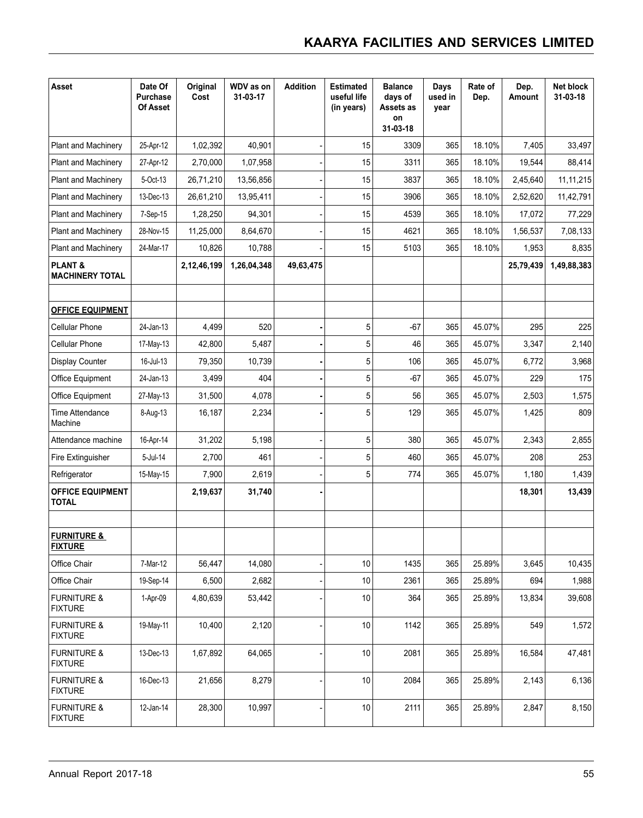| <b>Asset</b>                                 | Date Of<br>Purchase<br>Of Asset | Original<br>Cost | WDV as on<br>31-03-17 | <b>Addition</b> | <b>Estimated</b><br>useful life<br>(in years) | <b>Balance</b><br>days of<br>Assets as<br>on<br>31-03-18 | Days<br>used in<br>year | Rate of<br>Dep. | Dep.<br>Amount | Net block<br>31-03-18 |
|----------------------------------------------|---------------------------------|------------------|-----------------------|-----------------|-----------------------------------------------|----------------------------------------------------------|-------------------------|-----------------|----------------|-----------------------|
| Plant and Machinery                          | 25-Apr-12                       | 1,02,392         | 40,901                |                 | 15                                            | 3309                                                     | 365                     | 18.10%          | 7,405          | 33,497                |
| <b>Plant and Machinery</b>                   | 27-Apr-12                       | 2,70,000         | 1,07,958              |                 | 15                                            | 3311                                                     | 365                     | 18.10%          | 19,544         | 88,414                |
| <b>Plant and Machinery</b>                   | 5-Oct-13                        | 26,71,210        | 13,56,856             |                 | 15                                            | 3837                                                     | 365                     | 18.10%          | 2,45,640       | 11, 11, 215           |
| Plant and Machinery                          | 13-Dec-13                       | 26,61,210        | 13,95,411             |                 | 15                                            | 3906                                                     | 365                     | 18.10%          | 2,52,620       | 11,42,791             |
| Plant and Machinery                          | 7-Sep-15                        | 1,28,250         | 94,301                |                 | 15                                            | 4539                                                     | 365                     | 18.10%          | 17,072         | 77,229                |
| <b>Plant and Machinery</b>                   | 28-Nov-15                       | 11,25,000        | 8,64,670              |                 | 15                                            | 4621                                                     | 365                     | 18.10%          | 1,56,537       | 7,08,133              |
| <b>Plant and Machinery</b>                   | 24-Mar-17                       | 10,826           | 10,788                |                 | 15                                            | 5103                                                     | 365                     | 18.10%          | 1,953          | 8,835                 |
| <b>PLANT &amp;</b><br><b>MACHINERY TOTAL</b> |                                 | 2,12,46,199      | 1,26,04,348           | 49,63,475       |                                               |                                                          |                         |                 | 25,79,439      | 1,49,88,383           |
|                                              |                                 |                  |                       |                 |                                               |                                                          |                         |                 |                |                       |
| <b>OFFICE EQUIPMENT</b>                      |                                 |                  |                       |                 |                                               |                                                          |                         |                 |                |                       |
| <b>Cellular Phone</b>                        | 24-Jan-13                       | 4,499            | 520                   |                 | 5                                             | $-67$                                                    | 365                     | 45.07%          | 295            | 225                   |
| <b>Cellular Phone</b>                        | 17-May-13                       | 42,800           | 5,487                 |                 | 5                                             | 46                                                       | 365                     | 45.07%          | 3,347          | 2,140                 |
| Display Counter                              | 16-Jul-13                       | 79,350           | 10,739                |                 | 5                                             | 106                                                      | 365                     | 45.07%          | 6,772          | 3,968                 |
| Office Equipment                             | 24-Jan-13                       | 3,499            | 404                   |                 | 5                                             | $-67$                                                    | 365                     | 45.07%          | 229            | 175                   |
| Office Equipment                             | 27-May-13                       | 31,500           | 4,078                 |                 | 5                                             | 56                                                       | 365                     | 45.07%          | 2,503          | 1,575                 |
| Time Attendance<br>Machine                   | 8-Aug-13                        | 16,187           | 2,234                 |                 | 5                                             | 129                                                      | 365                     | 45.07%          | 1,425          | 809                   |
| Attendance machine                           | 16-Apr-14                       | 31,202           | 5,198                 |                 | 5                                             | 380                                                      | 365                     | 45.07%          | 2,343          | 2,855                 |
| Fire Extinguisher                            | 5-Jul-14                        | 2,700            | 461                   |                 | 5                                             | 460                                                      | 365                     | 45.07%          | 208            | 253                   |
| Refrigerator                                 | 15-May-15                       | 7,900            | 2,619                 |                 | 5                                             | 774                                                      | 365                     | 45.07%          | 1,180          | 1,439                 |
| <b>OFFICE EQUIPMENT</b><br><b>TOTAL</b>      |                                 | 2,19,637         | 31,740                |                 |                                               |                                                          |                         |                 | 18,301         | 13,439                |
| <b>FURNITURE &amp;</b><br><b>FIXTURE</b>     |                                 |                  |                       |                 |                                               |                                                          |                         |                 |                |                       |
| Office Chair                                 | 7-Mar-12                        | 56,447           | 14,080                |                 | 10                                            | 1435                                                     | 365                     | 25.89%          | 3,645          | 10,435                |
| Office Chair                                 | 19-Sep-14                       | 6,500            | 2,682                 |                 | 10                                            | 2361                                                     | 365                     | 25.89%          | 694            | 1,988                 |
| <b>FURNITURE &amp;</b><br><b>FIXTURE</b>     | 1-Apr-09                        | 4,80,639         | 53,442                |                 | 10                                            | 364                                                      | 365                     | 25.89%          | 13,834         | 39,608                |
| <b>FURNITURE &amp;</b><br><b>FIXTURE</b>     | 19-May-11                       | 10,400           | 2,120                 |                 | 10                                            | 1142                                                     | 365                     | 25.89%          | 549            | 1,572                 |
| <b>FURNITURE &amp;</b><br><b>FIXTURE</b>     | 13-Dec-13                       | 1,67,892         | 64,065                |                 | 10                                            | 2081                                                     | 365                     | 25.89%          | 16,584         | 47,481                |
| <b>FURNITURE &amp;</b><br><b>FIXTURE</b>     | 16-Dec-13                       | 21,656           | 8,279                 |                 | 10                                            | 2084                                                     | 365                     | 25.89%          | 2,143          | 6,136                 |
| <b>FURNITURE &amp;</b><br><b>FIXTURE</b>     | 12-Jan-14                       | 28,300           | 10,997                |                 | 10                                            | 2111                                                     | 365                     | 25.89%          | 2,847          | 8,150                 |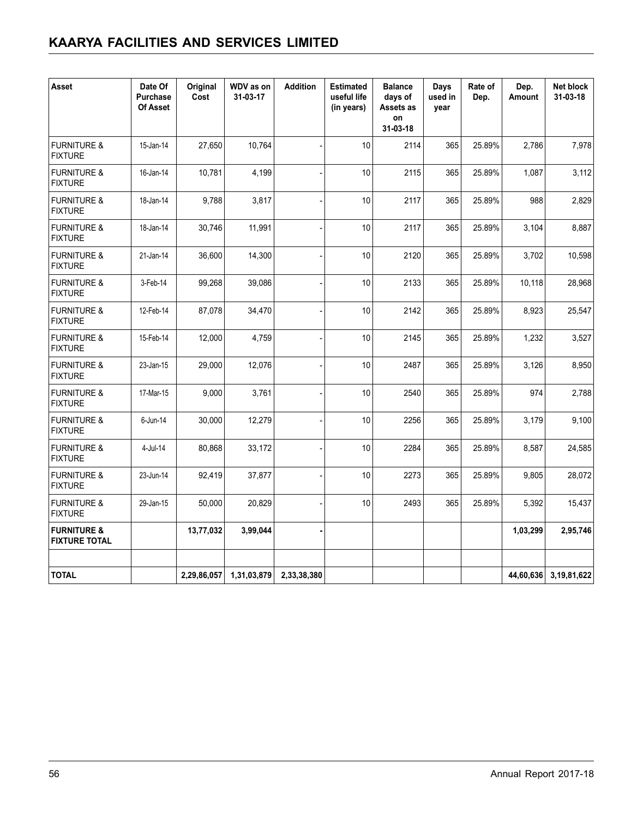| <b>Asset</b>                                   | Date Of<br>Purchase<br>Of Asset | Original<br>Cost | WDV as on<br>31-03-17 | <b>Addition</b> | <b>Estimated</b><br>useful life<br>(in years) | <b>Balance</b><br>days of<br>Assets as<br>on<br>31-03-18 | Days<br>used in<br>vear | Rate of<br>Dep. | Dep.<br>Amount | Net block<br>31-03-18 |
|------------------------------------------------|---------------------------------|------------------|-----------------------|-----------------|-----------------------------------------------|----------------------------------------------------------|-------------------------|-----------------|----------------|-----------------------|
| <b>FURNITURE &amp;</b><br><b>FIXTURE</b>       | 15-Jan-14                       | 27,650           | 10,764                |                 | 10                                            | 2114                                                     | 365                     | 25.89%          | 2,786          | 7,978                 |
| <b>FURNITURE &amp;</b><br><b>FIXTURE</b>       | 16-Jan-14                       | 10,781           | 4,199                 |                 | 10                                            | 2115                                                     | 365                     | 25.89%          | 1,087          | 3,112                 |
| <b>FURNITURE &amp;</b><br><b>FIXTURE</b>       | 18-Jan-14                       | 9,788            | 3,817                 |                 | 10                                            | 2117                                                     | 365                     | 25.89%          | 988            | 2,829                 |
| <b>FURNITURE &amp;</b><br><b>FIXTURE</b>       | 18-Jan-14                       | 30,746           | 11,991                |                 | 10                                            | 2117                                                     | 365                     | 25.89%          | 3,104          | 8,887                 |
| <b>FURNITURE &amp;</b><br><b>FIXTURE</b>       | 21-Jan-14                       | 36,600           | 14,300                |                 | 10                                            | 2120                                                     | 365                     | 25.89%          | 3,702          | 10,598                |
| <b>FURNITURE &amp;</b><br><b>FIXTURE</b>       | 3-Feb-14                        | 99,268           | 39,086                |                 | 10                                            | 2133                                                     | 365                     | 25.89%          | 10,118         | 28,968                |
| <b>FURNITURE &amp;</b><br><b>FIXTURE</b>       | 12-Feb-14                       | 87,078           | 34,470                |                 | 10                                            | 2142                                                     | 365                     | 25.89%          | 8,923          | 25,547                |
| <b>FURNITURE &amp;</b><br><b>FIXTURE</b>       | 15-Feb-14                       | 12,000           | 4,759                 |                 | 10                                            | 2145                                                     | 365                     | 25.89%          | 1,232          | 3,527                 |
| <b>FURNITURE &amp;</b><br><b>FIXTURE</b>       | 23-Jan-15                       | 29,000           | 12,076                |                 | 10                                            | 2487                                                     | 365                     | 25.89%          | 3,126          | 8,950                 |
| <b>FURNITURE &amp;</b><br><b>FIXTURE</b>       | 17-Mar-15                       | 9,000            | 3,761                 |                 | 10                                            | 2540                                                     | 365                     | 25.89%          | 974            | 2,788                 |
| <b>FURNITURE &amp;</b><br><b>FIXTURE</b>       | 6-Jun-14                        | 30,000           | 12,279                |                 | 10                                            | 2256                                                     | 365                     | 25.89%          | 3,179          | 9,100                 |
| <b>FURNITURE &amp;</b><br><b>FIXTURE</b>       | $4$ -Jul-14                     | 80,868           | 33,172                |                 | 10                                            | 2284                                                     | 365                     | 25.89%          | 8,587          | 24,585                |
| <b>FURNITURE &amp;</b><br><b>FIXTURE</b>       | 23-Jun-14                       | 92,419           | 37,877                |                 | 10                                            | 2273                                                     | 365                     | 25.89%          | 9,805          | 28,072                |
| <b>FURNITURE &amp;</b><br><b>FIXTURE</b>       | 29-Jan-15                       | 50,000           | 20,829                |                 | 10                                            | 2493                                                     | 365                     | 25.89%          | 5,392          | 15,437                |
| <b>FURNITURE &amp;</b><br><b>FIXTURE TOTAL</b> |                                 | 13,77,032        | 3,99,044              |                 |                                               |                                                          |                         |                 | 1,03,299       | 2,95,746              |
|                                                |                                 |                  |                       |                 |                                               |                                                          |                         |                 |                |                       |
| <b>TOTAL</b>                                   |                                 | 2,29,86,057      | 1,31,03,879           | 2,33,38,380     |                                               |                                                          |                         |                 | 44,60,636      | 3,19,81,622           |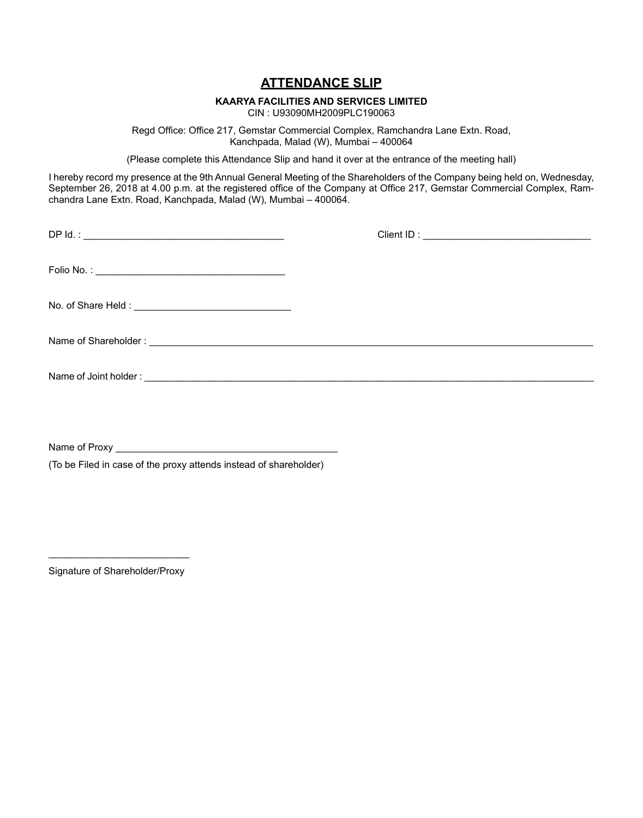# **ATTENDANCE SLIP**

# **KAARYA FACILITIES AND SERVICES LIMITED**

CIN : U93090MH2009PLC190063

Regd Office: Office 217, Gemstar Commercial Complex, Ramchandra Lane Extn. Road, Kanchpada, Malad (W), Mumbai – 400064

(Please complete this Attendance Slip and hand it over at the entrance of the meeting hall)

I hereby record my presence at the 9th Annual General Meeting of the Shareholders of the Company being held on, Wednesday, September 26, 2018 at 4.00 p.m. at the registered office of the Company at Office 217, Gemstar Commercial Complex, Ramchandra Lane Extn. Road, Kanchpada, Malad (W), Mumbai – 400064.

Name of Proxy

(To be Filed in case of the proxy attends instead of shareholder)

\_\_\_\_\_\_\_\_\_\_\_\_\_\_\_\_\_\_\_\_\_\_\_\_\_\_ Signature of Shareholder/Proxy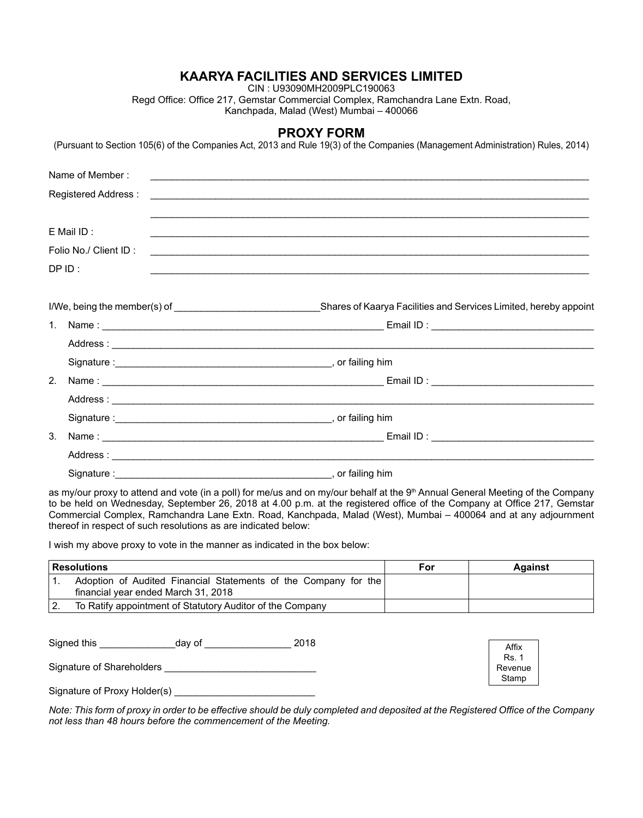CIN : U93090MH2009PLC190063

Regd Office: Office 217, Gemstar Commercial Complex, Ramchandra Lane Extn. Road, Kanchpada, Malad (West) Mumbai – 400066

#### **PROXY FORM**

(Pursuant to Section 105(6) of the Companies Act, 2013 and Rule 19(3) of the Companies (Management Administration) Rules, 2014)

| Name of Member:       |                                                                                                                      |
|-----------------------|----------------------------------------------------------------------------------------------------------------------|
| Registered Address:   | <u> Alexandria de la contrada de la contrada de la contrada de la contrada de la contrada de la contrada de la c</u> |
| E Mail ID:            |                                                                                                                      |
| Folio No./ Client ID: |                                                                                                                      |
| $DP$ ID:              |                                                                                                                      |
|                       |                                                                                                                      |
|                       |                                                                                                                      |
|                       |                                                                                                                      |
|                       |                                                                                                                      |
| 2.                    |                                                                                                                      |
|                       |                                                                                                                      |
|                       |                                                                                                                      |
| 3.                    |                                                                                                                      |
|                       |                                                                                                                      |
|                       |                                                                                                                      |

as my/our proxy to attend and vote (in a poll) for me/us and on my/our behalf at the 9<sup>th</sup> Annual General Meeting of the Company to be held on Wednesday, September 26, 2018 at 4.00 p.m. at the registered office of the Company at Office 217, Gemstar Commercial Complex, Ramchandra Lane Extn. Road, Kanchpada, Malad (West), Mumbai – 400064 and at any adjournment thereof in respect of such resolutions as are indicated below:

I wish my above proxy to vote in the manner as indicated in the box below:

| <b>Resolutions</b>                                                                                     | For | <b>Against</b> |
|--------------------------------------------------------------------------------------------------------|-----|----------------|
| Adoption of Audited Financial Statements of the Company for the<br>financial year ended March 31, 2018 |     |                |
| To Ratify appointment of Statutory Auditor of the Company                                              |     |                |

| Signed this                  | dav of | 2018 | Affix                   |
|------------------------------|--------|------|-------------------------|
| Signature of Shareholders    |        |      | <b>Rs. 1</b><br>Revenue |
| Signature of Proxy Holder(s) |        |      | Stamp                   |

*Note: This form of proxy in order to be effective should be duly completed and deposited at the Registered Office of the Company not less than 48 hours before the commencement of the Meeting.*